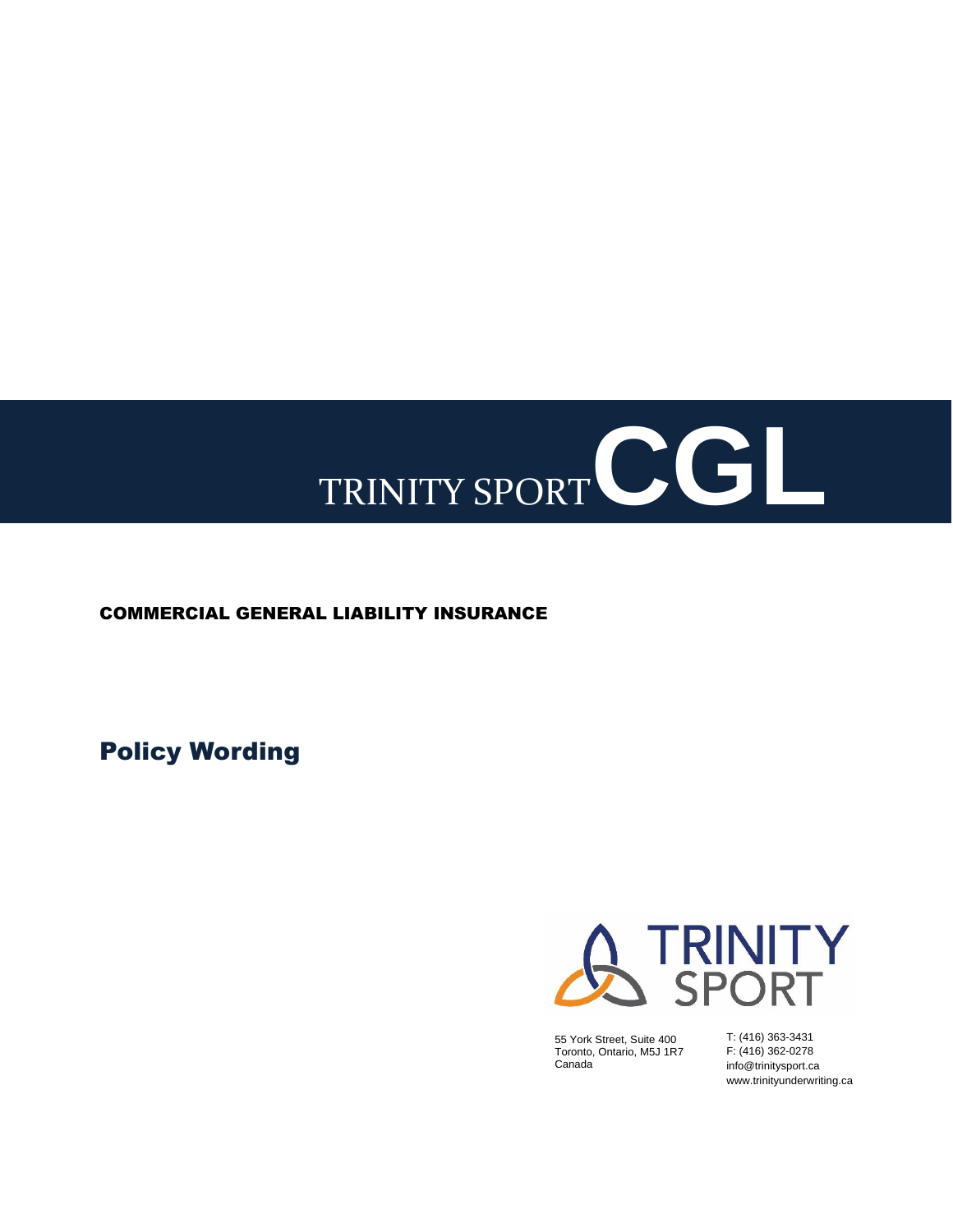# TRINITY SPORT CGL

# COMMERCIAL GENERAL LIABILITY INSURANCE

Policy Wording



55 York Street, Suite 400 Toronto, Ontario, M5J 1R7 Canada

T: (416) 363-3431 F: (416) 362-0278 info@trinitysport.ca www.trinityunderwriting.ca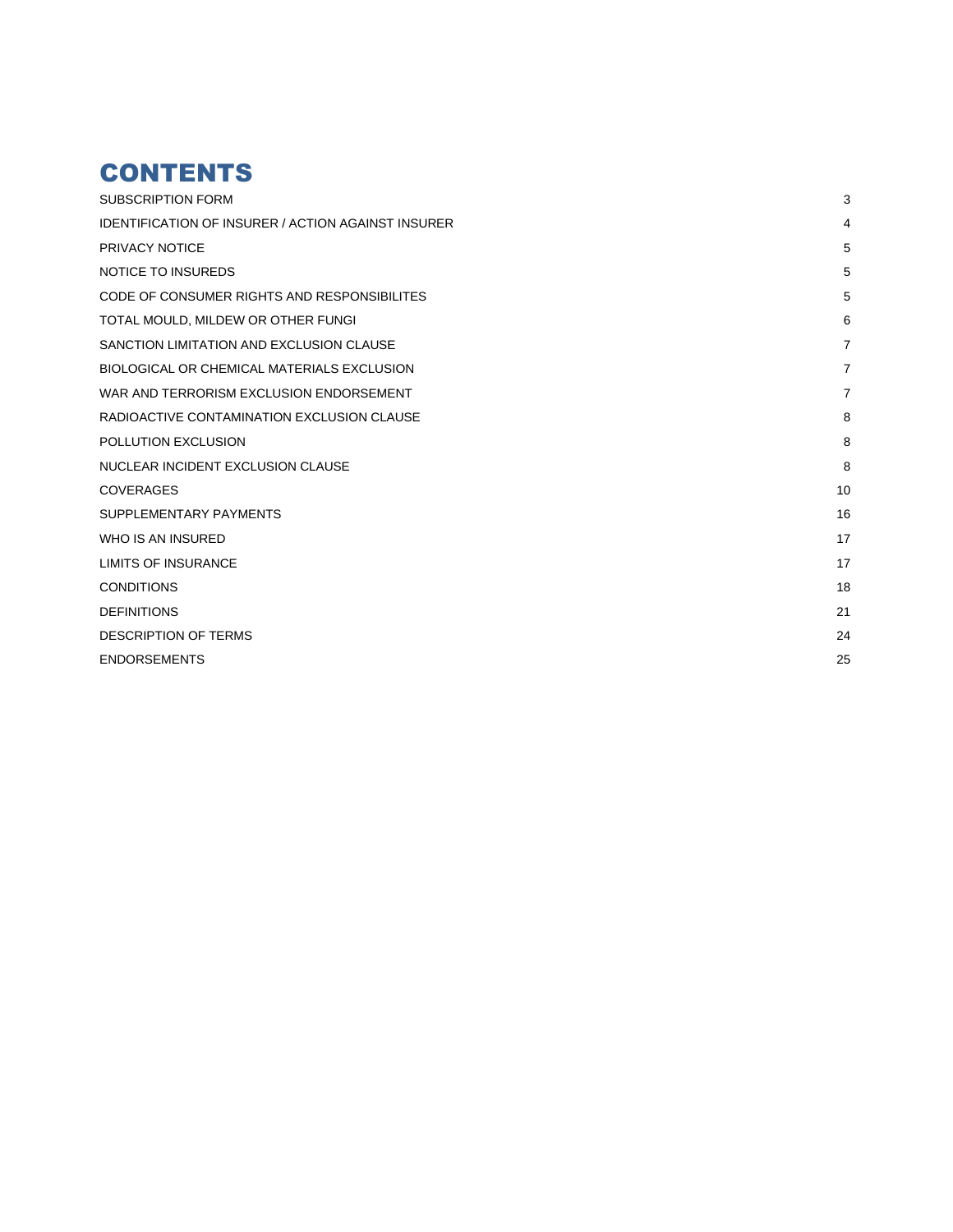# **CONTENTS**

| <b>SUBSCRIPTION FORM</b>                                  | 3              |
|-----------------------------------------------------------|----------------|
| <b>IDENTIFICATION OF INSURER / ACTION AGAINST INSURER</b> | 4              |
| PRIVACY NOTICE                                            | 5              |
| <b>NOTICE TO INSUREDS</b>                                 | 5              |
| CODE OF CONSUMER RIGHTS AND RESPONSIBILITES               | 5              |
| TOTAL MOULD, MILDEW OR OTHER FUNGI                        | 6              |
| SANCTION LIMITATION AND EXCLUSION CLAUSE                  | $\overline{7}$ |
| BIOLOGICAL OR CHEMICAL MATERIALS EXCLUSION                | $\overline{7}$ |
| WAR AND TERRORISM EXCLUSION ENDORSEMENT                   | $\overline{7}$ |
| RADIOACTIVE CONTAMINATION EXCLUSION CLAUSE                | 8              |
| POLLUTION EXCLUSION                                       | 8              |
| NUCLEAR INCIDENT EXCLUSION CLAUSE                         | 8              |
| <b>COVERAGES</b>                                          | 10             |
| SUPPLEMENTARY PAYMENTS                                    | 16             |
| WHO IS AN INSURED                                         | 17             |
| <b>LIMITS OF INSURANCE</b>                                | 17             |
| <b>CONDITIONS</b>                                         | 18             |
| <b>DEFINITIONS</b>                                        | 21             |
| <b>DESCRIPTION OF TERMS</b>                               | 24             |
| <b>ENDORSEMENTS</b>                                       | 25             |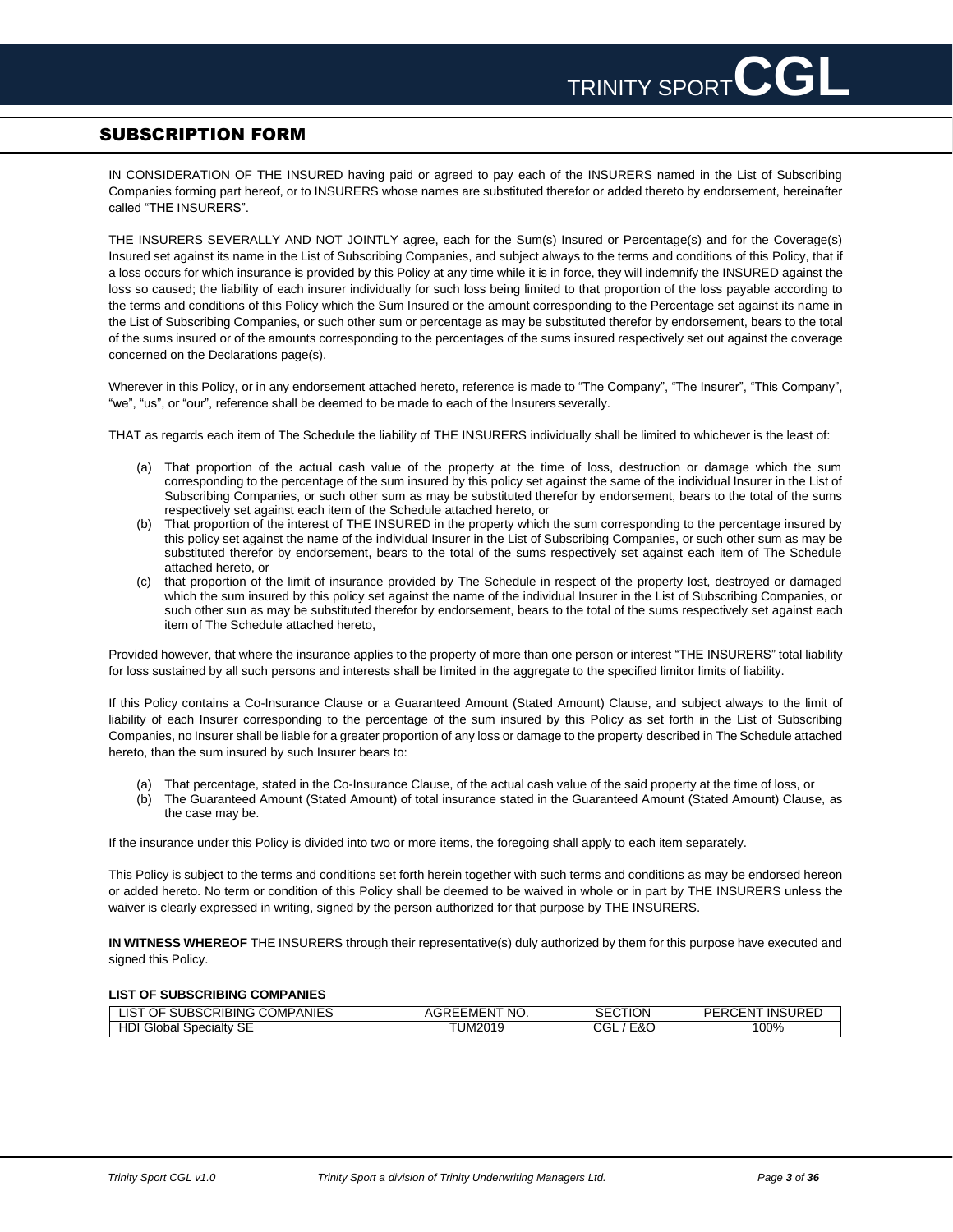# <span id="page-2-0"></span>SUBSCRIPTION FORM

IN CONSIDERATION OF THE INSURED having paid or agreed to pay each of the INSURERS named in the List of Subscribing Companies forming part hereof, or to INSURERS whose names are substituted therefor or added thereto by endorsement, hereinafter called "THE INSURERS".

THE INSURERS SEVERALLY AND NOT JOINTLY agree, each for the Sum(s) Insured or Percentage(s) and for the Coverage(s) Insured set against its name in the List of Subscribing Companies, and subject always to the terms and conditions of this Policy, that if a loss occurs for which insurance is provided by this Policy at any time while it is in force, they will indemnify the INSURED against the loss so caused; the liability of each insurer individually for such loss being limited to that proportion of the loss payable according to the terms and conditions of this Policy which the Sum Insured or the amount corresponding to the Percentage set against its name in the List of Subscribing Companies, or such other sum or percentage as may be substituted therefor by endorsement, bears to the total of the sums insured or of the amounts corresponding to the percentages of the sums insured respectively set out against the coverage concerned on the Declarations page(s).

Wherever in this Policy, or in any endorsement attached hereto, reference is made to "The Company", "The Insurer", "This Company", "we", "us", or "our", reference shall be deemed to be made to each of the Insurers severally.

THAT as regards each item of The Schedule the liability of THE INSURERS individually shall be limited to whichever is the least of:

- (a) That proportion of the actual cash value of the property at the time of loss, destruction or damage which the sum corresponding to the percentage of the sum insured by this policy set against the same of the individual Insurer in the List of Subscribing Companies, or such other sum as may be substituted therefor by endorsement, bears to the total of the sums respectively set against each item of the Schedule attached hereto, or
- (b) That proportion of the interest of THE INSURED in the property which the sum corresponding to the percentage insured by this policy set against the name of the individual Insurer in the List of Subscribing Companies, or such other sum as may be substituted therefor by endorsement, bears to the total of the sums respectively set against each item of The Schedule attached hereto, or
- (c) that proportion of the limit of insurance provided by The Schedule in respect of the property lost, destroyed or damaged which the sum insured by this policy set against the name of the individual Insurer in the List of Subscribing Companies, or such other sun as may be substituted therefor by endorsement, bears to the total of the sums respectively set against each item of The Schedule attached hereto,

Provided however, that where the insurance applies to the property of more than one person or interest "THE INSURERS" total liability for loss sustained by all such persons and interests shall be limited in the aggregate to the specified limitor limits of liability.

If this Policy contains a Co-Insurance Clause or a Guaranteed Amount (Stated Amount) Clause, and subject always to the limit of liability of each Insurer corresponding to the percentage of the sum insured by this Policy as set forth in the List of Subscribing Companies, no Insurer shall be liable for a greater proportion of any loss or damage to the property described in The Schedule attached hereto, than the sum insured by such Insurer bears to:

- (a) That percentage, stated in the Co-Insurance Clause, of the actual cash value of the said property at the time of loss, or
- (b) The Guaranteed Amount (Stated Amount) of total insurance stated in the Guaranteed Amount (Stated Amount) Clause, as the case may be.

If the insurance under this Policy is divided into two or more items, the foregoing shall apply to each item separately.

This Policy is subject to the terms and conditions set forth herein together with such terms and conditions as may be endorsed hereon or added hereto. No term or condition of this Policy shall be deemed to be waived in whole or in part by THE INSURERS unless the waiver is clearly expressed in writing, signed by the person authorized for that purpose by THE INSURERS.

**IN WITNESS WHEREOF** THE INSURERS through their representative(s) duly authorized by them for this purpose have executed and signed this Policy.

### **LIST OF SUBSCRIBING COMPANIES**

| COMPANIES:<br>IS.<br><b>NIBSC</b><br>:RIBING<br>J⊦<br>$\cdot$ | 'NO.<br>$\cdots$<br>≘MEN<br>_____ | <b>CTION</b><br>ົ<br>SЕ  | NSURED<br>DЕ<br>INS.<br>- NI |
|---------------------------------------------------------------|-----------------------------------|--------------------------|------------------------------|
| SE<br>חו<br>Specialty<br>۔ilobal<br>טו                        | 10.10016<br>UM2019                | ~~<br>- ه<br>ור '<br>EQU | 100%                         |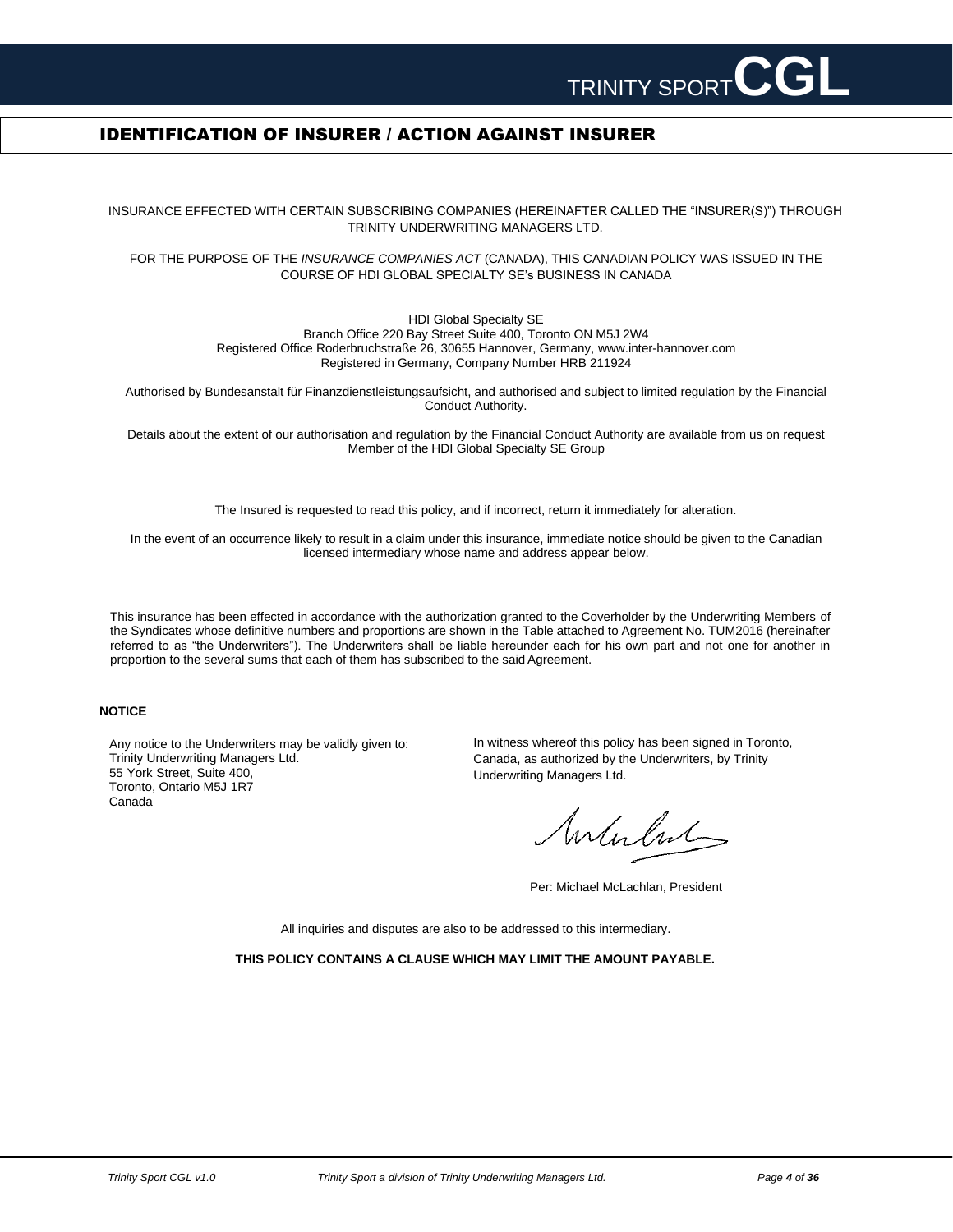

# <span id="page-3-0"></span>IDENTIFICATION OF INSURER / ACTION AGAINST INSURER

INSURANCE EFFECTED WITH CERTAIN SUBSCRIBING COMPANIES (HEREINAFTER CALLED THE "INSURER(S)") THROUGH TRINITY UNDERWRITING MANAGERS LTD.

FOR THE PURPOSE OF THE *INSURANCE COMPANIES ACT* (CANADA), THIS CANADIAN POLICY WAS ISSUED IN THE COURSE OF HDI GLOBAL SPECIALTY SE's BUSINESS IN CANADA

> HDI Global Specialty SE Branch Office 220 Bay Street Suite 400, Toronto ON M5J 2W4 Registered Office Roderbruchstraße 26, 30655 Hannover, Germany, [www.inter-hannover.com](http://www.inter-hannover.com/) Registered in Germany, Company Number HRB 211924

Authorised by Bundesanstalt für Finanzdienstleistungsaufsicht, and authorised and subject to limited regulation by the Financial Conduct Authority.

Details about the extent of our authorisation and regulation by the Financial Conduct Authority are available from us on request Member of the HDI Global Specialty SE Group

The Insured is requested to read this policy, and if incorrect, return it immediately for alteration.

In the event of an occurrence likely to result in a claim under this insurance, immediate notice should be given to the Canadian licensed intermediary whose name and address appear below.

This insurance has been effected in accordance with the authorization granted to the Coverholder by the Underwriting Members of the Syndicates whose definitive numbers and proportions are shown in the Table attached to Agreement No. TUM2016 (hereinafter referred to as "the Underwriters"). The Underwriters shall be liable hereunder each for his own part and not one for another in proportion to the several sums that each of them has subscribed to the said Agreement.

### **NOTICE**

Any notice to the Underwriters may be validly given to: Trinity Underwriting Managers Ltd. 55 York Street, Suite 400, Toronto, Ontario M5J 1R7 Canada

In witness whereof this policy has been signed in Toronto, Canada, as authorized by the Underwriters, by Trinity Underwriting Managers Ltd.

Interlut

Per: Michael McLachlan, President

All inquiries and disputes are also to be addressed to this intermediary.

**THIS POLICY CONTAINS A CLAUSE WHICH MAY LIMIT THE AMOUNT PAYABLE.**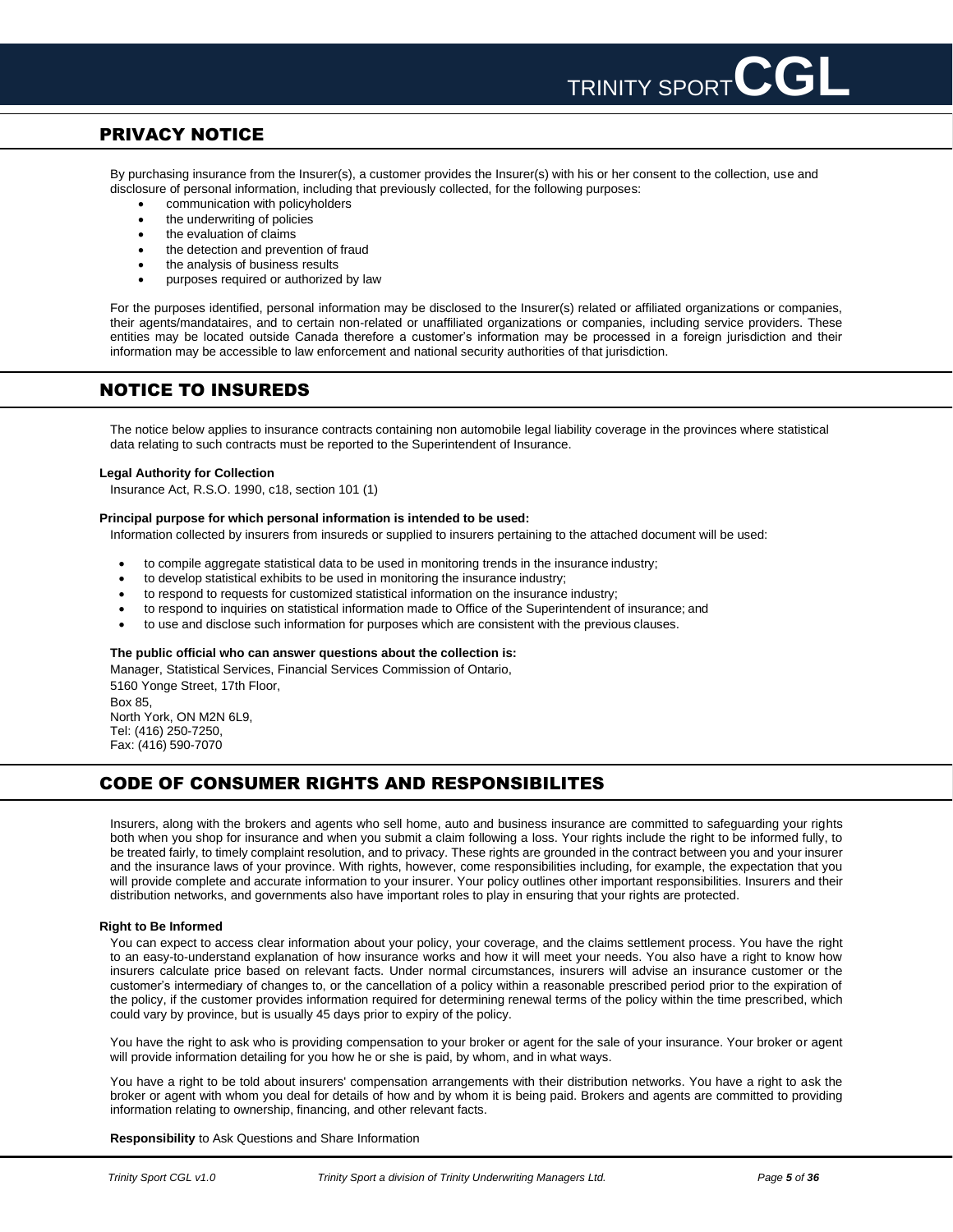

# <span id="page-4-0"></span>PRIVACY NOTICE

By purchasing insurance from the Insurer(s), a customer provides the Insurer(s) with his or her consent to the collection, use and disclosure of personal information, including that previously collected, for the following purposes:

- communication with policyholders
- the underwriting of policies
- the evaluation of claims
- the detection and prevention of fraud
- the analysis of business results
- purposes required or authorized by law

For the purposes identified, personal information may be disclosed to the Insurer(s) related or affiliated organizations or companies, their agents/mandataires, and to certain non-related or unaffiliated organizations or companies, including service providers. These entities may be located outside Canada therefore a customer's information may be processed in a foreign jurisdiction and their information may be accessible to law enforcement and national security authorities of that jurisdiction.

# <span id="page-4-1"></span>NOTICE TO INSUREDS

The notice below applies to insurance contracts containing non automobile legal liability coverage in the provinces where statistical data relating to such contracts must be reported to the Superintendent of Insurance.

### **Legal Authority for Collection**

Insurance Act, R.S.O. 1990, c18, section 101 (1)

### **Principal purpose for which personal information is intended to be used:**

Information collected by insurers from insureds or supplied to insurers pertaining to the attached document will be used:

- to compile aggregate statistical data to be used in monitoring trends in the insurance industry;
- to develop statistical exhibits to be used in monitoring the insurance industry;
- to respond to requests for customized statistical information on the insurance industry;
- to respond to inquiries on statistical information made to Office of the Superintendent of insurance; and
- to use and disclose such information for purposes which are consistent with the previous clauses.

### **The public official who can answer questions about the collection is:**

Manager, Statistical Services, Financial Services Commission of Ontario, 5160 Yonge Street, 17th Floor, Box 85, North York, ON M2N 6L9, Tel: (416) 250-7250, Fax: (416) 590-7070

# <span id="page-4-2"></span>CODE OF CONSUMER RIGHTS AND RESPONSIBILITES

Insurers, along with the brokers and agents who sell home, auto and business insurance are committed to safeguarding your rights both when you shop for insurance and when you submit a claim following a loss. Your rights include the right to be informed fully, to be treated fairly, to timely complaint resolution, and to privacy. These rights are grounded in the contract between you and your insurer and the insurance laws of your province. With rights, however, come responsibilities including, for example, the expectation that you will provide complete and accurate information to your insurer. Your policy outlines other important responsibilities. Insurers and their distribution networks, and governments also have important roles to play in ensuring that your rights are protected.

### **Right to Be Informed**

You can expect to access clear information about your policy, your coverage, and the claims settlement process. You have the right to an easy-to-understand explanation of how insurance works and how it will meet your needs. You also have a right to know how insurers calculate price based on relevant facts. Under normal circumstances, insurers will advise an insurance customer or the customer's intermediary of changes to, or the cancellation of a policy within a reasonable prescribed period prior to the expiration of the policy, if the customer provides information required for determining renewal terms of the policy within the time prescribed, which could vary by province, but is usually 45 days prior to expiry of the policy.

You have the right to ask who is providing compensation to your broker or agent for the sale of your insurance. Your broker or agent will provide information detailing for you how he or she is paid, by whom, and in what ways.

You have a right to be told about insurers' compensation arrangements with their distribution networks. You have a right to ask the broker or agent with whom you deal for details of how and by whom it is being paid. Brokers and agents are committed to providing information relating to ownership, financing, and other relevant facts.

### **Responsibility** to Ask Questions and Share Information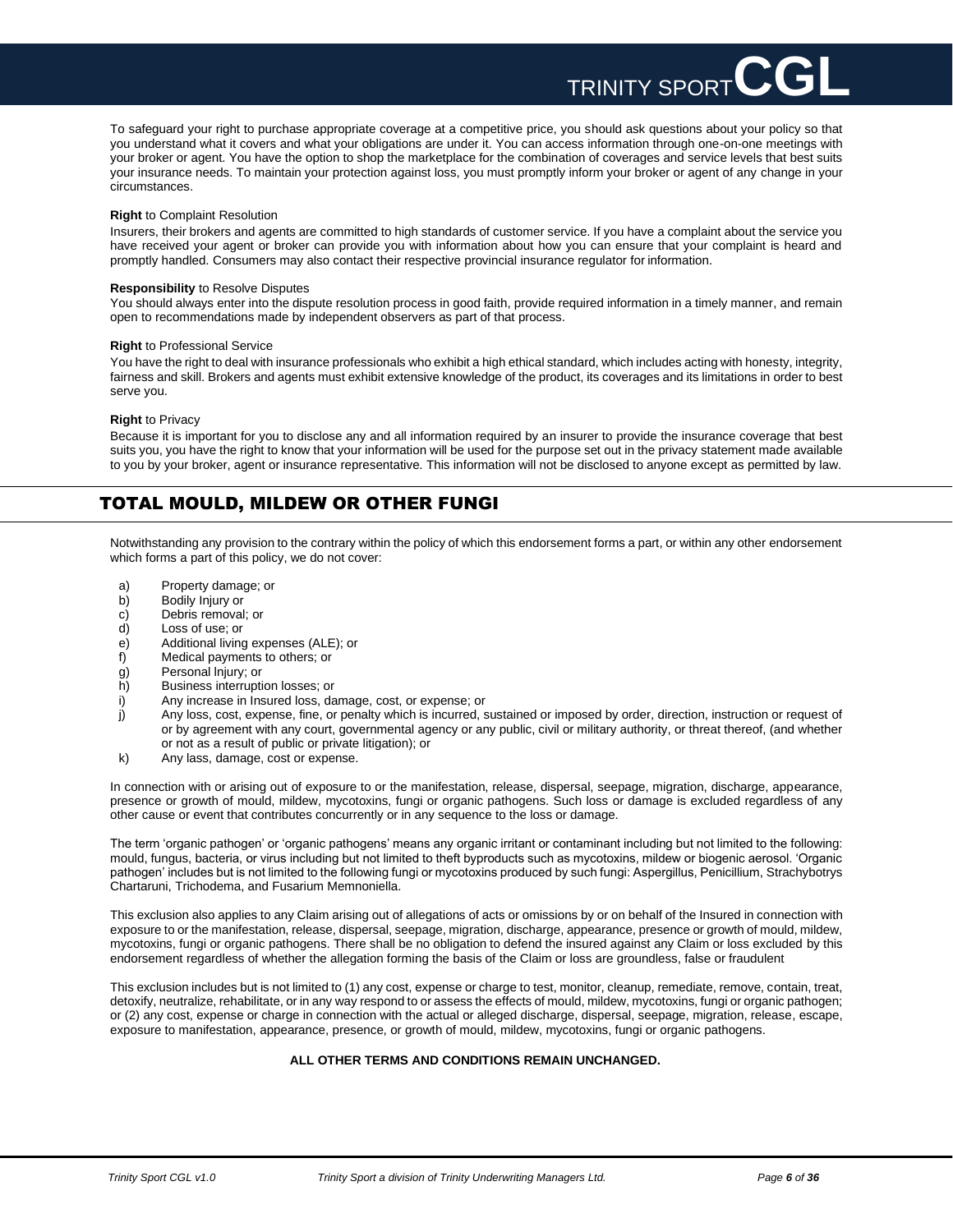To safeguard your right to purchase appropriate coverage at a competitive price, you should ask questions about your policy so that you understand what it covers and what your obligations are under it. You can access information through one-on-one meetings with your broker or agent. You have the option to shop the marketplace for the combination of coverages and service levels that best suits your insurance needs. To maintain your protection against loss, you must promptly inform your broker or agent of any change in your circumstances.

TRINITY SPORT

### **Right** to Complaint Resolution

Insurers, their brokers and agents are committed to high standards of customer service. If you have a complaint about the service you have received your agent or broker can provide you with information about how you can ensure that your complaint is heard and promptly handled. Consumers may also contact their respective provincial insurance regulator for information.

### **Responsibility** to Resolve Disputes

You should always enter into the dispute resolution process in good faith, provide required information in a timely manner, and remain open to recommendations made by independent observers as part of that process.

### **Right** to Professional Service

You have the right to deal with insurance professionals who exhibit a high ethical standard, which includes acting with honesty, integrity, fairness and skill. Brokers and agents must exhibit extensive knowledge of the product, its coverages and its limitations in order to best serve you.

### **Right** to Privacy

Because it is important for you to disclose any and all information required by an insurer to provide the insurance coverage that best suits you, you have the right to know that your information will be used for the purpose set out in the privacy statement made available to you by your broker, agent or insurance representative. This information will not be disclosed to anyone except as permitted by law.

# <span id="page-5-0"></span>TOTAL MOULD, MILDEW OR OTHER FUNGI

Notwithstanding any provision to the contrary within the policy of which this endorsement forms a part, or within any other endorsement which forms a part of this policy, we do not cover:

- a) Property damage; or<br>b) Bodily Injury or
- b) Bodily Injury or<br>c) Debris removal
- Debris removal; or
- d) Loss of use; or
- e) Additional living expenses (ALE); or<br>f) Medical payments to others; or
- Medical payments to others; or
- g) Personal lnjury; or
- h) Business interruption losses; or
- i) Any increase in Insured loss, damage, cost, or expense; or
- j) Any loss, cost, expense, fine, or penalty which is incurred, sustained or imposed by order, direction, instruction or request of or by agreement with any court, governmental agency or any public, civil or military authority, or threat thereof, (and whether or not as a result of public or private litigation); or
- k) Any lass, damage, cost or expense.

In connection with or arising out of exposure to or the manifestation, release, dispersal, seepage, migration, discharge, appearance, presence or growth of mould, mildew, mycotoxins, fungi or organic pathogens. Such loss or damage is excluded regardless of any other cause or event that contributes concurrently or in any sequence to the loss or damage.

The term 'organic pathogen' or 'organic pathogens' means any organic irritant or contaminant including but not limited to the following: mould, fungus, bacteria, or virus including but not limited to theft byproducts such as mycotoxins, mildew or biogenic aerosol. 'Organic pathogen' includes but is not limited to the following fungi or mycotoxins produced by such fungi: Aspergillus, Penicillium, Strachybotrys Chartaruni, Trichodema, and Fusarium Memnoniella.

This exclusion also applies to any Claim arising out of allegations of acts or omissions by or on behalf of the Insured in connection with exposure to or the manifestation, release, dispersal, seepage, migration, discharge, appearance, presence or growth of mould, mildew, mycotoxins, fungi or organic pathogens. There shall be no obligation to defend the insured against any Claim or loss excluded by this endorsement regardless of whether the allegation forming the basis of the Claim or loss are groundless, false or fraudulent

This exclusion includes but is not limited to (1) any cost, expense or charge to test, monitor, cleanup, remediate, remove, contain, treat, detoxify, neutralize, rehabilitate, or in any way respond to or assess the effects of mould, mildew, mycotoxins, fungi or organic pathogen; or (2) any cost, expense or charge in connection with the actual or alleged discharge, dispersal, seepage, migration, release, escape, exposure to manifestation, appearance, presence, or growth of mould, mildew, mycotoxins, fungi or organic pathogens.

### **ALL OTHER TERMS AND CONDITIONS REMAIN UNCHANGED.**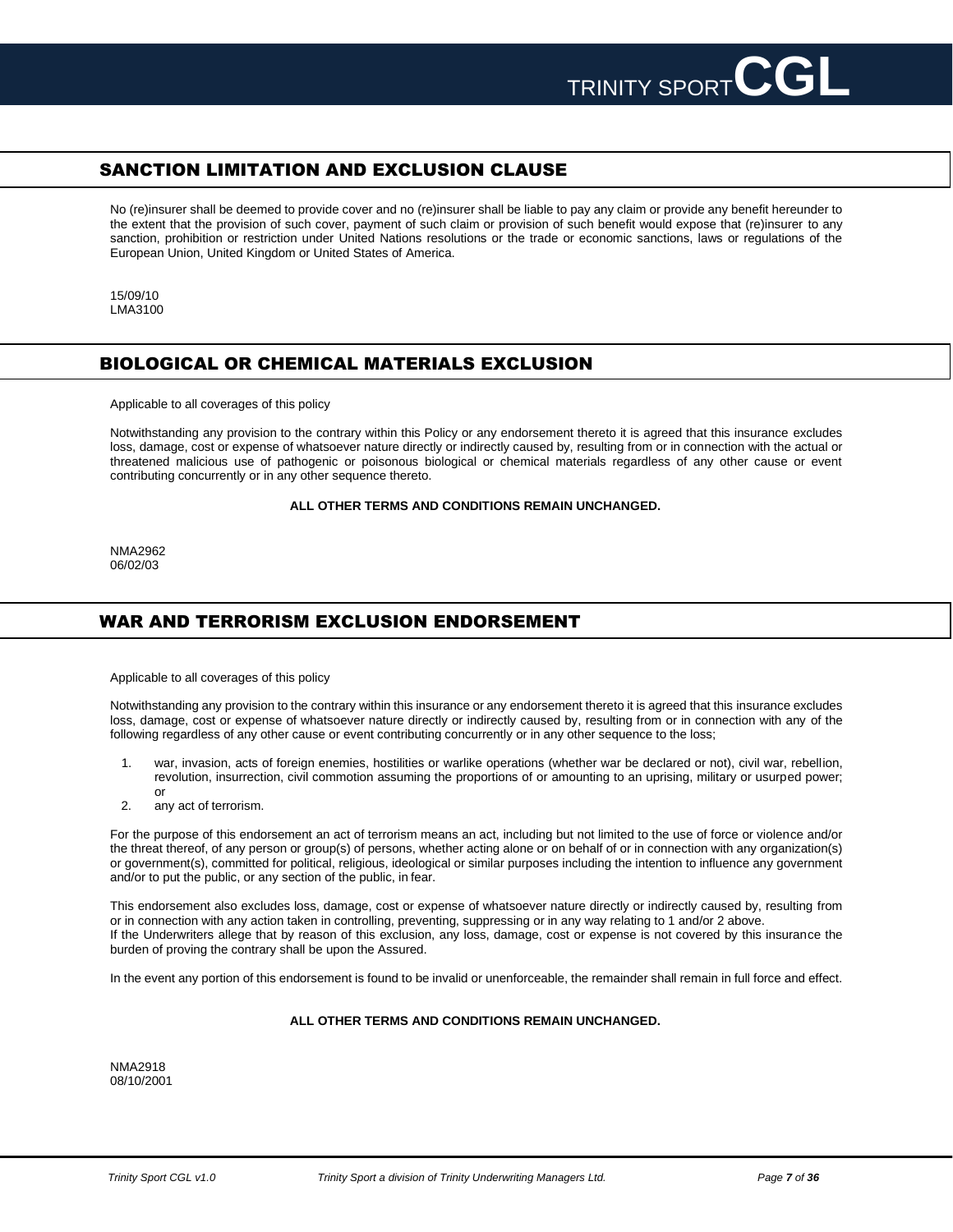

# <span id="page-6-0"></span>SANCTION LIMITATION AND EXCLUSION CLAUSE

No (re)insurer shall be deemed to provide cover and no (re)insurer shall be liable to pay any claim or provide any benefit hereunder to the extent that the provision of such cover, payment of such claim or provision of such benefit would expose that (re)insurer to any sanction, prohibition or restriction under United Nations resolutions or the trade or economic sanctions, laws or regulations of the European Union, United Kingdom or United States of America.

15/09/10 LMA3100

# <span id="page-6-1"></span>BIOLOGICAL OR CHEMICAL MATERIALS EXCLUSION

Applicable to all coverages of this policy

Notwithstanding any provision to the contrary within this Policy or any endorsement thereto it is agreed that this insurance excludes loss, damage, cost or expense of whatsoever nature directly or indirectly caused by, resulting from or in connection with the actual or threatened malicious use of pathogenic or poisonous biological or chemical materials regardless of any other cause or event contributing concurrently or in any other sequence thereto.

### **ALL OTHER TERMS AND CONDITIONS REMAIN UNCHANGED.**

NMA2962 06/02/03

# <span id="page-6-2"></span>WAR AND TERRORISM EXCLUSION ENDORSEMENT

Applicable to all coverages of this policy

Notwithstanding any provision to the contrary within this insurance or any endorsement thereto it is agreed that this insurance excludes loss, damage, cost or expense of whatsoever nature directly or indirectly caused by, resulting from or in connection with any of the following regardless of any other cause or event contributing concurrently or in any other sequence to the loss;

- 1. war, invasion, acts of foreign enemies, hostilities or warlike operations (whether war be declared or not), civil war, rebellion, revolution, insurrection, civil commotion assuming the proportions of or amounting to an uprising, military or usurped power; or
- 2. any act of terrorism.

For the purpose of this endorsement an act of terrorism means an act, including but not limited to the use of force or violence and/or the threat thereof, of any person or group(s) of persons, whether acting alone or on behalf of or in connection with any organization(s) or government(s), committed for political, religious, ideological or similar purposes including the intention to influence any government and/or to put the public, or any section of the public, in fear.

This endorsement also excludes loss, damage, cost or expense of whatsoever nature directly or indirectly caused by, resulting from or in connection with any action taken in controlling, preventing, suppressing or in any way relating to 1 and/or 2 above. If the Underwriters allege that by reason of this exclusion, any loss, damage, cost or expense is not covered by this insurance the burden of proving the contrary shall be upon the Assured.

In the event any portion of this endorsement is found to be invalid or unenforceable, the remainder shall remain in full force and effect.

### **ALL OTHER TERMS AND CONDITIONS REMAIN UNCHANGED.**

NMA2918 08/10/2001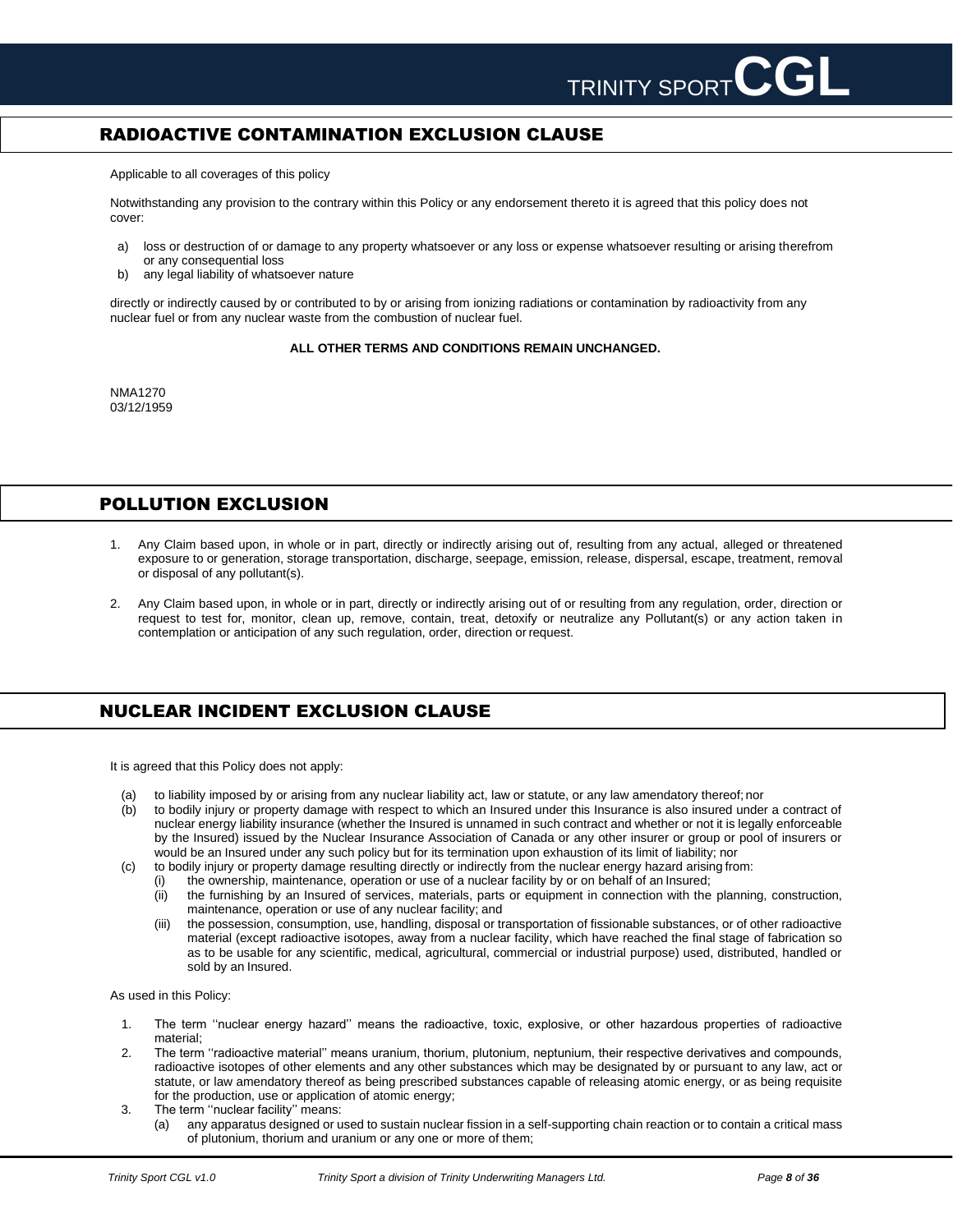# <span id="page-7-0"></span>RADIOACTIVE CONTAMINATION EXCLUSION CLAUSE

Applicable to all coverages of this policy

Notwithstanding any provision to the contrary within this Policy or any endorsement thereto it is agreed that this policy does not cover:

- a) loss or destruction of or damage to any property whatsoever or any loss or expense whatsoever resulting or arising therefrom or any consequential loss
- b) any legal liability of whatsoever nature

directly or indirectly caused by or contributed to by or arising from ionizing radiations or contamination by radioactivity from any nuclear fuel or from any nuclear waste from the combustion of nuclear fuel.

### **ALL OTHER TERMS AND CONDITIONS REMAIN UNCHANGED.**

NMA1270 03/12/1959

# <span id="page-7-1"></span>POLLUTION EXCLUSION

- 1. Any Claim based upon, in whole or in part, directly or indirectly arising out of, resulting from any actual, alleged or threatened exposure to or generation, storage transportation, discharge, seepage, emission, release, dispersal, escape, treatment, removal or disposal of any pollutant(s).
- 2. Any Claim based upon, in whole or in part, directly or indirectly arising out of or resulting from any regulation, order, direction or request to test for, monitor, clean up, remove, contain, treat, detoxify or neutralize any Pollutant(s) or any action taken in contemplation or anticipation of any such regulation, order, direction or request.

# <span id="page-7-2"></span>NUCLEAR INCIDENT EXCLUSION CLAUSE

It is agreed that this Policy does not apply:

- (a) to liability imposed by or arising from any nuclear liability act, law or statute, or any law amendatory thereof; nor
- (b) to bodily injury or property damage with respect to which an Insured under this Insurance is also insured under a contract of nuclear energy liability insurance (whether the Insured is unnamed in such contract and whether or not it is legally enforceable by the Insured) issued by the Nuclear Insurance Association of Canada or any other insurer or group or pool of insurers or would be an Insured under any such policy but for its termination upon exhaustion of its limit of liability; nor
- (c) to bodily injury or property damage resulting directly or indirectly from the nuclear energy hazard arising from:
	- (i) the ownership, maintenance, operation or use of a nuclear facility by or on behalf of an Insured;
	- (ii) the furnishing by an Insured of services, materials, parts or equipment in connection with the planning, construction, maintenance, operation or use of any nuclear facility; and
	- (iii) the possession, consumption, use, handling, disposal or transportation of fissionable substances, or of other radioactive material (except radioactive isotopes, away from a nuclear facility, which have reached the final stage of fabrication so as to be usable for any scientific, medical, agricultural, commercial or industrial purpose) used, distributed, handled or sold by an Insured.

As used in this Policy:

- 1. The term ''nuclear energy hazard'' means the radioactive, toxic, explosive, or other hazardous properties of radioactive material;
- 2. The term ''radioactive material'' means uranium, thorium, plutonium, neptunium, their respective derivatives and compounds, radioactive isotopes of other elements and any other substances which may be designated by or pursuant to any law, act or statute, or law amendatory thereof as being prescribed substances capable of releasing atomic energy, or as being requisite for the production, use or application of atomic energy;
- 3. The term ''nuclear facility'' means:
	- (a) any apparatus designed or used to sustain nuclear fission in a self-supporting chain reaction or to contain a critical mass of plutonium, thorium and uranium or any one or more of them;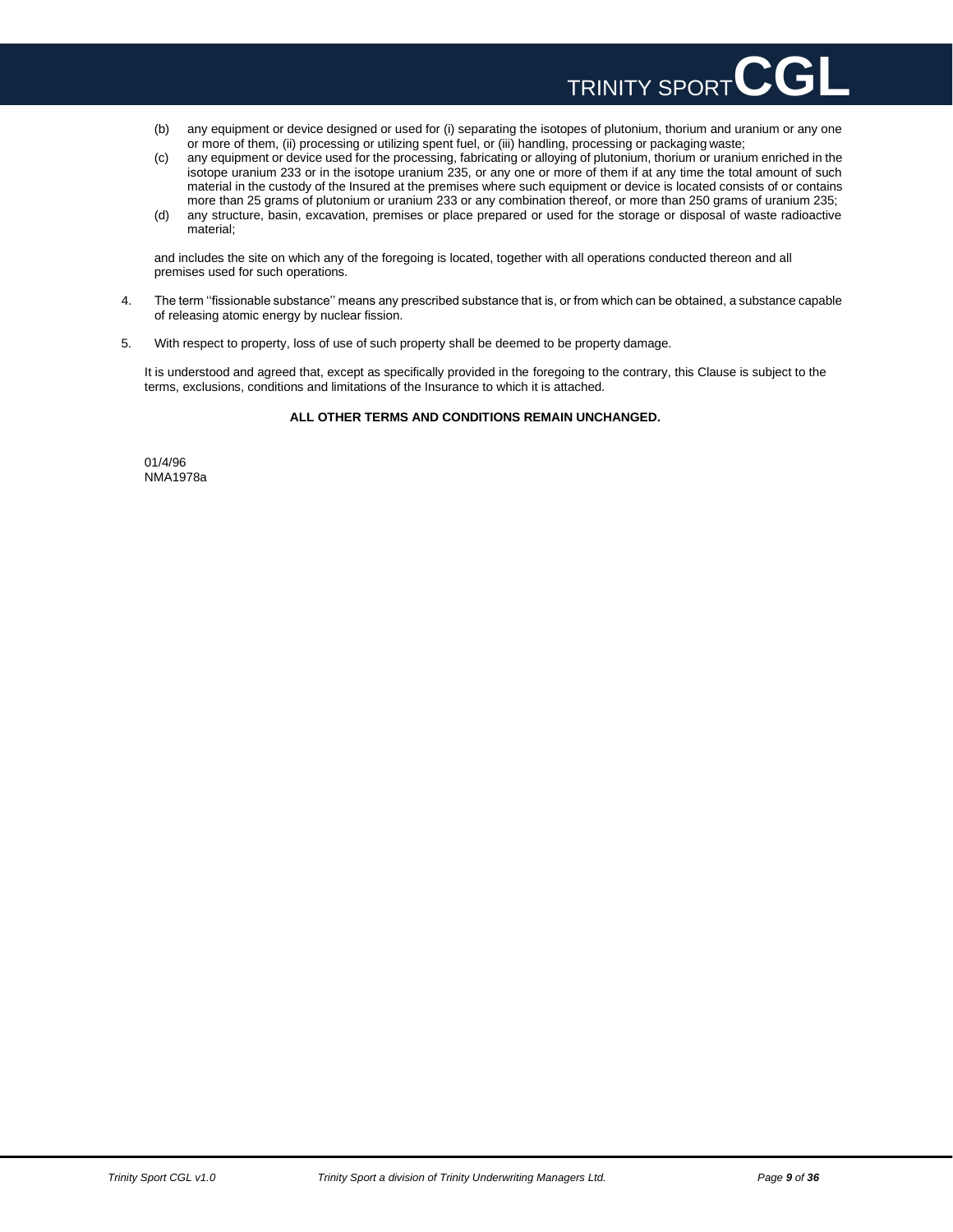

- (b) any equipment or device designed or used for (i) separating the isotopes of plutonium, thorium and uranium or any one or more of them, (ii) processing or utilizing spent fuel, or (iii) handling, processing or packaging waste;
- (c) any equipment or device used for the processing, fabricating or alloying of plutonium, thorium or uranium enriched in the isotope uranium 233 or in the isotope uranium 235, or any one or more of them if at any time the total amount of such material in the custody of the Insured at the premises where such equipment or device is located consists of or contains more than 25 grams of plutonium or uranium 233 or any combination thereof, or more than 250 grams of uranium 235;
- (d) any structure, basin, excavation, premises or place prepared or used for the storage or disposal of waste radioactive material;

and includes the site on which any of the foregoing is located, together with all operations conducted thereon and all premises used for such operations.

- 4. The term ''fissionable substance'' means any prescribed substance that is, or from which can be obtained, a substance capable of releasing atomic energy by nuclear fission.
- 5. With respect to property, loss of use of such property shall be deemed to be property damage.

It is understood and agreed that, except as specifically provided in the foregoing to the contrary, this Clause is subject to the terms, exclusions, conditions and limitations of the Insurance to which it is attached.

### **ALL OTHER TERMS AND CONDITIONS REMAIN UNCHANGED.**

01/4/96 NMA1978a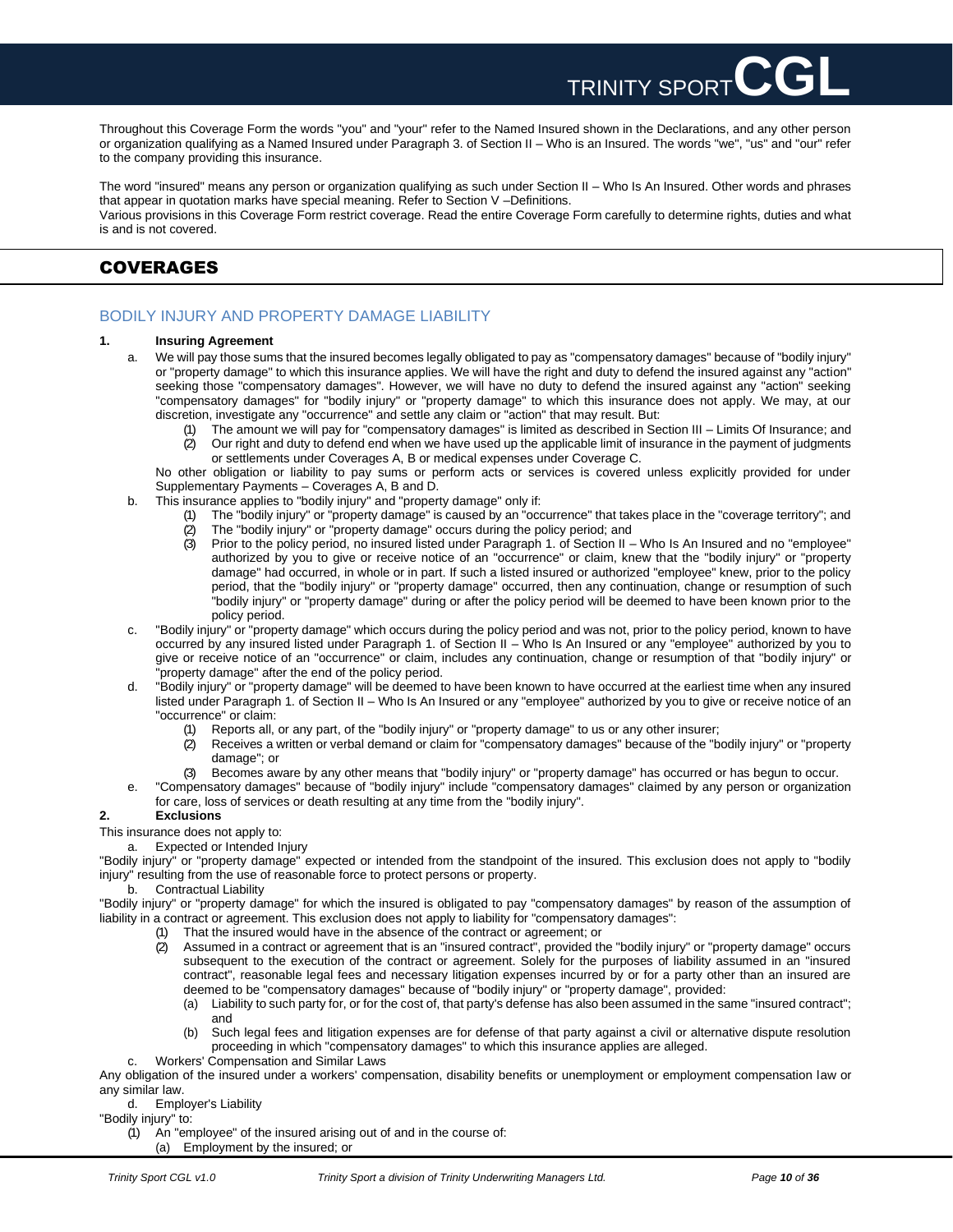Throughout this Coverage Form the words "you" and "your" refer to the Named Insured shown in the Declarations, and any other person or organization qualifying as a Named Insured under Paragraph 3. of Section II – Who is an Insured. The words "we", "us" and "our" refer to the company providing this insurance.

TRINITY SPORT

The word "insured" means any person or organization qualifying as such under Section II – Who Is An Insured. Other words and phrases that appear in quotation marks have special meaning. Refer to Section V –Definitions. Various provisions in this Coverage Form restrict coverage. Read the entire Coverage Form carefully to determine rights, duties and what is and is not covered.

# <span id="page-9-0"></span>COVERAGES

# BODILY INJURY AND PROPERTY DAMAGE LIABILITY

### **1. Insuring Agreement**

- a. We will pay those sums that the insured becomes legally obligated to pay as "compensatory damages" because of "bodily injury" or "property damage" to which this insurance applies. We will have the right and duty to defend the insured against any "action" seeking those "compensatory damages". However, we will have no duty to defend the insured against any "action" seeking "compensatory damages" for "bodily injury" or "property damage" to which this insurance does not apply. We may, at our discretion, investigate any "occurrence" and settle any claim or "action" that may result. But:
	- The amount we will pay for "compensatory damages" is limited as described in Section III Limits Of Insurance; and (2) Our right and duty to defend end when we have used up the applicable limit of insurance in the payment of judgments or settlements under Coverages A, B or medical expenses under Coverage C.

No other obligation or liability to pay sums or perform acts or services is covered unless explicitly provided for under Supplementary Payments – Coverages A, B and D.

- b. This insurance applies to "bodily injury" and "property damage" only if:
	- (1) The "bodily injury" or "property damage" is caused by an "occurrence" that takes place in the "coverage territory"; and
	- (2) The "bodily injury" or "property damage" occurs during the policy period; and
	- (3) Prior to the policy period, no insured listed under Paragraph 1. of Section II Who Is An Insured and no "employee" authorized by you to give or receive notice of an "occurrence" or claim, knew that the "bodily injury" or "property damage" had occurred, in whole or in part. If such a listed insured or authorized "employee" knew, prior to the policy period, that the "bodily injury" or "property damage" occurred, then any continuation, change or resumption of such "bodily injury" or "property damage" during or after the policy period will be deemed to have been known prior to the policy period.
- c. "Bodily injury" or "property damage" which occurs during the policy period and was not, prior to the policy period, known to have occurred by any insured listed under Paragraph 1. of Section II – Who Is An Insured or any "employee" authorized by you to give or receive notice of an "occurrence" or claim, includes any continuation, change or resumption of that "bodily injury" or property damage" after the end of the policy period.
- d. "Bodily injury" or "property damage" will be deemed to have been known to have occurred at the earliest time when any insured listed under Paragraph 1. of Section II – Who Is An Insured or any "employee" authorized by you to give or receive notice of an "occurrence" or claim:
	- (1) Reports all, or any part, of the "bodily injury" or "property damage" to us or any other insurer;
	- (2) Receives a written or verbal demand or claim for "compensatory damages" because of the "bodily injury" or "property damage"; or
	- (3) Becomes aware by any other means that "bodily injury" or "property damage" has occurred or has begun to occur.
- e. "Compensatory damages" because of "bodily injury" include "compensatory damages" claimed by any person or organization for care, loss of services or death resulting at any time from the "bodily injury".

### **2. Exclusions**

This insurance does not apply to:

a. Expected or Intended Injury

"Bodily injury" or "property damage" expected or intended from the standpoint of the insured. This exclusion does not apply to "bodily injury" resulting from the use of reasonable force to protect persons or property.

b. Contractual Liability

"Bodily injury" or "property damage" for which the insured is obligated to pay "compensatory damages" by reason of the assumption of liability in a contract or agreement. This exclusion does not apply to liability for "compensatory damages":

- (1) That the insured would have in the absence of the contract or agreement; or
- $(2)$  Assumed in a contract or agreement that is an "insured contract", provided the "bodily injury" or "property damage" occurs subsequent to the execution of the contract or agreement. Solely for the purposes of liability assumed in an "insured contract", reasonable legal fees and necessary litigation expenses incurred by or for a party other than an insured are deemed to be "compensatory damages" because of "bodily injury" or "property damage", provided:
	- (a) Liability to such party for, or for the cost of, that party's defense has also been assumed in the same "insured contract"; and
	- (b) Such legal fees and litigation expenses are for defense of that party against a civil or alternative dispute resolution proceeding in which "compensatory damages" to which this insurance applies are alleged.
- c. Workers' Compensation and Similar Laws

Any obligation of the insured under a workers' compensation, disability benefits or unemployment or employment compensation law or any similar law.

d. Employer's Liability

"Bodily injury" to:

(1) An "employee" of the insured arising out of and in the course of:

(a) Employment by the insured; or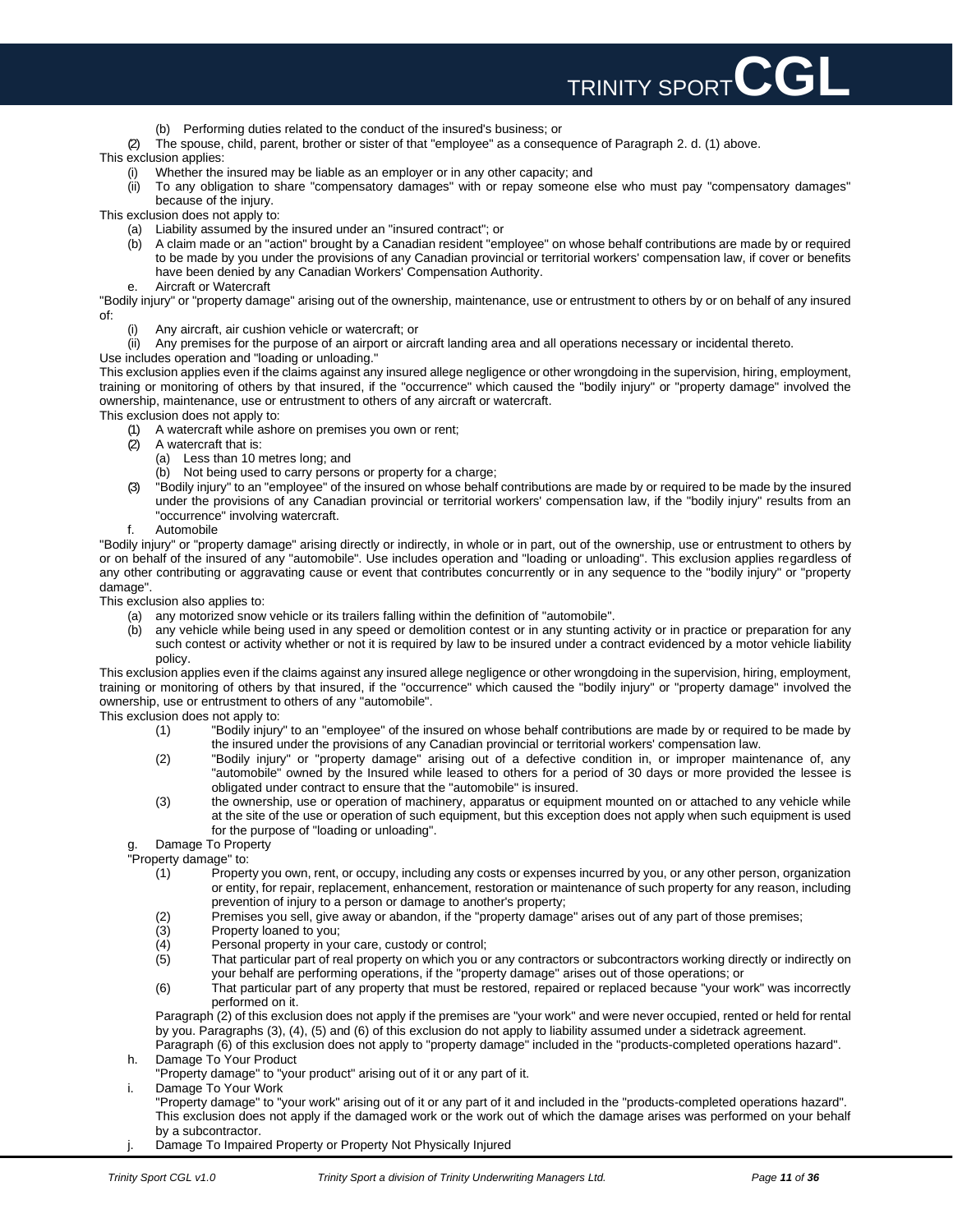

- (b) Performing duties related to the conduct of the insured's business; or
- (2) The spouse, child, parent, brother or sister of that "employee" as a consequence of Paragraph 2. d. (1) above.

This exclusion applies:

- (i) Whether the insured may be liable as an employer or in any other capacity; and
- (ii) To any obligation to share "compensatory damages" with or repay someone else who must pay "compensatory damages" because of the injury.

This exclusion does not apply to:

- (a) Liability assumed by the insured under an "insured contract"; or
- (b) A claim made or an "action" brought by a Canadian resident "employee" on whose behalf contributions are made by or required to be made by you under the provisions of any Canadian provincial or territorial workers' compensation law, if cover or benefits have been denied by any Canadian Workers' Compensation Authority.
- e. Aircraft or Watercraft

"Bodily injury" or "property damage" arising out of the ownership, maintenance, use or entrustment to others by or on behalf of any insured of:

- Any aircraft, air cushion vehicle or watercraft; or
- (ii) Any premises for the purpose of an airport or aircraft landing area and all operations necessary or incidental thereto.
- Use includes operation and "loading or unloading."

This exclusion applies even if the claims against any insured allege negligence or other wrongdoing in the supervision, hiring, employment, training or monitoring of others by that insured, if the "occurrence" which caused the "bodily injury" or "property damage" involved the ownership, maintenance, use or entrustment to others of any aircraft or watercraft.

- This exclusion does not apply to:
	- (1) A watercraft while ashore on premises you own or rent;
	- A watercraft that is:
		- (a) Less than 10 metres long; and
		- (b) Not being used to carry persons or property for a charge;
	- (3) "Bodily injury" to an "employee" of the insured on whose behalf contributions are made by or required to be made by the insured under the provisions of any Canadian provincial or territorial workers' compensation law, if the "bodily injury" results from an "occurrence" involving watercraft.
	- f. Automobile

"Bodily injury" or "property damage" arising directly or indirectly, in whole or in part, out of the ownership, use or entrustment to others by or on behalf of the insured of any "automobile". Use includes operation and "loading or unloading". This exclusion applies regardless of any other contributing or aggravating cause or event that contributes concurrently or in any sequence to the "bodily injury" or "property damage".

This exclusion also applies to:

- (a) any motorized snow vehicle or its trailers falling within the definition of "automobile".
- (b) any vehicle while being used in any speed or demolition contest or in any stunting activity or in practice or preparation for any such contest or activity whether or not it is required by law to be insured under a contract evidenced by a motor vehicle liability policy.

This exclusion applies even if the claims against any insured allege negligence or other wrongdoing in the supervision, hiring, employment, training or monitoring of others by that insured, if the "occurrence" which caused the "bodily injury" or "property damage" involved the ownership, use or entrustment to others of any "automobile".

This exclusion does not apply to:

- (1) "Bodily injury" to an "employee" of the insured on whose behalf contributions are made by or required to be made by the insured under the provisions of any Canadian provincial or territorial workers' compensation law.
- (2) "Bodily injury" or "property damage" arising out of a defective condition in, or improper maintenance of, any "automobile" owned by the Insured while leased to others for a period of 30 days or more provided the lessee is obligated under contract to ensure that the "automobile" is insured.
- (3) the ownership, use or operation of machinery, apparatus or equipment mounted on or attached to any vehicle while at the site of the use or operation of such equipment, but this exception does not apply when such equipment is used for the purpose of "loading or unloading".
	-

g. Damage To Property "Property damage" to:

- (1) Property you own, rent, or occupy, including any costs or expenses incurred by you, or any other person, organization or entity, for repair, replacement, enhancement, restoration or maintenance of such property for any reason, including prevention of injury to a person or damage to another's property;
- (2) Premises you sell, give away or abandon, if the "property damage" arises out of any part of those premises;
- (3) Property loaned to you;
- (4) Personal property in your care, custody or control;
- (5) That particular part of real property on which you or any contractors or subcontractors working directly or indirectly on your behalf are performing operations, if the "property damage" arises out of those operations; or
- (6) That particular part of any property that must be restored, repaired or replaced because "your work" was incorrectly performed on it.

Paragraph (2) of this exclusion does not apply if the premises are "your work" and were never occupied, rented or held for rental by you. Paragraphs (3), (4), (5) and (6) of this exclusion do not apply to liability assumed under a sidetrack agreement. Paragraph (6) of this exclusion does not apply to "property damage" included in the "products-completed operations hazard".

- h. Damage To Your Product
	- "Property damage" to "your product" arising out of it or any part of it.
- i. Damage To Your Work

"Property damage" to "your work" arising out of it or any part of it and included in the "products-completed operations hazard". This exclusion does not apply if the damaged work or the work out of which the damage arises was performed on your behalf by a subcontractor.

j. Damage To Impaired Property or Property Not Physically Injured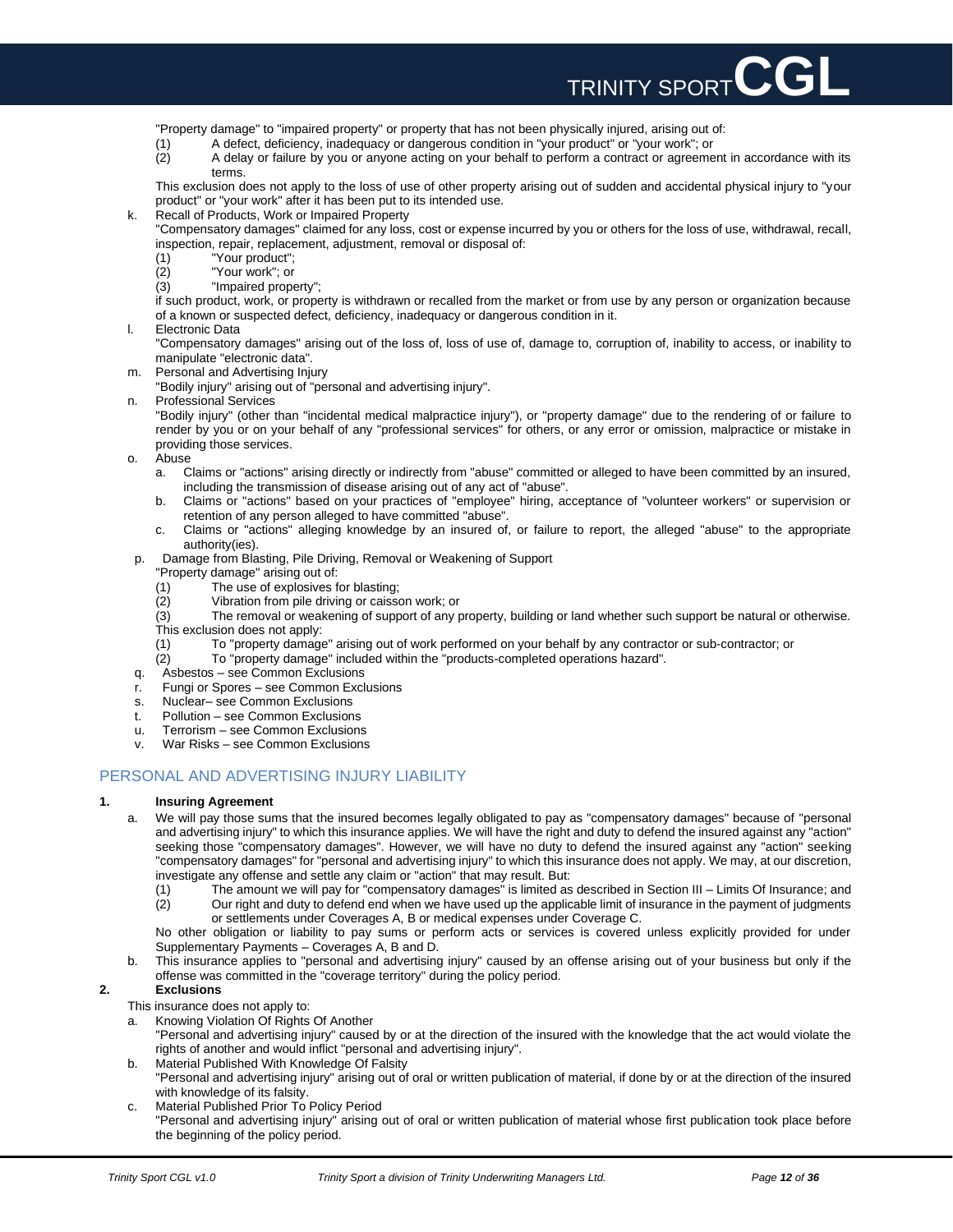"Property damage" to "impaired property" or property that has not been physically injured, arising out of:

- (1) A defect, deficiency, inadequacy or dangerous condition in "your product" or "your work"; or
- (2) A delay or failure by you or anyone acting on your behalf to perform a contract or agreement in accordance with its terms.

TRINITY SPORT**CGL**

This exclusion does not apply to the loss of use of other property arising out of sudden and accidental physical injury to "your product" or "your work" after it has been put to its intended use.

k. Recall of Products, Work or Impaired Property

"Compensatory damages" claimed for any loss, cost or expense incurred by you or others for the loss of use, withdrawal, recall, inspection, repair, replacement, adjustment, removal or disposal of:

- (1) "Your product";
- (2) "Your work"; or
- (3) "Impaired property";

if such product, work, or property is withdrawn or recalled from the market or from use by any person or organization because of a known or suspected defect, deficiency, inadequacy or dangerous condition in it.

l. Electronic Data

"Compensatory damages" arising out of the loss of, loss of use of, damage to, corruption of, inability to access, or inability to manipulate "electronic data".

m. Personal and Advertising Injury

"Bodily injury" arising out of "personal and advertising injury".

n. Professional Services

"Bodily injury" (other than "incidental medical malpractice injury"), or "property damage" due to the rendering of or failure to render by you or on your behalf of any "professional services" for others, or any error or omission, malpractice or mistake in providing those services.

- o. Abuse
	- a. Claims or "actions" arising directly or indirectly from "abuse" committed or alleged to have been committed by an insured, including the transmission of disease arising out of any act of "abuse".
	- b. Claims or "actions" based on your practices of "employee" hiring, acceptance of "volunteer workers" or supervision or retention of any person alleged to have committed "abuse".
	- c. Claims or "actions" alleging knowledge by an insured of, or failure to report, the alleged "abuse" to the appropriate authority(ies).
- p. Damage from Blasting, Pile Driving, Removal or Weakening of Support
	- "Property damage" arising out of: (1) The use of explosives for blasting;
	- (2) Vibration from pile driving or caisson work; or

(3) The removal or weakening of support of any property, building or land whether such support be natural or otherwise. This exclusion does not apply:

- (1) To "property damage" arising out of work performed on your behalf by any contractor or sub-contractor; or (2) To "property damage" included within the "products-completed operations hazard".
	- (2) To "property damage" included within the "products-completed operations hazard".
- q. Asbestos see Common Exclusions
- r. Fungi or Spores see Common Exclusions
- s. Nuclear– see Common Exclusions
- t. Pollution see Common Exclusions
- u. Terrorism see Common Exclusions
- v. War Risks see Common Exclusions

# PERSONAL AND ADVERTISING INJURY LIABILITY

### **1. Insuring Agreement**

- a. We will pay those sums that the insured becomes legally obligated to pay as "compensatory damages" because of "personal and advertising injury" to which this insurance applies. We will have the right and duty to defend the insured against any "action" seeking those "compensatory damages". However, we will have no duty to defend the insured against any "action" seeking "compensatory damages" for "personal and advertising injury" to which this insurance does not apply. We may, at our discretion, investigate any offense and settle any claim or "action" that may result. But:
	- (1) The amount we will pay for "compensatory damages" is limited as described in Section III Limits Of Insurance; and (2) Our right and duty to defend end when we have used up the applicable limit of insurance in the payment of judgments

or settlements under Coverages A, B or medical expenses under Coverage C. No other obligation or liability to pay sums or perform acts or services is covered unless explicitly provided for under Supplementary Payments – Coverages A, B and D.

b. This insurance applies to "personal and advertising injury" caused by an offense arising out of your business but only if the offense was committed in the "coverage territory" during the policy period.

## **2. Exclusions**

This insurance does not apply to:

- a. Knowing Violation Of Rights Of Another
- "Personal and advertising injury" caused by or at the direction of the insured with the knowledge that the act would violate the rights of another and would inflict "personal and advertising injury".
- b. Material Published With Knowledge Of Falsity
- "Personal and advertising injury" arising out of oral or written publication of material, if done by or at the direction of the insured with knowledge of its falsity. c. Material Published Prior To Policy Period
- "Personal and advertising injury" arising out of oral or written publication of material whose first publication took place before the beginning of the policy period.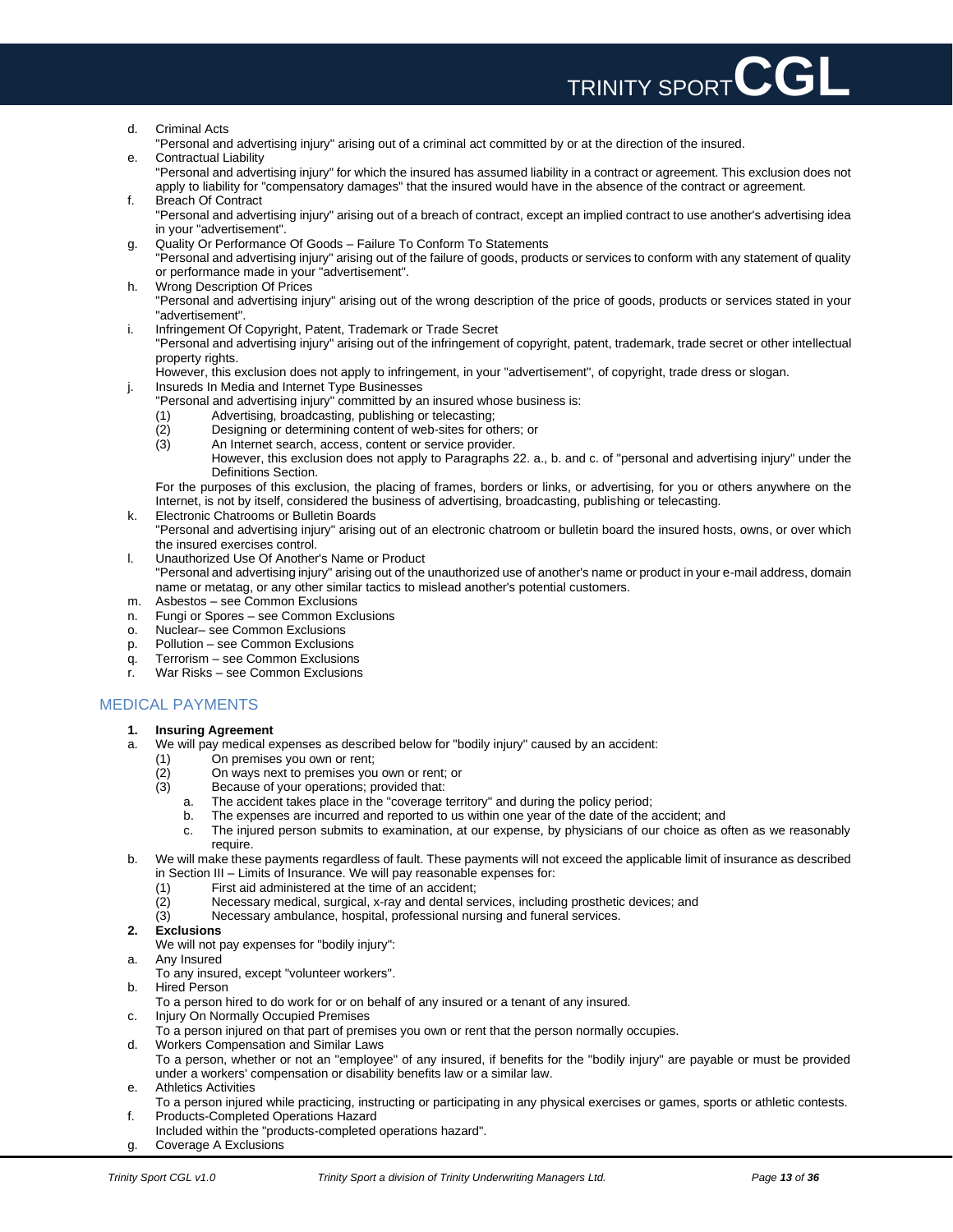

- d. Criminal Acts
- "Personal and advertising injury" arising out of a criminal act committed by or at the direction of the insured. e. Contractual Liability

"Personal and advertising injury" for which the insured has assumed liability in a contract or agreement. This exclusion does not apply to liability for "compensatory damages" that the insured would have in the absence of the contract or agreement. f. Breach Of Contract

- "Personal and advertising injury" arising out of a breach of contract, except an implied contract to use another's advertising idea in your "advertisement".
- g. Quality Or Performance Of Goods Failure To Conform To Statements
- "Personal and advertising injury" arising out of the failure of goods, products or services to conform with any statement of quality or performance made in your "advertisement".
- h. Wrong Description Of Prices "Personal and advertising injury" arising out of the wrong description of the price of goods, products or services stated in your "advertisement".
- i. Infringement Of Copyright, Patent, Trademark or Trade Secret

"Personal and advertising injury" arising out of the infringement of copyright, patent, trademark, trade secret or other intellectual property rights.

However, this exclusion does not apply to infringement, in your "advertisement", of copyright, trade dress or slogan.

- j. Insureds In Media and Internet Type Businesses
	- "Personal and advertising injury" committed by an insured whose business is:
	- (1) Advertising, broadcasting, publishing or telecasting;
	- (2) Designing or determining content of web-sites for others; or<br>(3) An Internet search, access, content or service provider.
	- An Internet search, access, content or service provider. However, this exclusion does not apply to Paragraphs 22. a., b. and c. of "personal and advertising injury" under the Definitions Section.

For the purposes of this exclusion, the placing of frames, borders or links, or advertising, for you or others anywhere on the Internet, is not by itself, considered the business of advertising, broadcasting, publishing or telecasting.

- k. Electronic Chatrooms or Bulletin Boards "Personal and advertising injury" arising out of an electronic chatroom or bulletin board the insured hosts, owns, or over which the insured exercises control.
- l. Unauthorized Use Of Another's Name or Product

"Personal and advertising injury" arising out of the unauthorized use of another's name or product in your e-mail address, domain name or metatag, or any other similar tactics to mislead another's potential customers.

- m. Asbestos see Common Exclusions
- n. Fungi or Spores see Common Exclusions
- o. Nuclear– see Common Exclusions
- p. Pollution see Common Exclusions
- q. Terrorism see Common Exclusions
- r. War Risks see Common Exclusions

# MEDICAL PAYMENTS

### **1. Insuring Agreement**

- a. We will pay medical expenses as described below for "bodily injury" caused by an accident:
	- (1) On premises you own or rent;<br>(2) On ways next to premises you
		- (2) On ways next to premises you own or rent; or
		- (3) Because of your operations; provided that:
			- a. The accident takes place in the "coverage territory" and during the policy period;
			-
			- b. The expenses are incurred and reported to us within one year of the date of the accident; and c. The injured person submits to examination, at our expense, by physicians of our choice as o The injured person submits to examination, at our expense, by physicians of our choice as often as we reasonably require.

### b. We will make these payments regardless of fault. These payments will not exceed the applicable limit of insurance as described in Section III – Limits of Insurance. We will pay reasonable expenses for:

- (1) First aid administered at the time of an accident;
- (2) Necessary medical, surgical, x-ray and dental services, including prosthetic devices; and
- (3) Necessary ambulance, hospital, professional nursing and funeral services.
- **2. Exclusions**
- We will not pay expenses for "bodily injury":
- a. Any Insured
- To any insured, except "volunteer workers".
- b. Hired Person
- To a person hired to do work for or on behalf of any insured or a tenant of any insured.
- c. Injury On Normally Occupied Premises
- To a person injured on that part of premises you own or rent that the person normally occupies.
- d. Workers Compensation and Similar Laws To a person, whether or not an "employee" of any insured, if benefits for the "bodily injury" are payable or must be provided under a workers' compensation or disability benefits law or a similar law.
- e. Athletics Activities
- To a person injured while practicing, instructing or participating in any physical exercises or games, sports or athletic contests. f. Products-Completed Operations Hazard
- Included within the "products-completed operations hazard".
- g. Coverage A Exclusions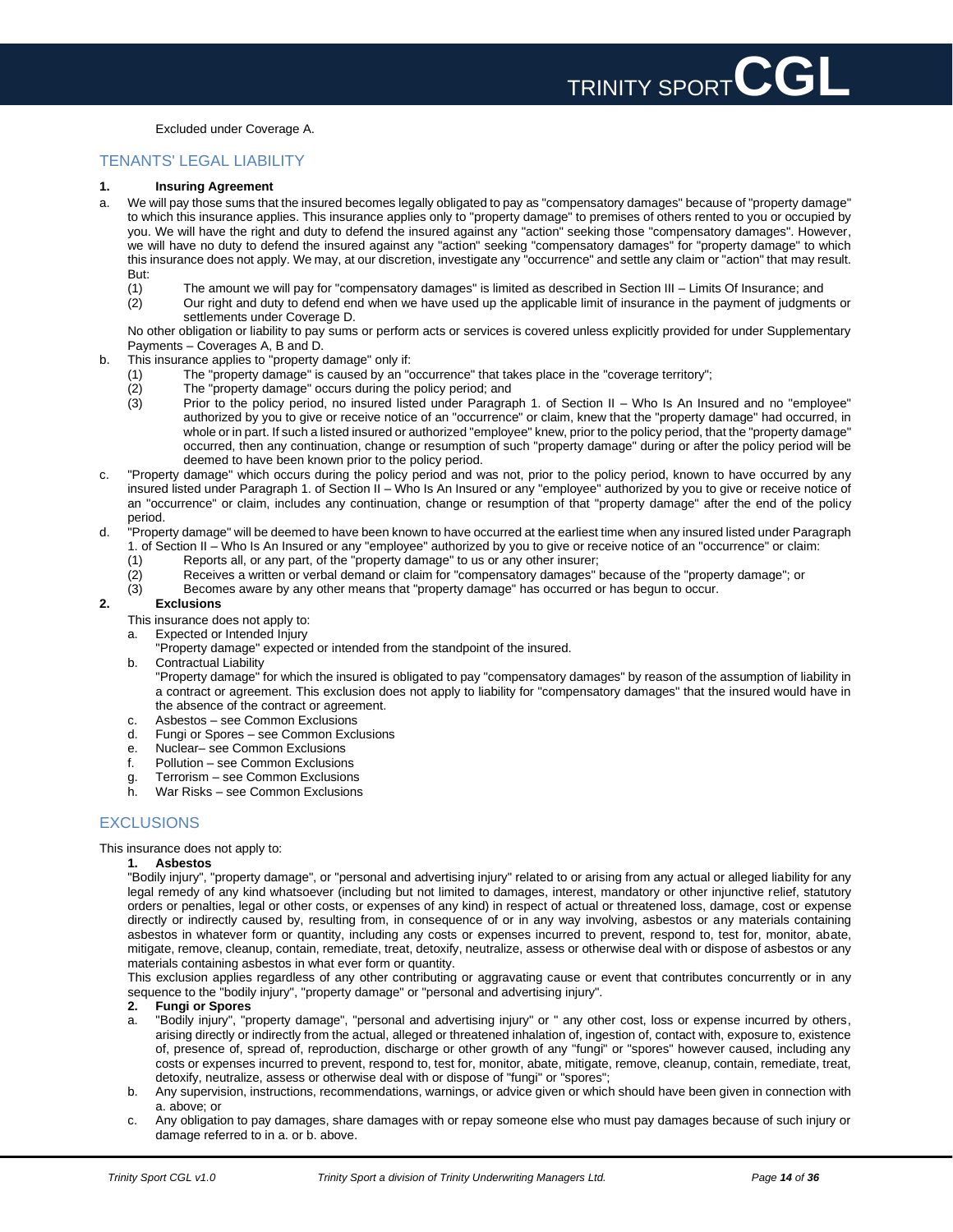Excluded under Coverage A.

### TENANTS' LEGAL LIABILITY

### **1. Insuring Agreement**

- a. We will pay those sums that the insured becomes legally obligated to pay as "compensatory damages" because of "property damage" to which this insurance applies. This insurance applies only to "property damage" to premises of others rented to you or occupied by you. We will have the right and duty to defend the insured against any "action" seeking those "compensatory damages". However, we will have no duty to defend the insured against any "action" seeking "compensatory damages" for "property damage" to which this insurance does not apply. We may, at our discretion, investigate any "occurrence" and settle any claim or "action" that may result. But:
	- (1) The amount we will pay for "compensatory damages" is limited as described in Section III Limits Of Insurance; and<br>(2) Our right and duty to defend end when we have used up the applicable limit of insurance in the pay
	- (2) Our right and duty to defend end when we have used up the applicable limit of insurance in the payment of judgments or settlements under Coverage D.

No other obligation or liability to pay sums or perform acts or services is covered unless explicitly provided for under Supplementary Payments – Coverages A, B and D.

- b. This insurance applies to "property damage" only if:
	- (1) The "property damage" is caused by an "occurrence" that takes place in the "coverage territory";
	- (2) The "property damage" occurs during the policy period; and<br>(3) Prior to the policy period, no insured listed under Paragra
		- Prior to the policy period, no insured listed under Paragraph 1. of Section II Who Is An Insured and no "employee" authorized by you to give or receive notice of an "occurrence" or claim, knew that the "property damage" had occurred, in whole or in part. If such a listed insured or authorized "employee" knew, prior to the policy period, that the "property damage" occurred, then any continuation, change or resumption of such "property damage" during or after the policy period will be deemed to have been known prior to the policy period.
- c. "Property damage" which occurs during the policy period and was not, prior to the policy period, known to have occurred by any insured listed under Paragraph 1. of Section II – Who Is An Insured or any "employee" authorized by you to give or receive notice of an "occurrence" or claim, includes any continuation, change or resumption of that "property damage" after the end of the policy period.
- d. "Property damage" will be deemed to have been known to have occurred at the earliest time when any insured listed under Paragraph 1. of Section II – Who Is An Insured or any "employee" authorized by you to give or receive notice of an "occurrence" or claim:
	- (1) Reports all, or any part, of the "property damage" to us or any other insurer;
	- (2) Receives a written or verbal demand or claim for "compensatory damages" because of the "property damage"; or
	- (3) Becomes aware by any other means that "property damage" has occurred or has begun to occur.

### **2. Exclusions**

- This insurance does not apply to:
- a. Expected or Intended Injury
	- "Property damage" expected or intended from the standpoint of the insured.
- b. Contractual Liability

"Property damage" for which the insured is obligated to pay "compensatory damages" by reason of the assumption of liability in a contract or agreement. This exclusion does not apply to liability for "compensatory damages" that the insured would have in the absence of the contract or agreement.

- c. Asbestos see Common Exclusions
- d. Fungi or Spores see Common Exclusions
- e. Nuclear– see Common Exclusions
- f. Pollution see Common Exclusions
- g. Terrorism see Common Exclusions
- h. War Risks see Common Exclusions

# **EXCLUSIONS**

This insurance does not apply to:

### **1. Asbestos**

"Bodily injury", "property damage", or "personal and advertising injury" related to or arising from any actual or alleged liability for any legal remedy of any kind whatsoever (including but not limited to damages, interest, mandatory or other injunctive relief, statutory orders or penalties, legal or other costs, or expenses of any kind) in respect of actual or threatened loss, damage, cost or expense directly or indirectly caused by, resulting from, in consequence of or in any way involving, asbestos or any materials containing asbestos in whatever form or quantity, including any costs or expenses incurred to prevent, respond to, test for, monitor, abate, mitigate, remove, cleanup, contain, remediate, treat, detoxify, neutralize, assess or otherwise deal with or dispose of asbestos or any materials containing asbestos in what ever form or quantity.

This exclusion applies regardless of any other contributing or aggravating cause or event that contributes concurrently or in any sequence to the "bodily injury", "property damage" or "personal and advertising injury".

### **2. Fungi or Spores**

- a. "Bodily injury", "property damage", "personal and advertising injury" or " any other cost, loss or expense incurred by others, arising directly or indirectly from the actual, alleged or threatened inhalation of, ingestion of, contact with, exposure to, existence of, presence of, spread of, reproduction, discharge or other growth of any "fungi" or "spores" however caused, including any costs or expenses incurred to prevent, respond to, test for, monitor, abate, mitigate, remove, cleanup, contain, remediate, treat, detoxify, neutralize, assess or otherwise deal with or dispose of "fungi" or "spores";
- b. Any supervision, instructions, recommendations, warnings, or advice given or which should have been given in connection with a. above; or
- c. Any obligation to pay damages, share damages with or repay someone else who must pay damages because of such injury or damage referred to in a. or b. above.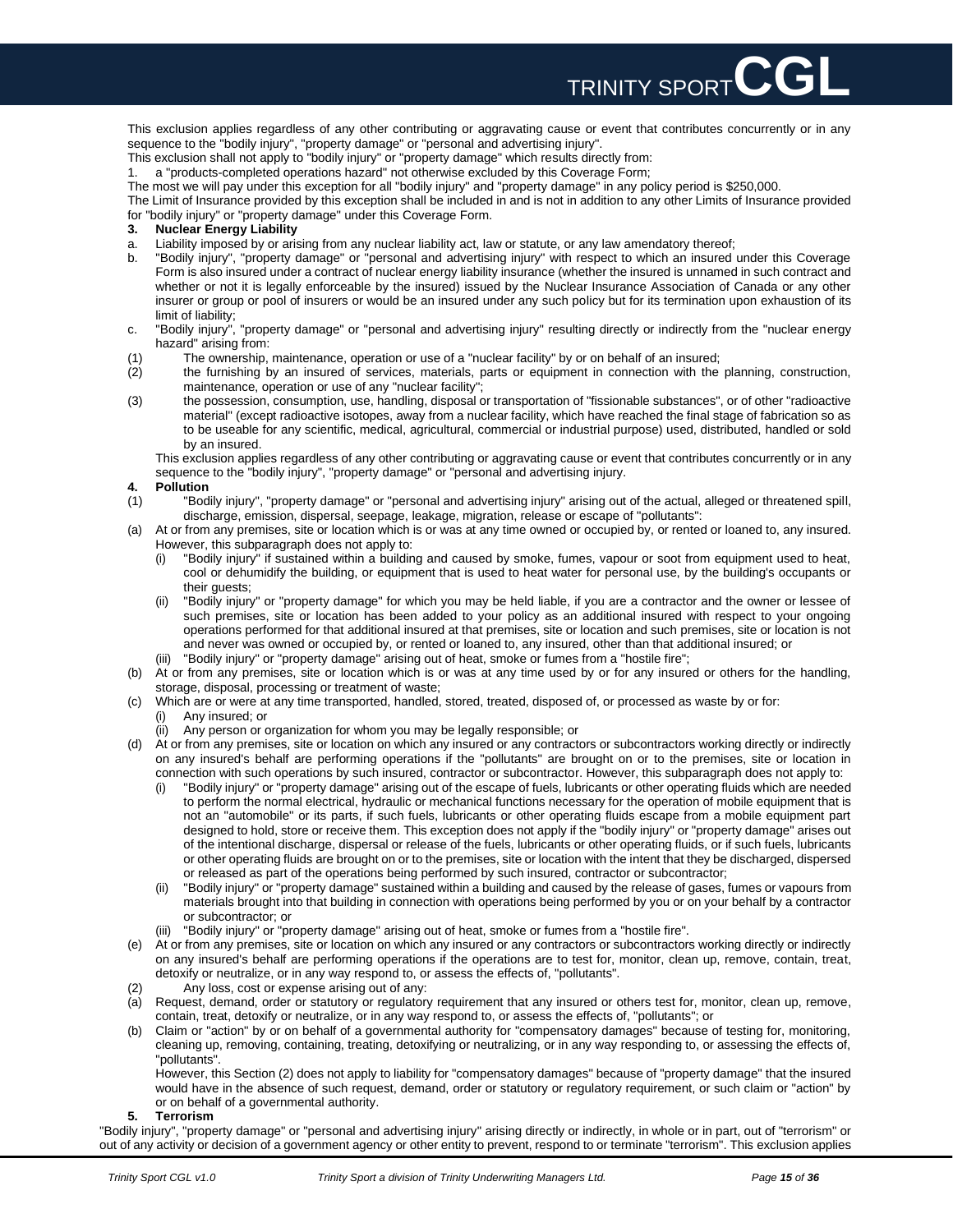

This exclusion applies regardless of any other contributing or aggravating cause or event that contributes concurrently or in any sequence to the "bodily injury", "property damage" or "personal and advertising injury".

This exclusion shall not apply to "bodily injury" or "property damage" which results directly from:

1. a "products-completed operations hazard" not otherwise excluded by this Coverage Form;

The most we will pay under this exception for all "bodily injury" and "property damage" in any policy period is \$250,000.

The Limit of Insurance provided by this exception shall be included in and is not in addition to any other Limits of Insurance provided

for "bodily injury" or "property damage" under this Coverage Form.

- **3. Nuclear Energy Liability**
- a. Liability imposed by or arising from any nuclear liability act, law or statute, or any law amendatory thereof;
- b. "Bodily injury", "property damage" or "personal and advertising injury" with respect to which an insured under this Coverage Form is also insured under a contract of nuclear energy liability insurance (whether the insured is unnamed in such contract and whether or not it is legally enforceable by the insured) issued by the Nuclear Insurance Association of Canada or any other insurer or group or pool of insurers or would be an insured under any such policy but for its termination upon exhaustion of its limit of liability;
- c. "Bodily injury", "property damage" or "personal and advertising injury" resulting directly or indirectly from the "nuclear energy hazard" arising from:
- (1) The ownership, maintenance, operation or use of a "nuclear facility" by or on behalf of an insured;
- (2) the furnishing by an insured of services, materials, parts or equipment in connection with the planning, construction, maintenance, operation or use of any "nuclear facility";
- (3) the possession, consumption, use, handling, disposal or transportation of "fissionable substances", or of other "radioactive material" (except radioactive isotopes, away from a nuclear facility, which have reached the final stage of fabrication so as to be useable for any scientific, medical, agricultural, commercial or industrial purpose) used, distributed, handled or sold by an insured.

This exclusion applies regardless of any other contributing or aggravating cause or event that contributes concurrently or in any sequence to the "bodily injury", "property damage" or "personal and advertising injury.

- **4. Pollution**
- (1) "Bodily injury", "property damage" or "personal and advertising injury" arising out of the actual, alleged or threatened spill, discharge, emission, dispersal, seepage, leakage, migration, release or escape of "pollutants":
- (a) At or from any premises, site or location which is or was at any time owned or occupied by, or rented or loaned to, any insured. However, this subparagraph does not apply to:
	- (i) "Bodily injury" if sustained within a building and caused by smoke, fumes, vapour or soot from equipment used to heat, cool or dehumidify the building, or equipment that is used to heat water for personal use, by the building's occupants or their guests;
	- (ii) "Bodily injury" or "property damage" for which you may be held liable, if you are a contractor and the owner or lessee of such premises, site or location has been added to your policy as an additional insured with respect to your ongoing operations performed for that additional insured at that premises, site or location and such premises, site or location is not and never was owned or occupied by, or rented or loaned to, any insured, other than that additional insured; or
	- (iii) "Bodily injury" or "property damage" arising out of heat, smoke or fumes from a "hostile fire";
- (b) At or from any premises, site or location which is or was at any time used by or for any insured or others for the handling, storage, disposal, processing or treatment of waste;
- (c) Which are or were at any time transported, handled, stored, treated, disposed of, or processed as waste by or for:
	- Any insured; or
	- (ii) Any person or organization for whom you may be legally responsible; or
- (d) At or from any premises, site or location on which any insured or any contractors or subcontractors working directly or indirectly on any insured's behalf are performing operations if the "pollutants" are brought on or to the premises, site or location in connection with such operations by such insured, contractor or subcontractor. However, this subparagraph does not apply to:
	- (i) "Bodily injury" or "property damage" arising out of the escape of fuels, lubricants or other operating fluids which are needed to perform the normal electrical, hydraulic or mechanical functions necessary for the operation of mobile equipment that is not an "automobile" or its parts, if such fuels, lubricants or other operating fluids escape from a mobile equipment part designed to hold, store or receive them. This exception does not apply if the "bodily injury" or "property damage" arises out of the intentional discharge, dispersal or release of the fuels, lubricants or other operating fluids, or if such fuels, lubricants or other operating fluids are brought on or to the premises, site or location with the intent that they be discharged, dispersed or released as part of the operations being performed by such insured, contractor or subcontractor;
	- (ii) "Bodily injury" or "property damage" sustained within a building and caused by the release of gases, fumes or vapours from materials brought into that building in connection with operations being performed by you or on your behalf by a contractor or subcontractor; or
	- "Bodily injury" or "property damage" arising out of heat, smoke or fumes from a "hostile fire".
- (e) At or from any premises, site or location on which any insured or any contractors or subcontractors working directly or indirectly on any insured's behalf are performing operations if the operations are to test for, monitor, clean up, remove, contain, treat, detoxify or neutralize, or in any way respond to, or assess the effects of, "pollutants".
- Any loss, cost or expense arising out of any:
- (a) Request, demand, order or statutory or regulatory requirement that any insured or others test for, monitor, clean up, remove, contain, treat, detoxify or neutralize, or in any way respond to, or assess the effects of, "pollutants"; or
- Claim or "action" by or on behalf of a governmental authority for "compensatory damages" because of testing for, monitoring, cleaning up, removing, containing, treating, detoxifying or neutralizing, or in any way responding to, or assessing the effects of, "pollutants".

However, this Section (2) does not apply to liability for "compensatory damages" because of "property damage" that the insured would have in the absence of such request, demand, order or statutory or regulatory requirement, or such claim or "action" by or on behalf of a governmental authority.

### **5. Terrorism**

"Bodily injury", "property damage" or "personal and advertising injury" arising directly or indirectly, in whole or in part, out of "terrorism" or out of any activity or decision of a government agency or other entity to prevent, respond to or terminate "terrorism". This exclusion applies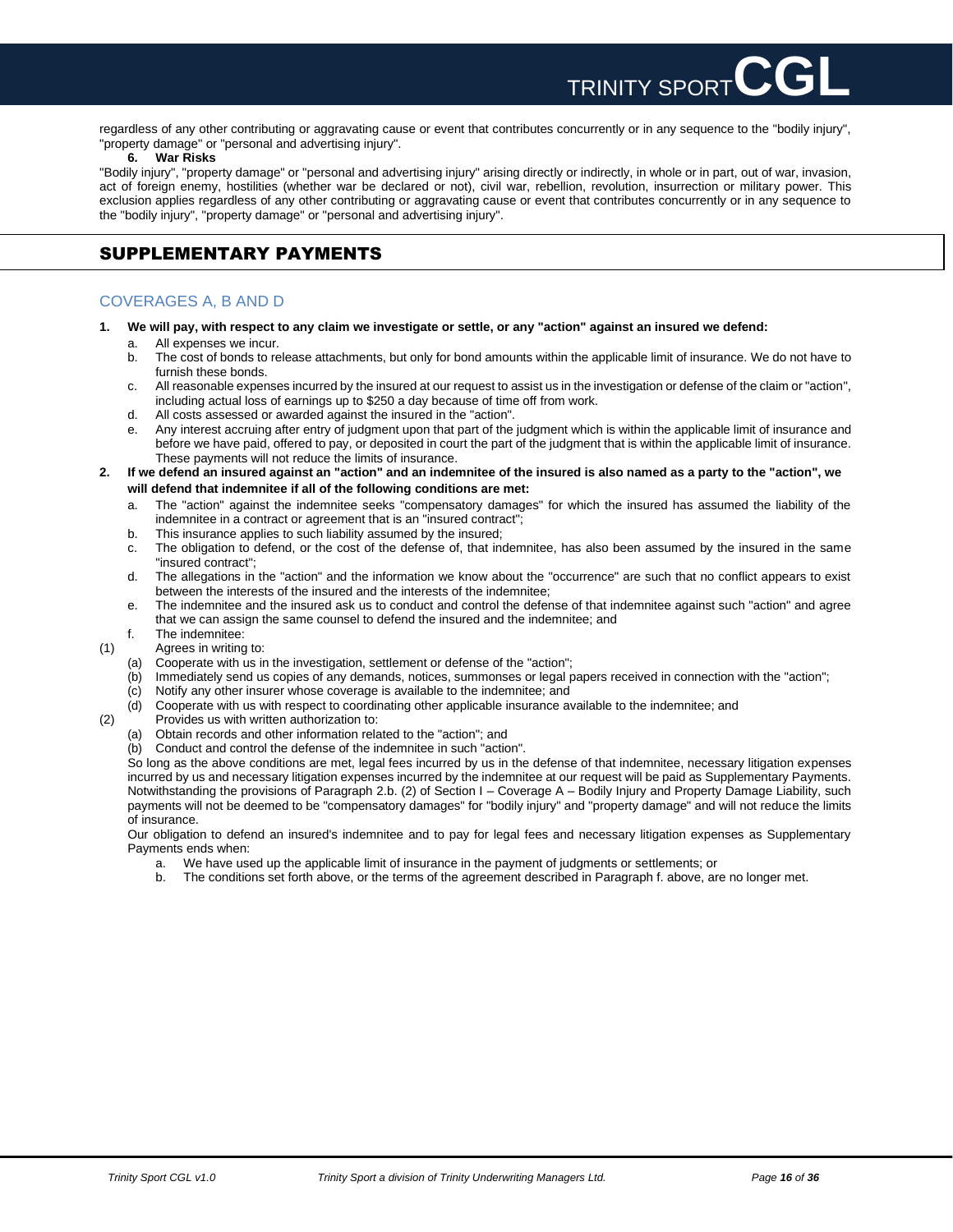regardless of any other contributing or aggravating cause or event that contributes concurrently or in any sequence to the "bodily injury", "property damage" or "personal and advertising injury".

**TRINITY SPORT** 

### **6. War Risks**

"Bodily injury", "property damage" or "personal and advertising injury" arising directly or indirectly, in whole or in part, out of war, invasion, act of foreign enemy, hostilities (whether war be declared or not), civil war, rebellion, revolution, insurrection or military power. This exclusion applies regardless of any other contributing or aggravating cause or event that contributes concurrently or in any sequence to the "bodily injury", "property damage" or "personal and advertising injury".

# <span id="page-15-0"></span>SUPPLEMENTARY PAYMENTS

### COVERAGES A, B AND D

- **1. We will pay, with respect to any claim we investigate or settle, or any "action" against an insured we defend:**
	- a. All expenses we incur.<br>b. The cost of bonds to re
	- The cost of bonds to release attachments, but only for bond amounts within the applicable limit of insurance. We do not have to furnish these bonds.
	- c. All reasonable expenses incurred by the insured at our request to assist us in the investigation or defense of the claim or "action", including actual loss of earnings up to \$250 a day because of time off from work.
	- d. All costs assessed or awarded against the insured in the "action".
	- e. Any interest accruing after entry of judgment upon that part of the judgment which is within the applicable limit of insurance and before we have paid, offered to pay, or deposited in court the part of the judgment that is within the applicable limit of insurance. These payments will not reduce the limits of insurance.
- **2. If we defend an insured against an "action" and an indemnitee of the insured is also named as a party to the "action", we will defend that indemnitee if all of the following conditions are met:**
	- a. The "action" against the indemnitee seeks "compensatory damages" for which the insured has assumed the liability of the indemnitee in a contract or agreement that is an "insured contract";
	- b. This insurance applies to such liability assumed by the insured;
	- c. The obligation to defend, or the cost of the defense of, that indemnitee, has also been assumed by the insured in the same "insured contract";
	- d. The allegations in the "action" and the information we know about the "occurrence" are such that no conflict appears to exist between the interests of the insured and the interests of the indemnitee;
	- e. The indemnitee and the insured ask us to conduct and control the defense of that indemnitee against such "action" and agree that we can assign the same counsel to defend the insured and the indemnitee; and
	- f. The indemnitee:
- (1) Agrees in writing to:
	- (a) Cooperate with us in the investigation, settlement or defense of the "action";
	- (b) Immediately send us copies of any demands, notices, summonses or legal papers received in connection with the "action";
	- (c) Notify any other insurer whose coverage is available to the indemnitee; and
	- (d) Cooperate with us with respect to coordinating other applicable insurance available to the indemnitee; and
- (2) Provides us with written authorization to:
	- (a) Obtain records and other information related to the "action"; and
	- (b) Conduct and control the defense of the indemnitee in such "action".

So long as the above conditions are met, legal fees incurred by us in the defense of that indemnitee, necessary litigation expenses incurred by us and necessary litigation expenses incurred by the indemnitee at our request will be paid as Supplementary Payments. Notwithstanding the provisions of Paragraph 2.b. (2) of Section I – Coverage A – Bodily Injury and Property Damage Liability, such payments will not be deemed to be "compensatory damages" for "bodily injury" and "property damage" and will not reduce the limits of insurance.

Our obligation to defend an insured's indemnitee and to pay for legal fees and necessary litigation expenses as Supplementary Payments ends when:

- 
- a. We have used up the applicable limit of insurance in the payment of judgments or settlements; or b. The conditions set forth above, or the terms of the agreement described in Paradrabh f. above. and b. The conditions set forth above, or the terms of the agreement described in Paragraph f. above, are no longer met.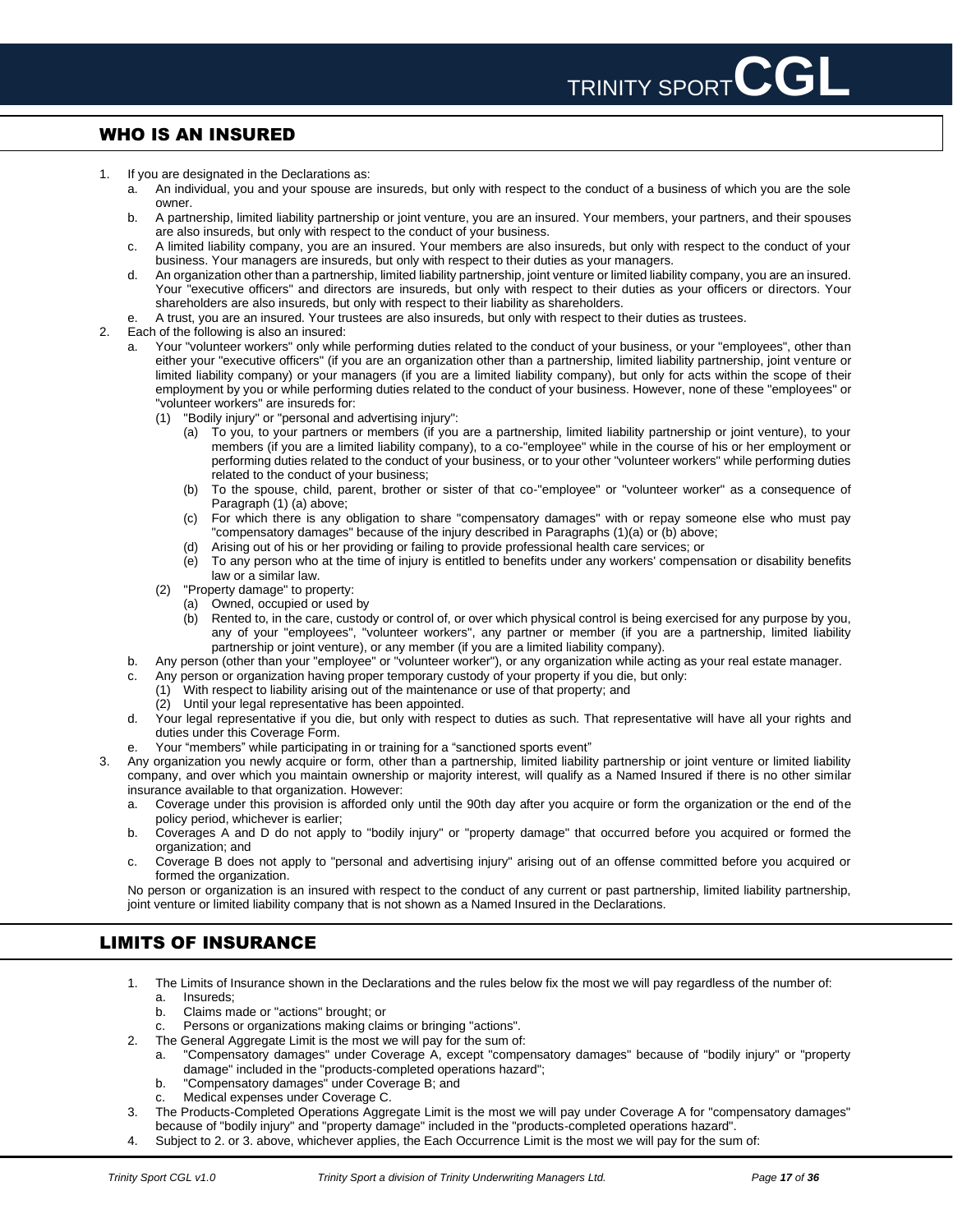# <span id="page-16-0"></span>WHO IS AN INSURED

- 1. If you are designated in the Declarations as:
	- a. An individual, you and your spouse are insureds, but only with respect to the conduct of a business of which you are the sole owner.
	- b. A partnership, limited liability partnership or joint venture, you are an insured. Your members, your partners, and their spouses are also insureds, but only with respect to the conduct of your business.
	- c. A limited liability company, you are an insured. Your members are also insureds, but only with respect to the conduct of your business. Your managers are insureds, but only with respect to their duties as your managers.
	- d. An organization other than a partnership, limited liability partnership, joint venture or limited liability company, you are an insured. Your "executive officers" and directors are insureds, but only with respect to their duties as your officers or directors. Your shareholders are also insureds, but only with respect to their liability as shareholders.
	- e. A trust, you are an insured. Your trustees are also insureds, but only with respect to their duties as trustees.
- 2. Each of the following is also an insured:
	- a. Your "volunteer workers" only while performing duties related to the conduct of your business, or your "employees", other than either your "executive officers" (if you are an organization other than a partnership, limited liability partnership, joint venture or limited liability company) or your managers (if you are a limited liability company), but only for acts within the scope of their employment by you or while performing duties related to the conduct of your business. However, none of these "employees" or "volunteer workers" are insureds for:
		- (1) "Bodily injury" or "personal and advertising injury":
			- (a) To you, to your partners or members (if you are a partnership, limited liability partnership or joint venture), to your members (if you are a limited liability company), to a co-"employee" while in the course of his or her employment or performing duties related to the conduct of your business, or to your other "volunteer workers" while performing duties related to the conduct of your business;
			- (b) To the spouse, child, parent, brother or sister of that co-"employee" or "volunteer worker" as a consequence of Paragraph (1) (a) above;
			- (c) For which there is any obligation to share "compensatory damages" with or repay someone else who must pay "compensatory damages" because of the injury described in Paragraphs (1)(a) or (b) above;
			- (d) Arising out of his or her providing or failing to provide professional health care services; or
			- (e) To any person who at the time of injury is entitled to benefits under any workers' compensation or disability benefits law or a similar law.
		- (2) "Property damage" to property:
			- (a) Owned, occupied or used by
			- (b) Rented to, in the care, custody or control of, or over which physical control is being exercised for any purpose by you, any of your "employees", "volunteer workers", any partner or member (if you are a partnership, limited liability partnership or joint venture), or any member (if you are a limited liability company).
	- b. Any person (other than your "employee" or "volunteer worker"), or any organization while acting as your real estate manager.
	- c. Any person or organization having proper temporary custody of your property if you die, but only:
		- (1) With respect to liability arising out of the maintenance or use of that property; and
		- (2) Until your legal representative has been appointed.
	- d. Your legal representative if you die, but only with respect to duties as such. That representative will have all your rights and duties under this Coverage Form.
	- Your "members" while participating in or training for a "sanctioned sports event"
- 3. Any organization you newly acquire or form, other than a partnership, limited liability partnership or joint venture or limited liability company, and over which you maintain ownership or majority interest, will qualify as a Named Insured if there is no other similar insurance available to that organization. However:
	- a. Coverage under this provision is afforded only until the 90th day after you acquire or form the organization or the end of the policy period, whichever is earlier;
	- b. Coverages A and D do not apply to "bodily injury" or "property damage" that occurred before you acquired or formed the organization; and
	- c. Coverage B does not apply to "personal and advertising injury" arising out of an offense committed before you acquired or formed the organization.

No person or organization is an insured with respect to the conduct of any current or past partnership, limited liability partnership, joint venture or limited liability company that is not shown as a Named Insured in the Declarations.

# <span id="page-16-1"></span>LIMITS OF INSURANCE

- 1. The Limits of Insurance shown in the Declarations and the rules below fix the most we will pay regardless of the number of:
	- a. Insureds;<br>b. Claims ma b. Claims made or "actions" brought; or
	- c. Persons or organizations making claims or bringing "actions".
- 2. The General Aggregate Limit is the most we will pay for the sum of:
	- a. "Compensatory damages" under Coverage A, except "compensatory damages" because of "bodily injury" or "property damage" included in the "products-completed operations hazard";
	- b. "Compensatory damages" under Coverage B; and
	- Medical expenses under Coverage C.
- 3. The Products-Completed Operations Aggregate Limit is the most we will pay under Coverage A for "compensatory damages" because of "bodily injury" and "property damage" included in the "products-completed operations hazard".
- 4. Subject to 2. or 3. above, whichever applies, the Each Occurrence Limit is the most we will pay for the sum of: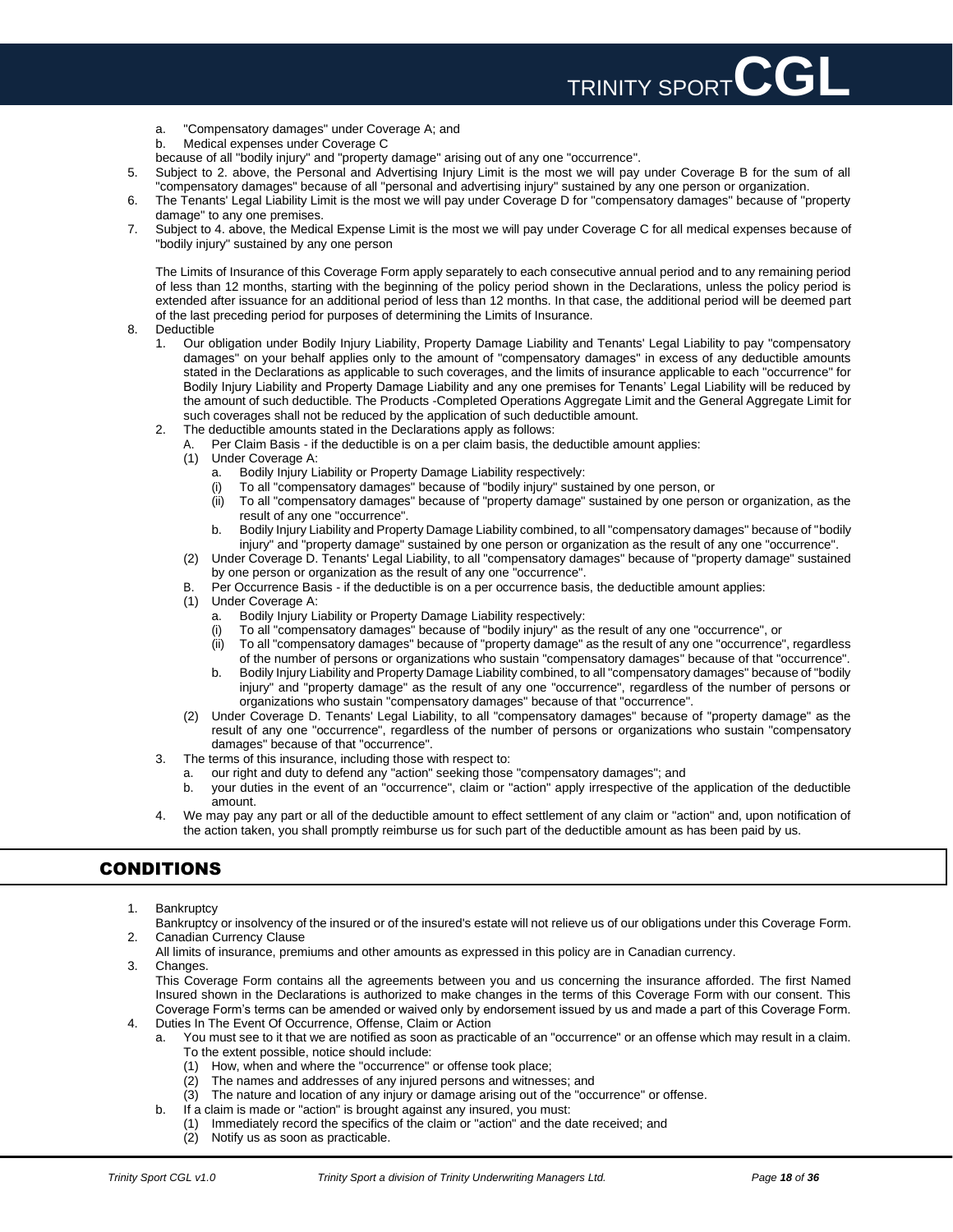

- a. "Compensatory damages" under Coverage A; and
- b. Medical expenses under Coverage C
- because of all "bodily injury" and "property damage" arising out of any one "occurrence".
- 5. Subject to 2. above, the Personal and Advertising Injury Limit is the most we will pay under Coverage B for the sum of all "compensatory damages" because of all "personal and advertising injury" sustained by any one person or organization.
- 6. The Tenants' Legal Liability Limit is the most we will pay under Coverage D for "compensatory damages" because of "property damage" to any one premises.
- 7. Subject to 4. above, the Medical Expense Limit is the most we will pay under Coverage C for all medical expenses because of "bodily injury" sustained by any one person

The Limits of Insurance of this Coverage Form apply separately to each consecutive annual period and to any remaining period of less than 12 months, starting with the beginning of the policy period shown in the Declarations, unless the policy period is extended after issuance for an additional period of less than 12 months. In that case, the additional period will be deemed part of the last preceding period for purposes of determining the Limits of Insurance.

- 8. Deductible
	- 1. Our obligation under Bodily Injury Liability, Property Damage Liability and Tenants' Legal Liability to pay "compensatory damages" on your behalf applies only to the amount of "compensatory damages" in excess of any deductible amounts stated in the Declarations as applicable to such coverages, and the limits of insurance applicable to each "occurrence" for Bodily Injury Liability and Property Damage Liability and any one premises for Tenants' Legal Liability will be reduced by the amount of such deductible. The Products -Completed Operations Aggregate Limit and the General Aggregate Limit for such coverages shall not be reduced by the application of such deductible amount.
	- 2. The deductible amounts stated in the Declarations apply as follows:
		- A. Per Claim Basis if the deductible is on a per claim basis, the deductible amount applies:
		- (1) Under Coverage A:
			- a. Bodily Injury Liability or Property Damage Liability respectively:
			- (i) To all "compensatory damages" because of "bodily injury" sustained by one person, or
			- (ii) To all "compensatory damages" because of "property damage" sustained by one person or organization, as the result of any one "occurrence".
			- b. Bodily Injury Liability and Property Damage Liability combined, to all "compensatory damages" because of "bodily injury" and "property damage" sustained by one person or organization as the result of any one "occurrence".
		- (2) Under Coverage D. Tenants' Legal Liability, to all "compensatory damages" because of "property damage" sustained by one person or organization as the result of any one "occurrence".
		- Per Occurrence Basis if the deductible is on a per occurrence basis, the deductible amount applies:
		- (1) Under Coverage A:
			- a. Bodily Injury Liability or Property Damage Liability respectively:
			- (i) To all "compensatory damages" because of "bodily injury" as the result of any one "occurrence", or
			- (ii) To all "compensatory damages" because of "property damage" as the result of any one "occurrence", regardless of the number of persons or organizations who sustain "compensatory damages" because of that "occurrence".
			- b. Bodily Injury Liability and Property Damage Liability combined, to all "compensatory damages" because of "bodily injury" and "property damage" as the result of any one "occurrence", regardless of the number of persons or organizations who sustain "compensatory damages" because of that "occurrence".
		- (2) Under Coverage D. Tenants' Legal Liability, to all "compensatory damages" because of "property damage" as the result of any one "occurrence", regardless of the number of persons or organizations who sustain "compensatory damages" because of that "occurrence".
	- 3. The terms of this insurance, including those with respect to:
		- a. our right and duty to defend any "action" seeking those "compensatory damages"; and
		- b. your duties in the event of an "occurrence", claim or "action" apply irrespective of the application of the deductible amount.
	- 4. We may pay any part or all of the deductible amount to effect settlement of any claim or "action" and, upon notification of the action taken, you shall promptly reimburse us for such part of the deductible amount as has been paid by us.

# <span id="page-17-0"></span>CONDITIONS

- 1. Bankruptcy
- Bankruptcy or insolvency of the insured or of the insured's estate will not relieve us of our obligations under this Coverage Form. 2. Canadian Currency Clause
- All limits of insurance, premiums and other amounts as expressed in this policy are in Canadian currency.
- 3. Changes.

This Coverage Form contains all the agreements between you and us concerning the insurance afforded. The first Named Insured shown in the Declarations is authorized to make changes in the terms of this Coverage Form with our consent. This Coverage Form's terms can be amended or waived only by endorsement issued by us and made a part of this Coverage Form.

- 4. Duties In The Event Of Occurrence, Offense, Claim or Action
	- a. You must see to it that we are notified as soon as practicable of an "occurrence" or an offense which may result in a claim. To the extent possible, notice should include:
		- (1) How, when and where the "occurrence" or offense took place;
		- (2) The names and addresses of any injured persons and witnesses; and
		- (3) The nature and location of any injury or damage arising out of the "occurrence" or offense.
	- b. If a claim is made or "action" is brought against any insured, you must:
		- (1) Immediately record the specifics of the claim or "action" and the date received; and
			- (2) Notify us as soon as practicable.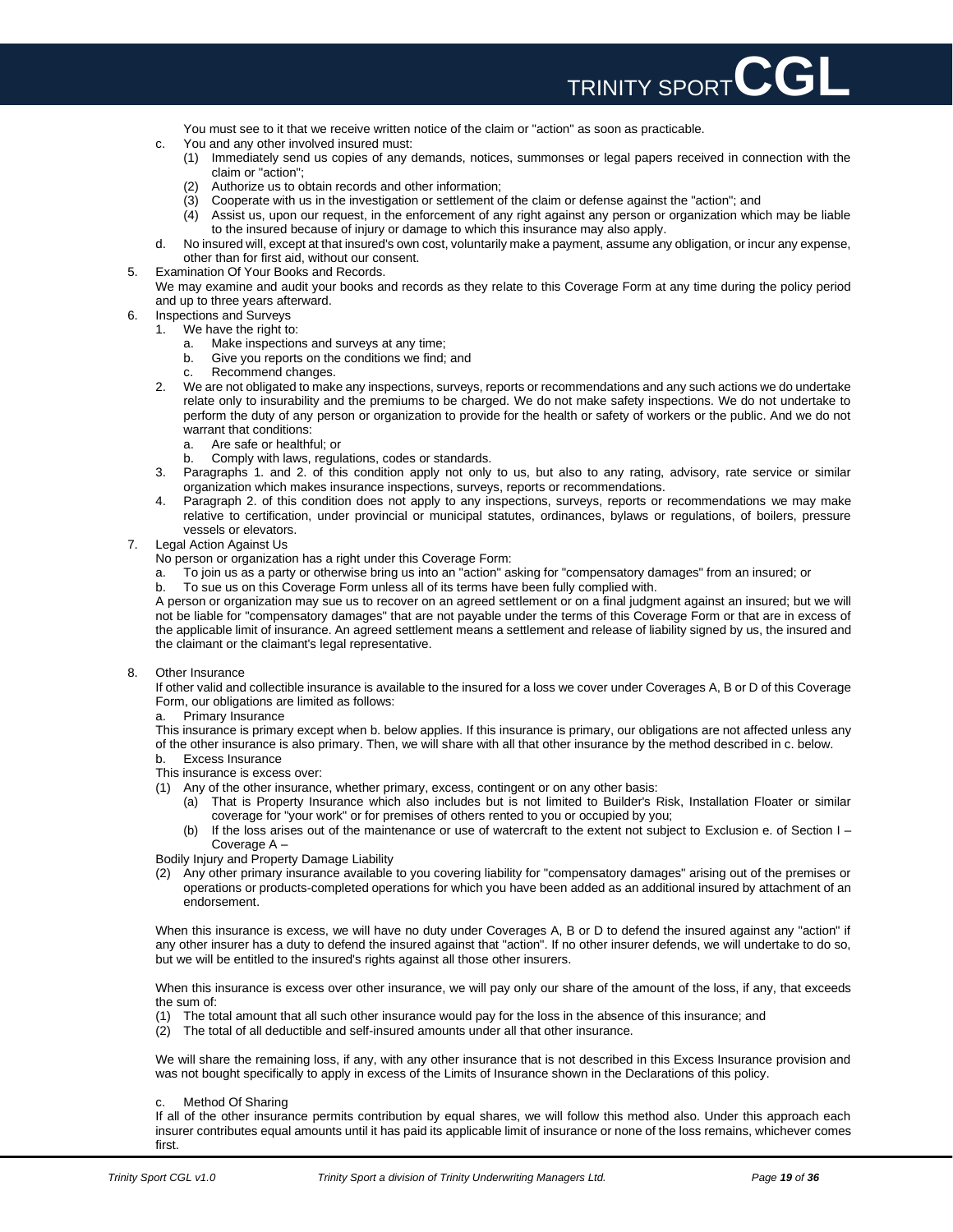

You must see to it that we receive written notice of the claim or "action" as soon as practicable.

- c. You and any other involved insured must:
	- (1) Immediately send us copies of any demands, notices, summonses or legal papers received in connection with the claim or "action";
	- (2) Authorize us to obtain records and other information;
	- (3) Cooperate with us in the investigation or settlement of the claim or defense against the "action"; and
	- (4) Assist us, upon our request, in the enforcement of any right against any person or organization which may be liable to the insured because of injury or damage to which this insurance may also apply.
- d. No insured will, except at that insured's own cost, voluntarily make a payment, assume any obligation, or incur any expense, other than for first aid, without our consent.
- 5. Examination Of Your Books and Records.
- We may examine and audit your books and records as they relate to this Coverage Form at any time during the policy period and up to three years afterward.
- 6. Inspections and Surveys
	- 1. We have the right to:
		- a. Make inspections and surveys at any time;
		- b. Give you reports on the conditions we find; and
		- c. Recommend changes.
	- 2. We are not obligated to make any inspections, surveys, reports or recommendations and any such actions we do undertake relate only to insurability and the premiums to be charged. We do not make safety inspections. We do not undertake to perform the duty of any person or organization to provide for the health or safety of workers or the public. And we do not warrant that conditions:<br>a. Are safe or healthf
		- Are safe or healthful; or
		- b. Comply with laws, regulations, codes or standards.
	- 3. Paragraphs 1. and 2. of this condition apply not only to us, but also to any rating, advisory, rate service or similar organization which makes insurance inspections, surveys, reports or recommendations.
	- 4. Paragraph 2. of this condition does not apply to any inspections, surveys, reports or recommendations we may make relative to certification, under provincial or municipal statutes, ordinances, bylaws or regulations, of boilers, pressure vessels or elevators.
- 7. Legal Action Against Us

No person or organization has a right under this Coverage Form:

- a. To join us as a party or otherwise bring us into an "action" asking for "compensatory damages" from an insured; or
- b. To sue us on this Coverage Form unless all of its terms have been fully complied with.

A person or organization may sue us to recover on an agreed settlement or on a final judgment against an insured; but we will not be liable for "compensatory damages" that are not payable under the terms of this Coverage Form or that are in excess of the applicable limit of insurance. An agreed settlement means a settlement and release of liability signed by us, the insured and the claimant or the claimant's legal representative.

8. Other Insurance

If other valid and collectible insurance is available to the insured for a loss we cover under Coverages A, B or D of this Coverage Form, our obligations are limited as follows:

a. Primary Insurance

This insurance is primary except when b. below applies. If this insurance is primary, our obligations are not affected unless any of the other insurance is also primary. Then, we will share with all that other insurance by the method described in c. below.

- b. Excess Insurance
- This insurance is excess over:
- (1) Any of the other insurance, whether primary, excess, contingent or on any other basis:
	- (a) That is Property Insurance which also includes but is not limited to Builder's Risk, Installation Floater or similar coverage for "your work" or for premises of others rented to you or occupied by you;
	- (b) If the loss arises out of the maintenance or use of watercraft to the extent not subject to Exclusion e. of Section I Coverage A –

Bodily Injury and Property Damage Liability

(2) Any other primary insurance available to you covering liability for "compensatory damages" arising out of the premises or operations or products-completed operations for which you have been added as an additional insured by attachment of an endorsement.

When this insurance is excess, we will have no duty under Coverages A, B or D to defend the insured against any "action" if any other insurer has a duty to defend the insured against that "action". If no other insurer defends, we will undertake to do so, but we will be entitled to the insured's rights against all those other insurers.

When this insurance is excess over other insurance, we will pay only our share of the amount of the loss, if any, that exceeds the sum of:

- (1) The total amount that all such other insurance would pay for the loss in the absence of this insurance; and
- (2) The total of all deductible and self-insured amounts under all that other insurance.

We will share the remaining loss, if any, with any other insurance that is not described in this Excess Insurance provision and was not bought specifically to apply in excess of the Limits of Insurance shown in the Declarations of this policy.

Method Of Sharing

If all of the other insurance permits contribution by equal shares, we will follow this method also. Under this approach each insurer contributes equal amounts until it has paid its applicable limit of insurance or none of the loss remains, whichever comes first.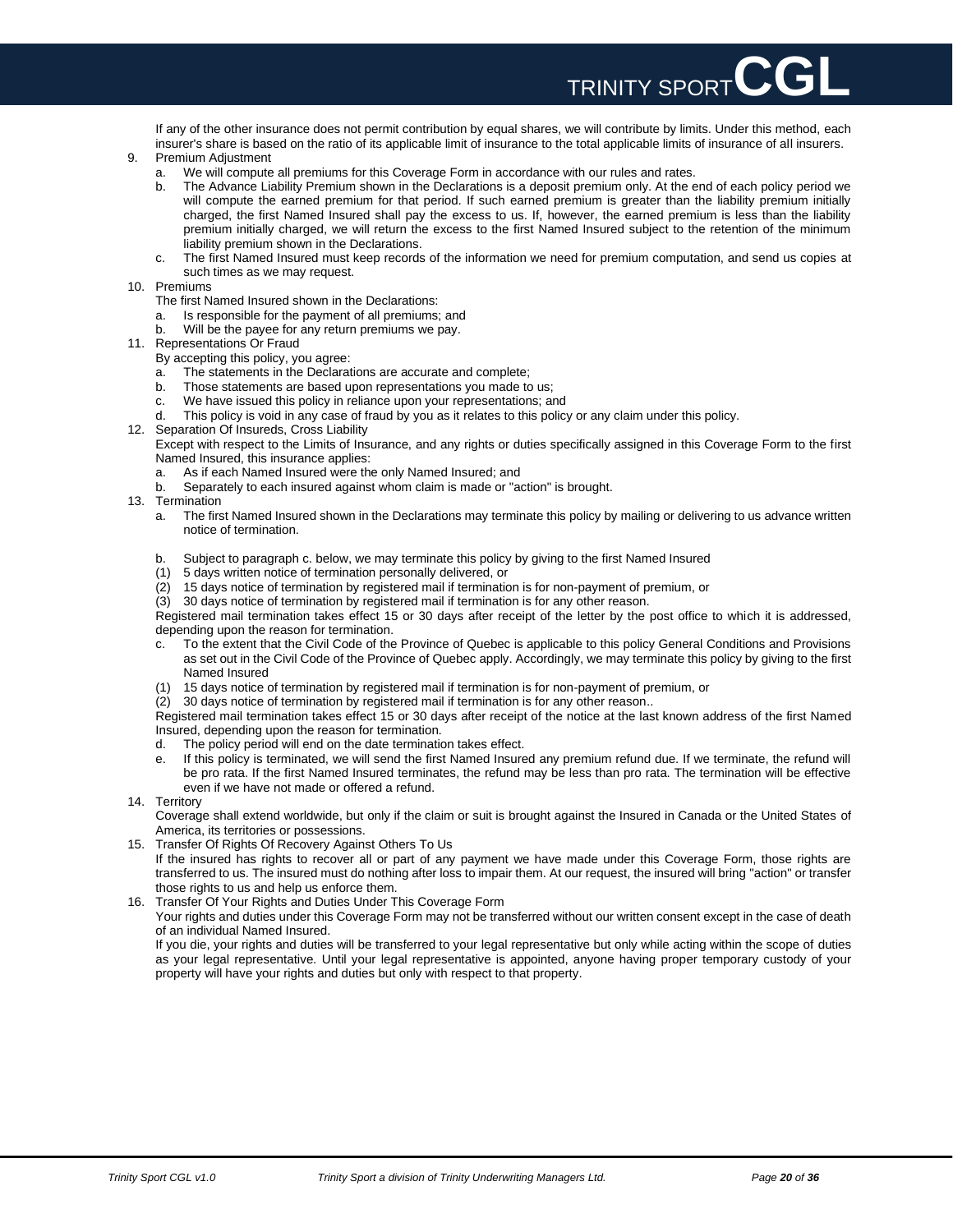If any of the other insurance does not permit contribution by equal shares, we will contribute by limits. Under this method, each insurer's share is based on the ratio of its applicable limit of insurance to the total applicable limits of insurance of all insurers.

TRINITY SPORT**CGL**

- 9. Premium Adjustment
	- a. We will compute all premiums for this Coverage Form in accordance with our rules and rates.
	- b. The Advance Liability Premium shown in the Declarations is a deposit premium only. At the end of each policy period we will compute the earned premium for that period. If such earned premium is greater than the liability premium initially charged, the first Named Insured shall pay the excess to us. If, however, the earned premium is less than the liability premium initially charged, we will return the excess to the first Named Insured subject to the retention of the minimum liability premium shown in the Declarations.
	- c. The first Named Insured must keep records of the information we need for premium computation, and send us copies at such times as we may request.
- 10. Premiums
	- The first Named Insured shown in the Declarations:
	- a. Is responsible for the payment of all premiums; and
	- b. Will be the payee for any return premiums we pay.
- 11. Representations Or Fraud
	- By accepting this policy, you agree:
	- a. The statements in the Declarations are accurate and complete;
	- b. Those statements are based upon representations you made to us;
	- c. We have issued this policy in reliance upon your representations; and
	- d. This policy is void in any case of fraud by you as it relates to this policy or any claim under this policy.
- 12. Separation Of Insureds, Cross Liability

Except with respect to the Limits of Insurance, and any rights or duties specifically assigned in this Coverage Form to the first Named Insured, this insurance applies:

- a. As if each Named Insured were the only Named Insured; and
- b. Separately to each insured against whom claim is made or "action" is brought.
- 13. Termination
	- a. The first Named Insured shown in the Declarations may terminate this policy by mailing or delivering to us advance written notice of termination.
	- b. Subject to paragraph c. below, we may terminate this policy by giving to the first Named Insured
	- (1) 5 days written notice of termination personally delivered, or
	- (2) 15 days notice of termination by registered mail if termination is for non-payment of premium, or
	- (3) 30 days notice of termination by registered mail if termination is for any other reason.

Registered mail termination takes effect 15 or 30 days after receipt of the letter by the post office to which it is addressed, depending upon the reason for termination.

- c. To the extent that the Civil Code of the Province of Quebec is applicable to this policy General Conditions and Provisions as set out in the Civil Code of the Province of Quebec apply. Accordingly, we may terminate this policy by giving to the first Named Insured
- (1) 15 days notice of termination by registered mail if termination is for non-payment of premium, or
- (2) 30 days notice of termination by registered mail if termination is for any other reason..

Registered mail termination takes effect 15 or 30 days after receipt of the notice at the last known address of the first Named Insured, depending upon the reason for termination.

- d. The policy period will end on the date termination takes effect.
- e. If this policy is terminated, we will send the first Named Insured any premium refund due. If we terminate, the refund will be pro rata. If the first Named Insured terminates, the refund may be less than pro rata. The termination will be effective even if we have not made or offered a refund.
- 14. Territory

Coverage shall extend worldwide, but only if the claim or suit is brought against the Insured in Canada or the United States of America, its territories or possessions.

15. Transfer Of Rights Of Recovery Against Others To Us

If the insured has rights to recover all or part of any payment we have made under this Coverage Form, those rights are transferred to us. The insured must do nothing after loss to impair them. At our request, the insured will bring "action" or transfer those rights to us and help us enforce them.

16. Transfer Of Your Rights and Duties Under This Coverage Form

Your rights and duties under this Coverage Form may not be transferred without our written consent except in the case of death of an individual Named Insured.

If you die, your rights and duties will be transferred to your legal representative but only while acting within the scope of duties as your legal representative. Until your legal representative is appointed, anyone having proper temporary custody of your property will have your rights and duties but only with respect to that property.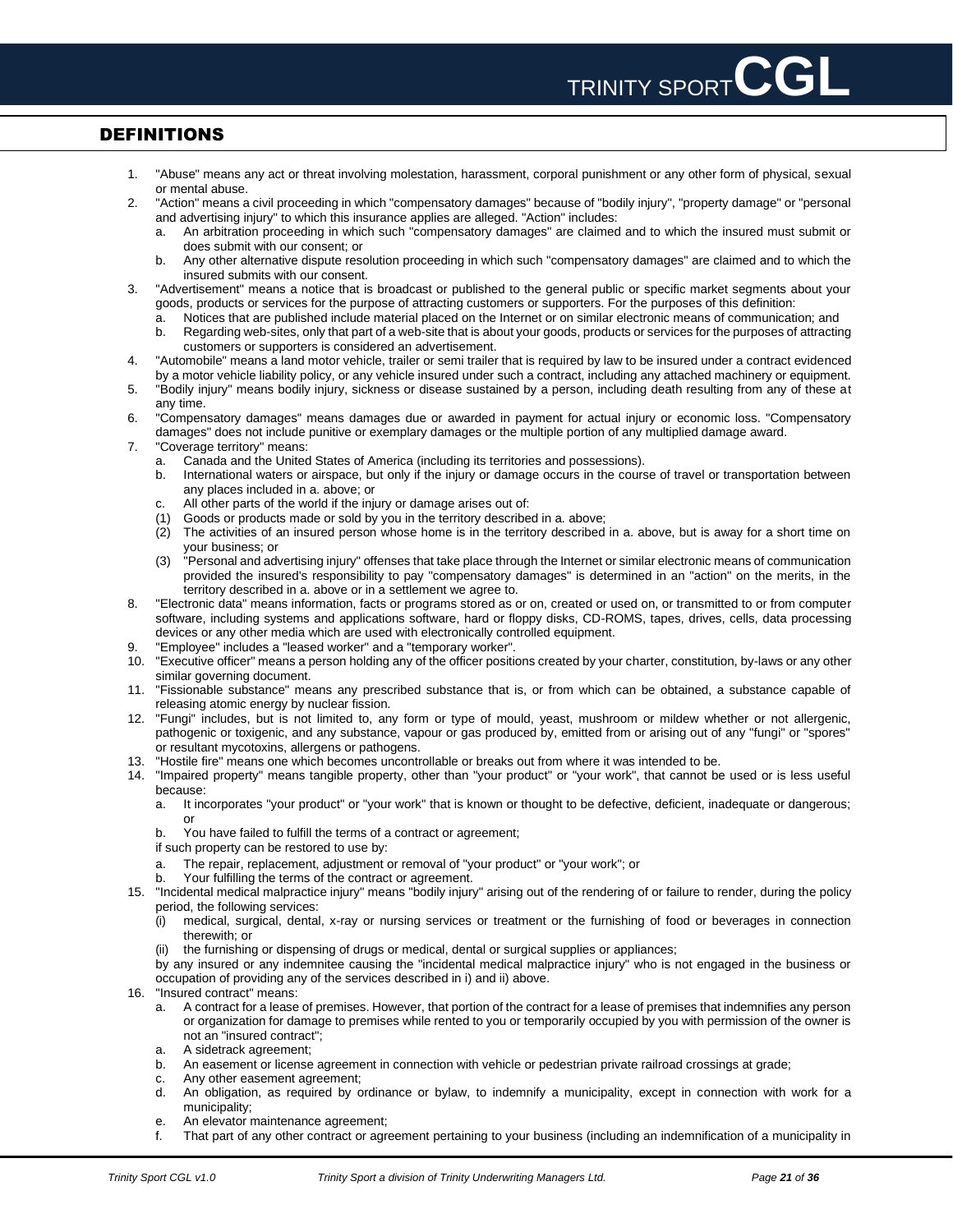# <span id="page-20-0"></span>DEFINITIONS

- 1. "Abuse" means any act or threat involving molestation, harassment, corporal punishment or any other form of physical, sexual or mental abuse.
- 2. "Action" means a civil proceeding in which "compensatory damages" because of "bodily injury", "property damage" or "personal and advertising injury" to which this insurance applies are alleged. "Action" includes:
	- a. An arbitration proceeding in which such "compensatory damages" are claimed and to which the insured must submit or does submit with our consent; or
	- b. Any other alternative dispute resolution proceeding in which such "compensatory damages" are claimed and to which the insured submits with our consent.
- 3. "Advertisement" means a notice that is broadcast or published to the general public or specific market segments about your goods, products or services for the purpose of attracting customers or supporters. For the purposes of this definition:
	- a. Notices that are published include material placed on the Internet or on similar electronic means of communication; and
	- b. Regarding web-sites, only that part of a web-site that is about your goods, products or services for the purposes of attracting customers or supporters is considered an advertisement.
- 4. "Automobile" means a land motor vehicle, trailer or semi trailer that is required by law to be insured under a contract evidenced by a motor vehicle liability policy, or any vehicle insured under such a contract, including any attached machinery or equipment.
- 5. "Bodily injury" means bodily injury, sickness or disease sustained by a person, including death resulting from any of these at any time.
- 6. "Compensatory damages" means damages due or awarded in payment for actual injury or economic loss. "Compensatory damages" does not include punitive or exemplary damages or the multiple portion of any multiplied damage award.
- 7. "Coverage territory" means:<br>a. Canada and the United<br>b. International waters or
	- Canada and the United States of America (including its territories and possessions).
	- International waters or airspace, but only if the injury or damage occurs in the course of travel or transportation between any places included in a. above; or
	- c. All other parts of the world if the injury or damage arises out of:
	- (1) Goods or products made or sold by you in the territory described in a. above;
	- (2) The activities of an insured person whose home is in the territory described in a. above, but is away for a short time on your business; or
	- (3) "Personal and advertising injury" offenses that take place through the Internet or similar electronic means of communication provided the insured's responsibility to pay "compensatory damages" is determined in an "action" on the merits, in the territory described in a. above or in a settlement we agree to.
- 8. "Electronic data" means information, facts or programs stored as or on, created or used on, or transmitted to or from computer software, including systems and applications software, hard or floppy disks, CD-ROMS, tapes, drives, cells, data processing devices or any other media which are used with electronically controlled equipment.
- 9. "Employee" includes a "leased worker" and a "temporary worker".
- 10. "Executive officer" means a person holding any of the officer positions created by your charter, constitution, by-laws or any other similar governing document.
- 11. "Fissionable substance" means any prescribed substance that is, or from which can be obtained, a substance capable of releasing atomic energy by nuclear fission.
- 12. "Fungi" includes, but is not limited to, any form or type of mould, yeast, mushroom or mildew whether or not allergenic, pathogenic or toxigenic, and any substance, vapour or gas produced by, emitted from or arising out of any "fungi" or "spores" or resultant mycotoxins, allergens or pathogens.
- 13. "Hostile fire" means one which becomes uncontrollable or breaks out from where it was intended to be.
- 14. "Impaired property" means tangible property, other than "your product" or "your work", that cannot be used or is less useful because:
	- a. It incorporates "your product" or "your work" that is known or thought to be defective, deficient, inadequate or dangerous; or
	- b. You have failed to fulfill the terms of a contract or agreement;
	- if such property can be restored to use by:
	- a. The repair, replacement, adjustment or removal of "your product" or "your work"; or
	- b. Your fulfilling the terms of the contract or agreement.
- 15. "Incidental medical malpractice injury" means "bodily injury" arising out of the rendering of or failure to render, during the policy period, the following services:
	- (i) medical, surgical, dental, x-ray or nursing services or treatment or the furnishing of food or beverages in connection therewith; or
	- (ii) the furnishing or dispensing of drugs or medical, dental or surgical supplies or appliances;
	- by any insured or any indemnitee causing the "incidental medical malpractice injury" who is not engaged in the business or occupation of providing any of the services described in i) and ii) above.
- 16. "Insured contract" means:
	- a. A contract for a lease of premises. However, that portion of the contract for a lease of premises that indemnifies any person or organization for damage to premises while rented to you or temporarily occupied by you with permission of the owner is not an "insured contract";
	- a. A sidetrack agreement;
	- b. An easement or license agreement in connection with vehicle or pedestrian private railroad crossings at grade;
	- c. Any other easement agreement;<br>d. An obligation as required by o
	- d. An obligation, as required by ordinance or bylaw, to indemnify a municipality, except in connection with work for a municipality;
	- e. An elevator maintenance agreement;
	- f. That part of any other contract or agreement pertaining to your business (including an indemnification of a municipality in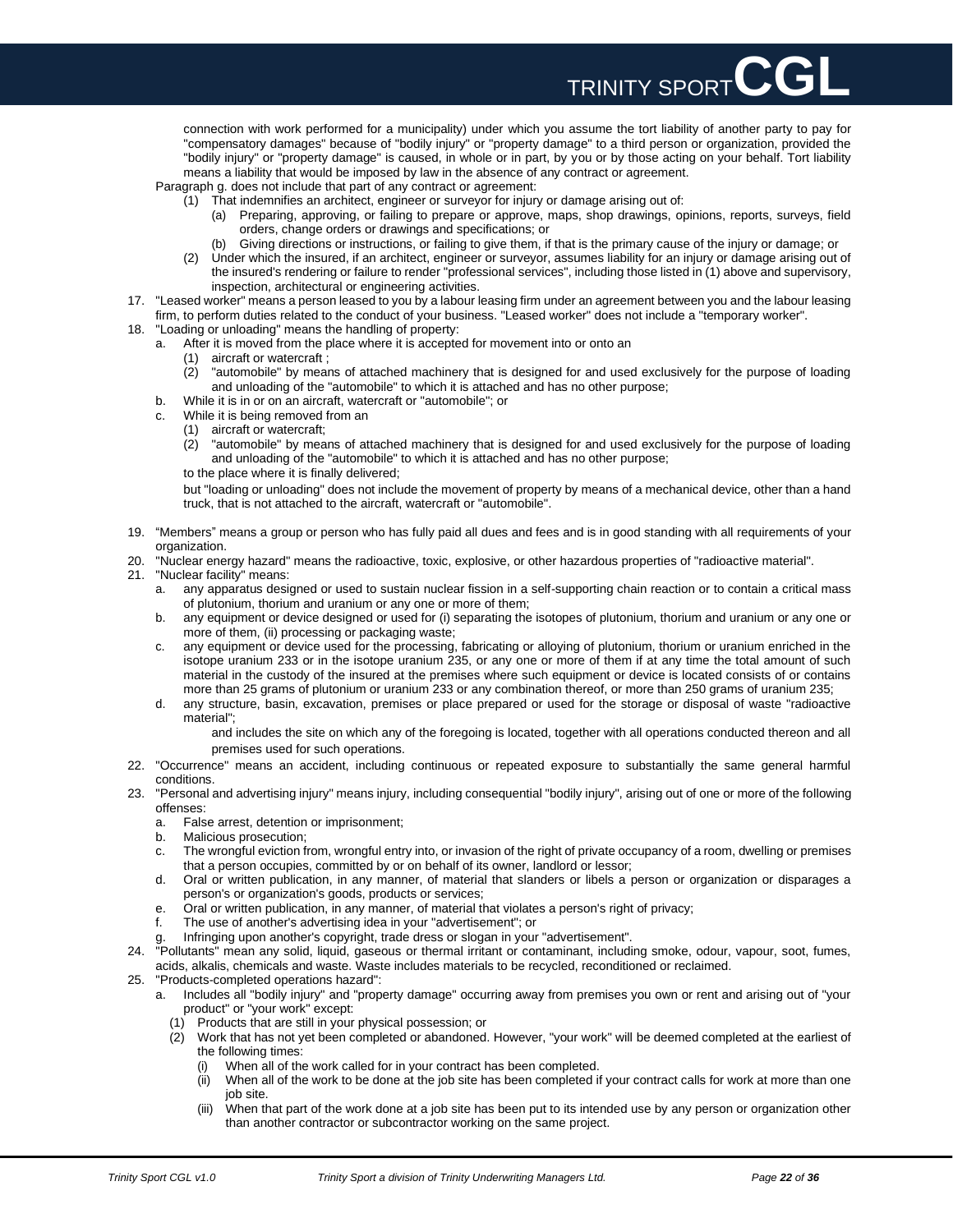TRINITY SPORT CGL connection with work performed for a municipality) under which you assume the tort liability of another party to pay for "compensatory damages" because of "bodily injury" or "property damage" to a third person or organization, provided the

"bodily injury" or "property damage" is caused, in whole or in part, by you or by those acting on your behalf. Tort liability means a liability that would be imposed by law in the absence of any contract or agreement. Paragraph g. does not include that part of any contract or agreement:

(1) That indemnifies an architect, engineer or surveyor for injury or damage arising out of:

- (a) Preparing, approving, or failing to prepare or approve, maps, shop drawings, opinions, reports, surveys, field orders, change orders or drawings and specifications; or
- (b) Giving directions or instructions, or failing to give them, if that is the primary cause of the injury or damage; or
- (2) Under which the insured, if an architect, engineer or surveyor, assumes liability for an injury or damage arising out of the insured's rendering or failure to render "professional services", including those listed in (1) above and supervisory, inspection, architectural or engineering activities.
- 17. "Leased worker" means a person leased to you by a labour leasing firm under an agreement between you and the labour leasing firm, to perform duties related to the conduct of your business. "Leased worker" does not include a "temporary worker".
- 18. "Loading or unloading" means the handling of property:
	- a. After it is moved from the place where it is accepted for movement into or onto an
		- (1) aircraft or watercraft ;
		- (2) "automobile" by means of attached machinery that is designed for and used exclusively for the purpose of loading and unloading of the "automobile" to which it is attached and has no other purpose;
	- b. While it is in or on an aircraft, watercraft or "automobile"; or
	- c. While it is being removed from an
		- (1) aircraft or watercraft;<br>(2) "automobile" by mea
		- "automobile" by means of attached machinery that is designed for and used exclusively for the purpose of loading and unloading of the "automobile" to which it is attached and has no other purpose;
		- to the place where it is finally delivered;

but "loading or unloading" does not include the movement of property by means of a mechanical device, other than a hand truck, that is not attached to the aircraft, watercraft or "automobile".

- 19. "Members" means a group or person who has fully paid all dues and fees and is in good standing with all requirements of your organization.
- 20. "Nuclear energy hazard" means the radioactive, toxic, explosive, or other hazardous properties of "radioactive material".
- 21. "Nuclear facility" means:
	- a. any apparatus designed or used to sustain nuclear fission in a self-supporting chain reaction or to contain a critical mass of plutonium, thorium and uranium or any one or more of them;
	- b. any equipment or device designed or used for (i) separating the isotopes of plutonium, thorium and uranium or any one or more of them, (ii) processing or packaging waste;
	- c. any equipment or device used for the processing, fabricating or alloying of plutonium, thorium or uranium enriched in the isotope uranium 233 or in the isotope uranium 235, or any one or more of them if at any time the total amount of such material in the custody of the insured at the premises where such equipment or device is located consists of or contains more than 25 grams of plutonium or uranium 233 or any combination thereof, or more than 250 grams of uranium 235;
	- d. any structure, basin, excavation, premises or place prepared or used for the storage or disposal of waste "radioactive material";

and includes the site on which any of the foregoing is located, together with all operations conducted thereon and all premises used for such operations.

- 22. "Occurrence" means an accident, including continuous or repeated exposure to substantially the same general harmful conditions.
- 23. "Personal and advertising injury" means injury, including consequential "bodily injury", arising out of one or more of the following offenses:
	- a. False arrest, detention or imprisonment;
	- b. Malicious prosecution;
	- c. The wrongful eviction from, wrongful entry into, or invasion of the right of private occupancy of a room, dwelling or premises that a person occupies, committed by or on behalf of its owner, landlord or lessor;
	- d. Oral or written publication, in any manner, of material that slanders or libels a person or organization or disparages a person's or organization's goods, products or services;
	- e. Oral or written publication, in any manner, of material that violates a person's right of privacy;
	- f. The use of another's advertising idea in your "advertisement"; or
	- g. Infringing upon another's copyright, trade dress or slogan in your "advertisement".
- 24. "Pollutants" mean any solid, liquid, gaseous or thermal irritant or contaminant, including smoke, odour, vapour, soot, fumes, acids, alkalis, chemicals and waste. Waste includes materials to be recycled, reconditioned or reclaimed.
- 25. "Products-completed operations hazard":
	- a. Includes all "bodily injury" and "property damage" occurring away from premises you own or rent and arising out of "your product" or "your work" except:
		- (1) Products that are still in your physical possession; or
		- (2) Work that has not yet been completed or abandoned. However, "your work" will be deemed completed at the earliest of the following times:
			- (i) When all of the work called for in your contract has been completed.
			- (ii) When all of the work to be done at the job site has been completed if your contract calls for work at more than one job site.
			- When that part of the work done at a job site has been put to its intended use by any person or organization other than another contractor or subcontractor working on the same project.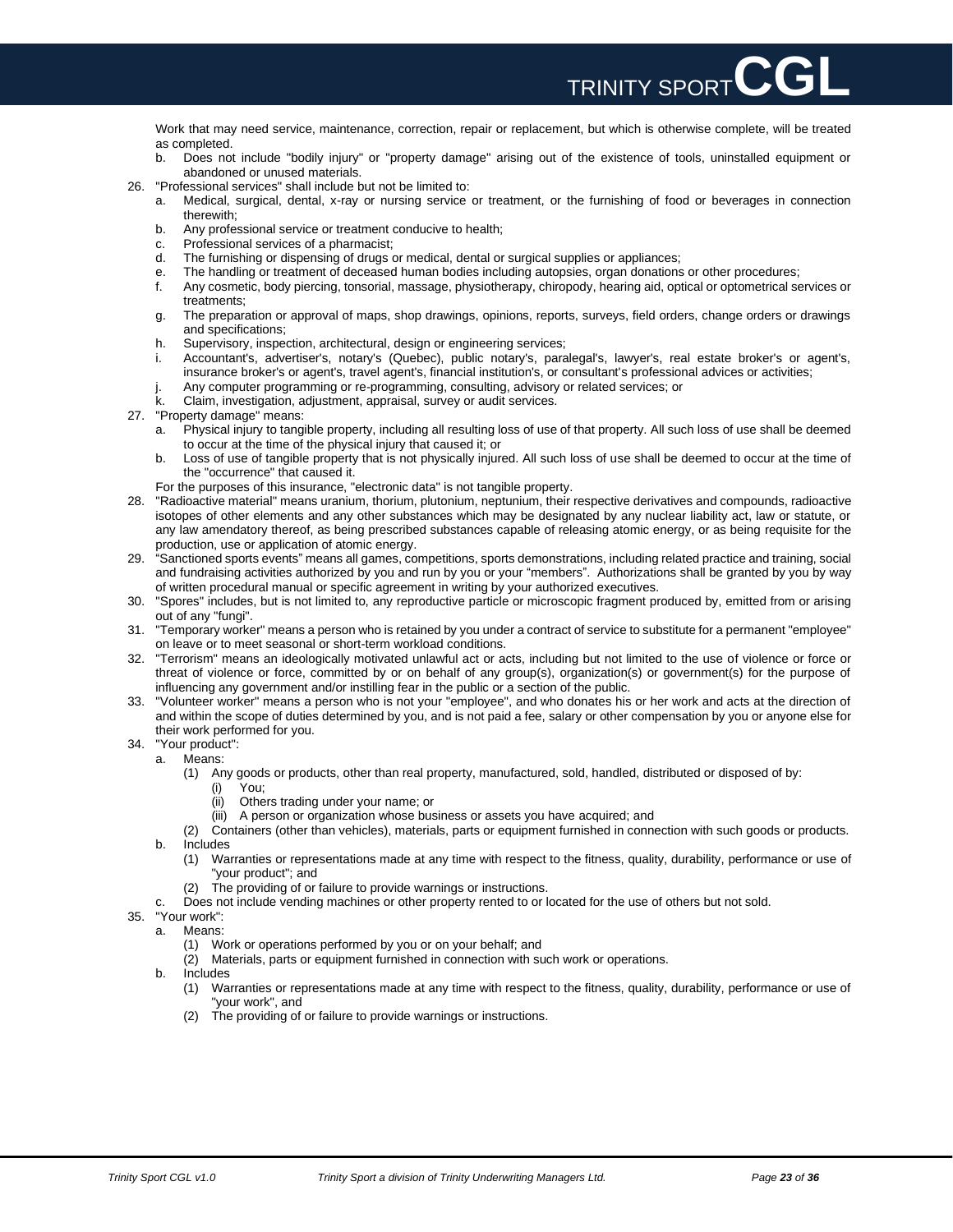Work that may need service, maintenance, correction, repair or replacement, but which is otherwise complete, will be treated as completed.

TRINITY SPORT**CGL**

- b. Does not include "bodily injury" or "property damage" arising out of the existence of tools, uninstalled equipment or abandoned or unused materials.
- 26. "Professional services" shall include but not be limited to:
	- a. Medical, surgical, dental, x-ray or nursing service or treatment, or the furnishing of food or beverages in connection therewith;
	- b. Any professional service or treatment conducive to health;
	- c. Professional services of a pharmacist;
	- d. The furnishing or dispensing of drugs or medical, dental or surgical supplies or appliances;
	- e. The handling or treatment of deceased human bodies including autopsies, organ donations or other procedures;
	- f. Any cosmetic, body piercing, tonsorial, massage, physiotherapy, chiropody, hearing aid, optical or optometrical services or treatments;
	- g. The preparation or approval of maps, shop drawings, opinions, reports, surveys, field orders, change orders or drawings and specifications;
	- h. Supervisory, inspection, architectural, design or engineering services;
	- i. Accountant's, advertiser's, notary's (Quebec), public notary's, paralegal's, lawyer's, real estate broker's or agent's, insurance broker's or agent's, travel agent's, financial institution's, or consultant's professional advices or activities;
	- j. Any computer programming or re-programming, consulting, advisory or related services; or
	- k. Claim, investigation, adjustment, appraisal, survey or audit services.
- 27. "Property damage" means:
	- a. Physical injury to tangible property, including all resulting loss of use of that property. All such loss of use shall be deemed to occur at the time of the physical injury that caused it; or
	- b. Loss of use of tangible property that is not physically injured. All such loss of use shall be deemed to occur at the time of the "occurrence" that caused it.
	- For the purposes of this insurance, "electronic data" is not tangible property.
- 28. "Radioactive material" means uranium, thorium, plutonium, neptunium, their respective derivatives and compounds, radioactive isotopes of other elements and any other substances which may be designated by any nuclear liability act, law or statute, or any law amendatory thereof, as being prescribed substances capable of releasing atomic energy, or as being requisite for the production, use or application of atomic energy.
- 29. "Sanctioned sports events" means all games, competitions, sports demonstrations, including related practice and training, social and fundraising activities authorized by you and run by you or your "members". Authorizations shall be granted by you by way of written procedural manual or specific agreement in writing by your authorized executives.
- 30. "Spores" includes, but is not limited to, any reproductive particle or microscopic fragment produced by, emitted from or arising out of any "fungi".
- 31. "Temporary worker" means a person who is retained by you under a contract of service to substitute for a permanent "employee" on leave or to meet seasonal or short-term workload conditions.
- 32. "Terrorism" means an ideologically motivated unlawful act or acts, including but not limited to the use of violence or force or threat of violence or force, committed by or on behalf of any group(s), organization(s) or government(s) for the purpose of influencing any government and/or instilling fear in the public or a section of the public.
- 33. "Volunteer worker" means a person who is not your "employee", and who donates his or her work and acts at the direction of and within the scope of duties determined by you, and is not paid a fee, salary or other compensation by you or anyone else for their work performed for you.
- 34. "Your product":
- a. Means:
	- (1) Any goods or products, other than real property, manufactured, sold, handled, distributed or disposed of by:
		- (i) You;
			- (ii) Others trading under your name; or
		- (iii) A person or organization whose business or assets you have acquired; and
	- (2) Containers (other than vehicles), materials, parts or equipment furnished in connection with such goods or products.
	- b. Includes
		- (1) Warranties or representations made at any time with respect to the fitness, quality, durability, performance or use of "your product"; and
		- (2) The providing of or failure to provide warnings or instructions.
	- c. Does not include vending machines or other property rented to or located for the use of others but not sold.
- 35. "Your work":
	- a. Means:
		- (1) Work or operations performed by you or on your behalf; and
		- (2) Materials, parts or equipment furnished in connection with such work or operations.
	- b. Includes
		- (1) Warranties or representations made at any time with respect to the fitness, quality, durability, performance or use of "your work", and
		- (2) The providing of or failure to provide warnings or instructions.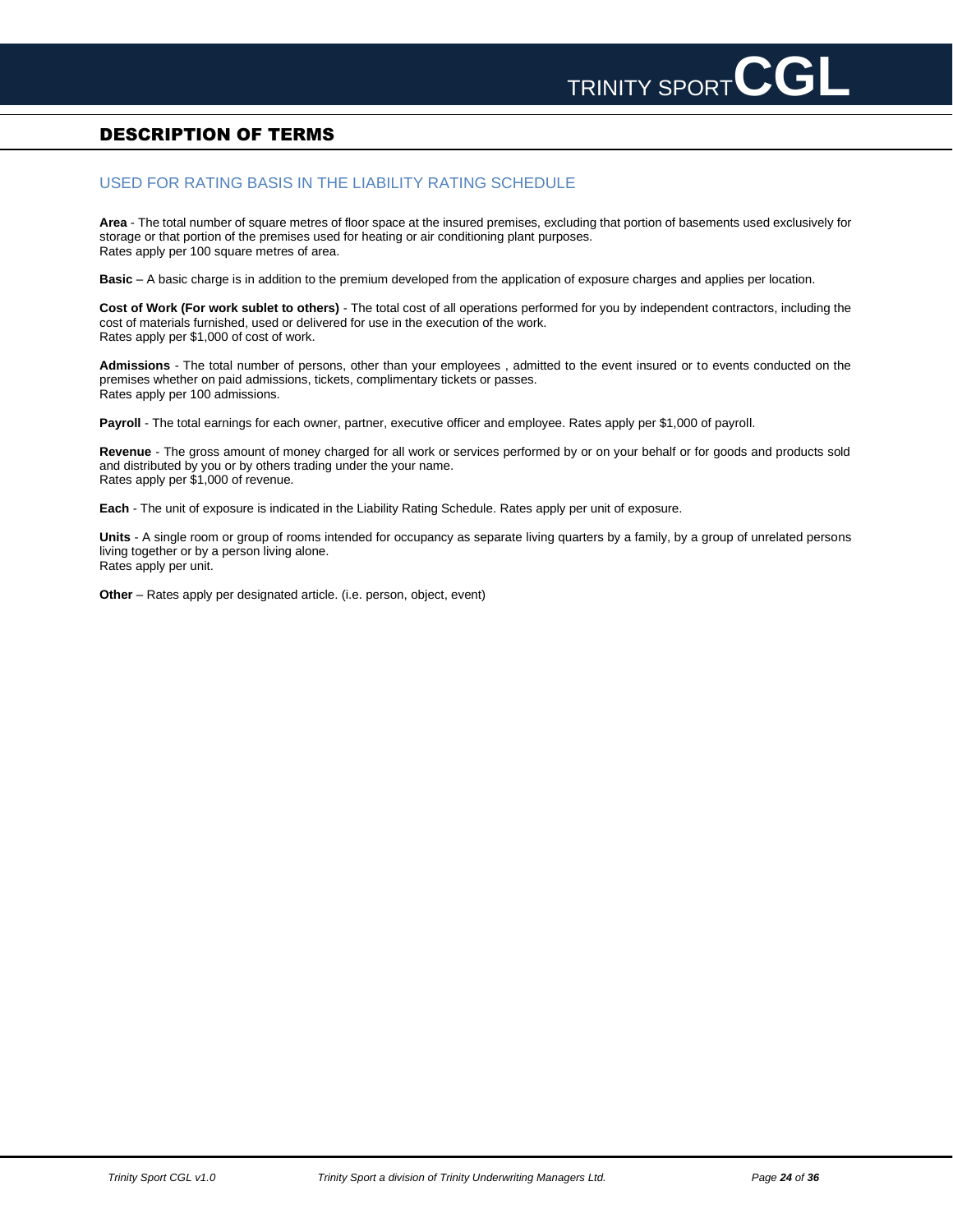# <span id="page-23-0"></span>DESCRIPTION OF TERMS

## USED FOR RATING BASIS IN THE LIABILITY RATING SCHEDULE

**Area** - The total number of square metres of floor space at the insured premises, excluding that portion of basements used exclusively for storage or that portion of the premises used for heating or air conditioning plant purposes. Rates apply per 100 square metres of area.

**Basic** – A basic charge is in addition to the premium developed from the application of exposure charges and applies per location.

**Cost of Work (For work sublet to others)** - The total cost of all operations performed for you by independent contractors, including the cost of materials furnished, used or delivered for use in the execution of the work. Rates apply per \$1,000 of cost of work.

**Admissions** - The total number of persons, other than your employees , admitted to the event insured or to events conducted on the premises whether on paid admissions, tickets, complimentary tickets or passes. Rates apply per 100 admissions.

**Payroll** - The total earnings for each owner, partner, executive officer and employee. Rates apply per \$1,000 of payroll.

**Revenue** - The gross amount of money charged for all work or services performed by or on your behalf or for goods and products sold and distributed by you or by others trading under the your name. Rates apply per \$1,000 of revenue.

**Each** - The unit of exposure is indicated in the Liability Rating Schedule. Rates apply per unit of exposure.

**Units** - A single room or group of rooms intended for occupancy as separate living quarters by a family, by a group of unrelated persons living together or by a person living alone. Rates apply per unit.

**Other** – Rates apply per designated article. (i.e. person, object, event)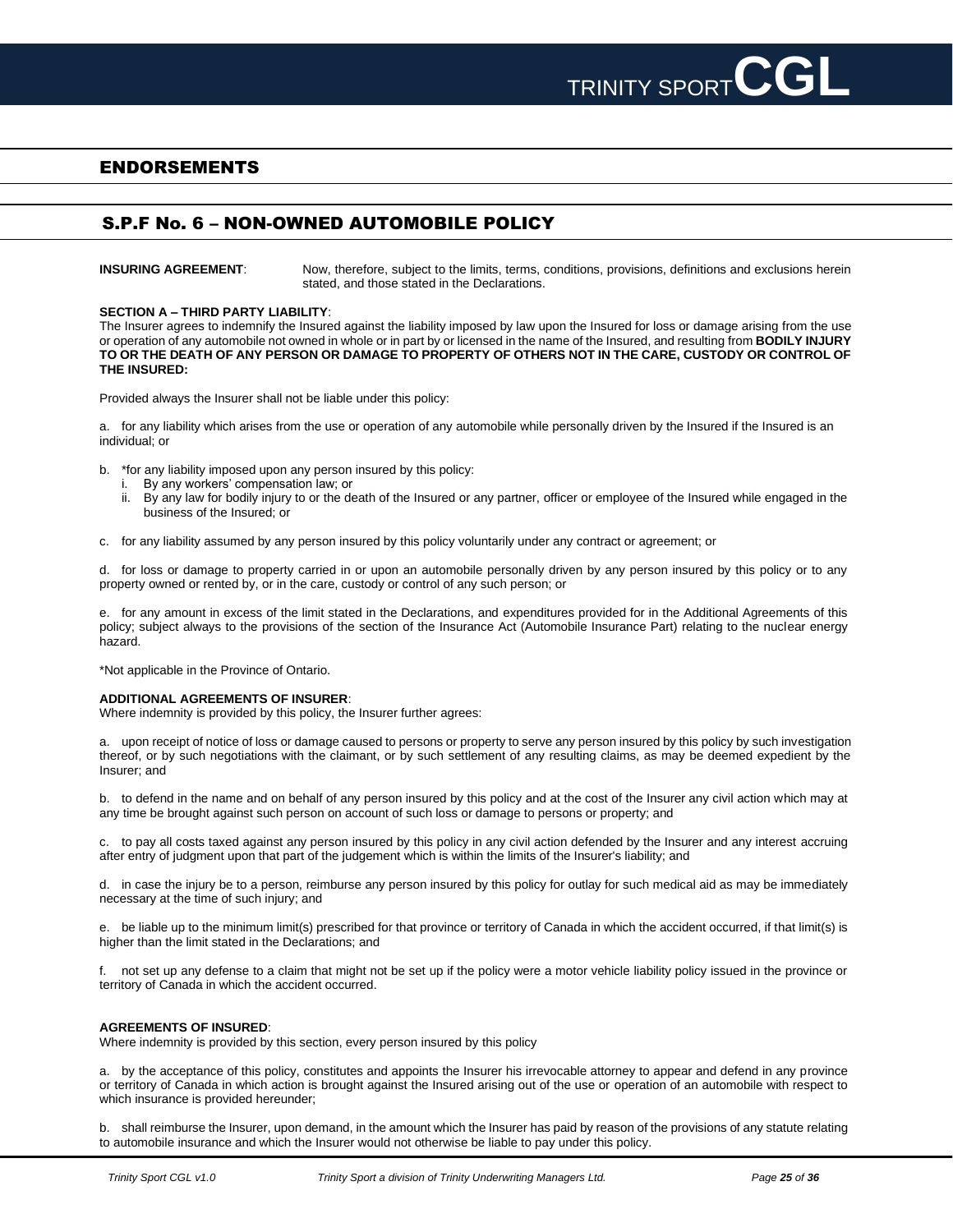

# <span id="page-24-0"></span>ENDORSEMENTS

# S.P.F No. 6 – NON-OWNED AUTOMOBILE POLICY

**INSURING AGREEMENT:** Now, therefore, subject to the limits, terms, conditions, provisions, definitions and exclusions herein stated, and those stated in the Declarations.

### **SECTION A – THIRD PARTY LIABILITY**:

The Insurer agrees to indemnify the Insured against the liability imposed by law upon the Insured for loss or damage arising from the use or operation of any automobile not owned in whole or in part by or licensed in the name of the Insured, and resulting from **BODILY INJURY TO OR THE DEATH OF ANY PERSON OR DAMAGE TO PROPERTY OF OTHERS NOT IN THE CARE, CUSTODY OR CONTROL OF THE INSURED:**

Provided always the Insurer shall not be liable under this policy:

a. for any liability which arises from the use or operation of any automobile while personally driven by the Insured if the Insured is an individual; or

- b. \*for any liability imposed upon any person insured by this policy:
	- By any workers' compensation law; or
	- ii. By any law for bodily injury to or the death of the Insured or any partner, officer or employee of the Insured while engaged in the business of the Insured; or

c. for any liability assumed by any person insured by this policy voluntarily under any contract or agreement; or

d. for loss or damage to property carried in or upon an automobile personally driven by any person insured by this policy or to any property owned or rented by, or in the care, custody or control of any such person; or

e. for any amount in excess of the limit stated in the Declarations, and expenditures provided for in the Additional Agreements of this policy; subject always to the provisions of the section of the Insurance Act (Automobile Insurance Part) relating to the nuclear energy hazard.

\*Not applicable in the Province of Ontario.

### **ADDITIONAL AGREEMENTS OF INSURER**:

Where indemnity is provided by this policy, the Insurer further agrees:

a. upon receipt of notice of loss or damage caused to persons or property to serve any person insured by this policy by such investigation thereof, or by such negotiations with the claimant, or by such settlement of any resulting claims, as may be deemed expedient by the Insurer; and

b. to defend in the name and on behalf of any person insured by this policy and at the cost of the Insurer any civil action which may at any time be brought against such person on account of such loss or damage to persons or property; and

c. to pay all costs taxed against any person insured by this policy in any civil action defended by the Insurer and any interest accruing after entry of judgment upon that part of the judgement which is within the limits of the Insurer's liability; and

d. in case the injury be to a person, reimburse any person insured by this policy for outlay for such medical aid as may be immediately necessary at the time of such injury; and

e. be liable up to the minimum limit(s) prescribed for that province or territory of Canada in which the accident occurred, if that limit(s) is higher than the limit stated in the Declarations; and

f. not set up any defense to a claim that might not be set up if the policy were a motor vehicle liability policy issued in the province or territory of Canada in which the accident occurred.

### **AGREEMENTS OF INSURED**:

Where indemnity is provided by this section, every person insured by this policy

a. by the acceptance of this policy, constitutes and appoints the Insurer his irrevocable attorney to appear and defend in any province or territory of Canada in which action is brought against the Insured arising out of the use or operation of an automobile with respect to which insurance is provided hereunder;

b. shall reimburse the Insurer, upon demand, in the amount which the Insurer has paid by reason of the provisions of any statute relating to automobile insurance and which the Insurer would not otherwise be liable to pay under this policy.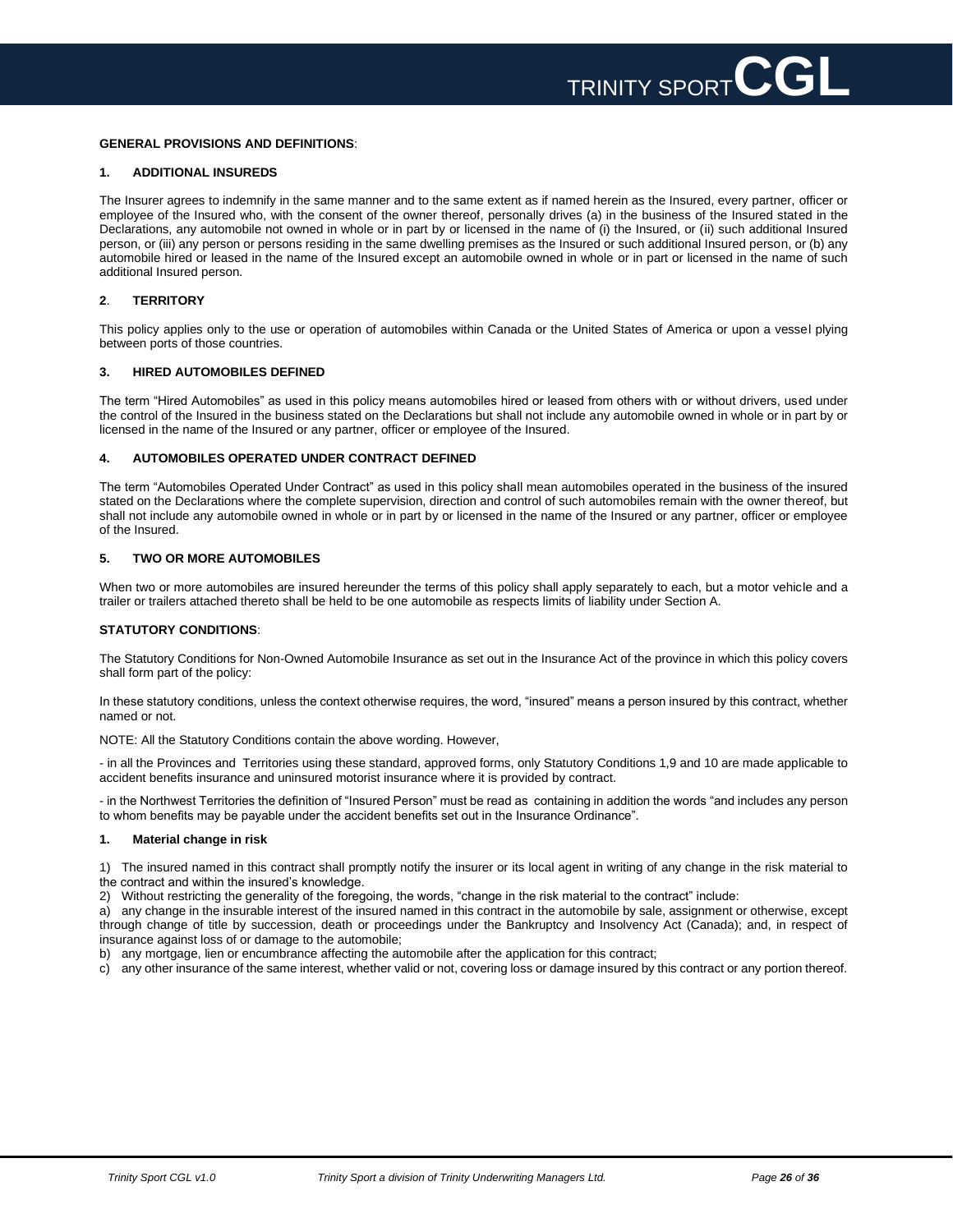### **GENERAL PROVISIONS AND DEFINITIONS**:

### **1. ADDITIONAL INSUREDS**

The Insurer agrees to indemnify in the same manner and to the same extent as if named herein as the Insured, every partner, officer or employee of the Insured who, with the consent of the owner thereof, personally drives (a) in the business of the Insured stated in the Declarations, any automobile not owned in whole or in part by or licensed in the name of (i) the Insured, or (ii) such additional Insured person, or (iii) any person or persons residing in the same dwelling premises as the Insured or such additional Insured person, or (b) any automobile hired or leased in the name of the Insured except an automobile owned in whole or in part or licensed in the name of such additional Insured person.

### **2**. **TERRITORY**

This policy applies only to the use or operation of automobiles within Canada or the United States of America or upon a vessel plying between ports of those countries.

### **3. HIRED AUTOMOBILES DEFINED**

The term "Hired Automobiles" as used in this policy means automobiles hired or leased from others with or without drivers, used under the control of the Insured in the business stated on the Declarations but shall not include any automobile owned in whole or in part by or licensed in the name of the Insured or any partner, officer or employee of the Insured.

### **4. AUTOMOBILES OPERATED UNDER CONTRACT DEFINED**

The term "Automobiles Operated Under Contract" as used in this policy shall mean automobiles operated in the business of the insured stated on the Declarations where the complete supervision, direction and control of such automobiles remain with the owner thereof, but shall not include any automobile owned in whole or in part by or licensed in the name of the Insured or any partner, officer or employee of the Insured.

### **5. TWO OR MORE AUTOMOBILES**

When two or more automobiles are insured hereunder the terms of this policy shall apply separately to each, but a motor vehicle and a trailer or trailers attached thereto shall be held to be one automobile as respects limits of liability under Section A.

### **STATUTORY CONDITIONS**:

The Statutory Conditions for Non-Owned Automobile Insurance as set out in the Insurance Act of the province in which this policy covers shall form part of the policy:

In these statutory conditions, unless the context otherwise requires, the word, "insured" means a person insured by this contract, whether named or not.

NOTE: All the Statutory Conditions contain the above wording. However,

- in all the Provinces and Territories using these standard, approved forms, only Statutory Conditions 1,9 and 10 are made applicable to accident benefits insurance and uninsured motorist insurance where it is provided by contract.

- in the Northwest Territories the definition of "Insured Person" must be read as containing in addition the words "and includes any person to whom benefits may be payable under the accident benefits set out in the Insurance Ordinance".

### **1. Material change in risk**

1) The insured named in this contract shall promptly notify the insurer or its local agent in writing of any change in the risk material to the contract and within the insured's knowledge.

2) Without restricting the generality of the foregoing, the words, "change in the risk material to the contract" include:

a) any change in the insurable interest of the insured named in this contract in the automobile by sale, assignment or otherwise, except through change of title by succession, death or proceedings under the Bankruptcy and Insolvency Act (Canada); and, in respect of insurance against loss of or damage to the automobile;

b) any mortgage, lien or encumbrance affecting the automobile after the application for this contract;

c) any other insurance of the same interest, whether valid or not, covering loss or damage insured by this contract or any portion thereof.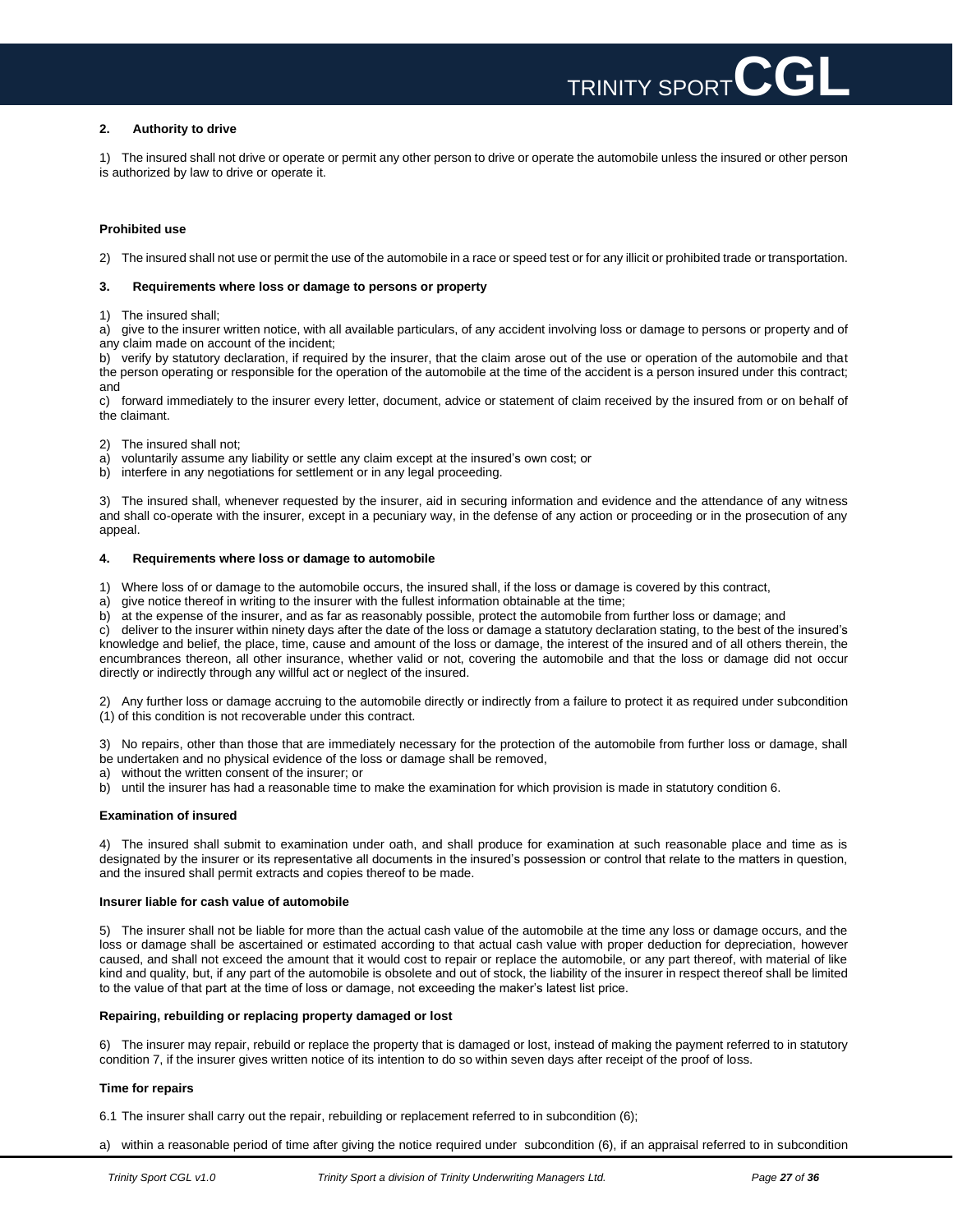

### **2. Authority to drive**

1) The insured shall not drive or operate or permit any other person to drive or operate the automobile unless the insured or other person is authorized by law to drive or operate it.

### **Prohibited use**

2) The insured shall not use or permit the use of the automobile in a race or speed test or for any illicit or prohibited trade or transportation.

### **3. Requirements where loss or damage to persons or property**

1) The insured shall;

a) give to the insurer written notice, with all available particulars, of any accident involving loss or damage to persons or property and of any claim made on account of the incident;

b) verify by statutory declaration, if required by the insurer, that the claim arose out of the use or operation of the automobile and that the person operating or responsible for the operation of the automobile at the time of the accident is a person insured under this contract; and

c) forward immediately to the insurer every letter, document, advice or statement of claim received by the insured from or on behalf of the claimant.

- 2) The insured shall not;
- a) voluntarily assume any liability or settle any claim except at the insured's own cost; or
- b) interfere in any negotiations for settlement or in any legal proceeding.

3) The insured shall, whenever requested by the insurer, aid in securing information and evidence and the attendance of any witness and shall co-operate with the insurer, except in a pecuniary way, in the defense of any action or proceeding or in the prosecution of any appeal.

### **4. Requirements where loss or damage to automobile**

1) Where loss of or damage to the automobile occurs, the insured shall, if the loss or damage is covered by this contract,

- a) give notice thereof in writing to the insurer with the fullest information obtainable at the time;
- b) at the expense of the insurer, and as far as reasonably possible, protect the automobile from further loss or damage; and

c) deliver to the insurer within ninety days after the date of the loss or damage a statutory declaration stating, to the best of the insured's knowledge and belief, the place, time, cause and amount of the loss or damage, the interest of the insured and of all others therein, the encumbrances thereon, all other insurance, whether valid or not, covering the automobile and that the loss or damage did not occur directly or indirectly through any willful act or neglect of the insured.

2) Any further loss or damage accruing to the automobile directly or indirectly from a failure to protect it as required under subcondition (1) of this condition is not recoverable under this contract.

3) No repairs, other than those that are immediately necessary for the protection of the automobile from further loss or damage, shall be undertaken and no physical evidence of the loss or damage shall be removed,

- a) without the written consent of the insurer; or
- b) until the insurer has had a reasonable time to make the examination for which provision is made in statutory condition 6.

### **Examination of insured**

4) The insured shall submit to examination under oath, and shall produce for examination at such reasonable place and time as is designated by the insurer or its representative all documents in the insured's possession or control that relate to the matters in question, and the insured shall permit extracts and copies thereof to be made.

### **Insurer liable for cash value of automobile**

5) The insurer shall not be liable for more than the actual cash value of the automobile at the time any loss or damage occurs, and the loss or damage shall be ascertained or estimated according to that actual cash value with proper deduction for depreciation, however caused, and shall not exceed the amount that it would cost to repair or replace the automobile, or any part thereof, with material of like kind and quality, but, if any part of the automobile is obsolete and out of stock, the liability of the insurer in respect thereof shall be limited to the value of that part at the time of loss or damage, not exceeding the maker's latest list price.

### **Repairing, rebuilding or replacing property damaged or lost**

6) The insurer may repair, rebuild or replace the property that is damaged or lost, instead of making the payment referred to in statutory condition 7, if the insurer gives written notice of its intention to do so within seven days after receipt of the proof of loss.

### **Time for repairs**

6.1 The insurer shall carry out the repair, rebuilding or replacement referred to in subcondition (6);

a) within a reasonable period of time after giving the notice required under subcondition (6), if an appraisal referred to in subcondition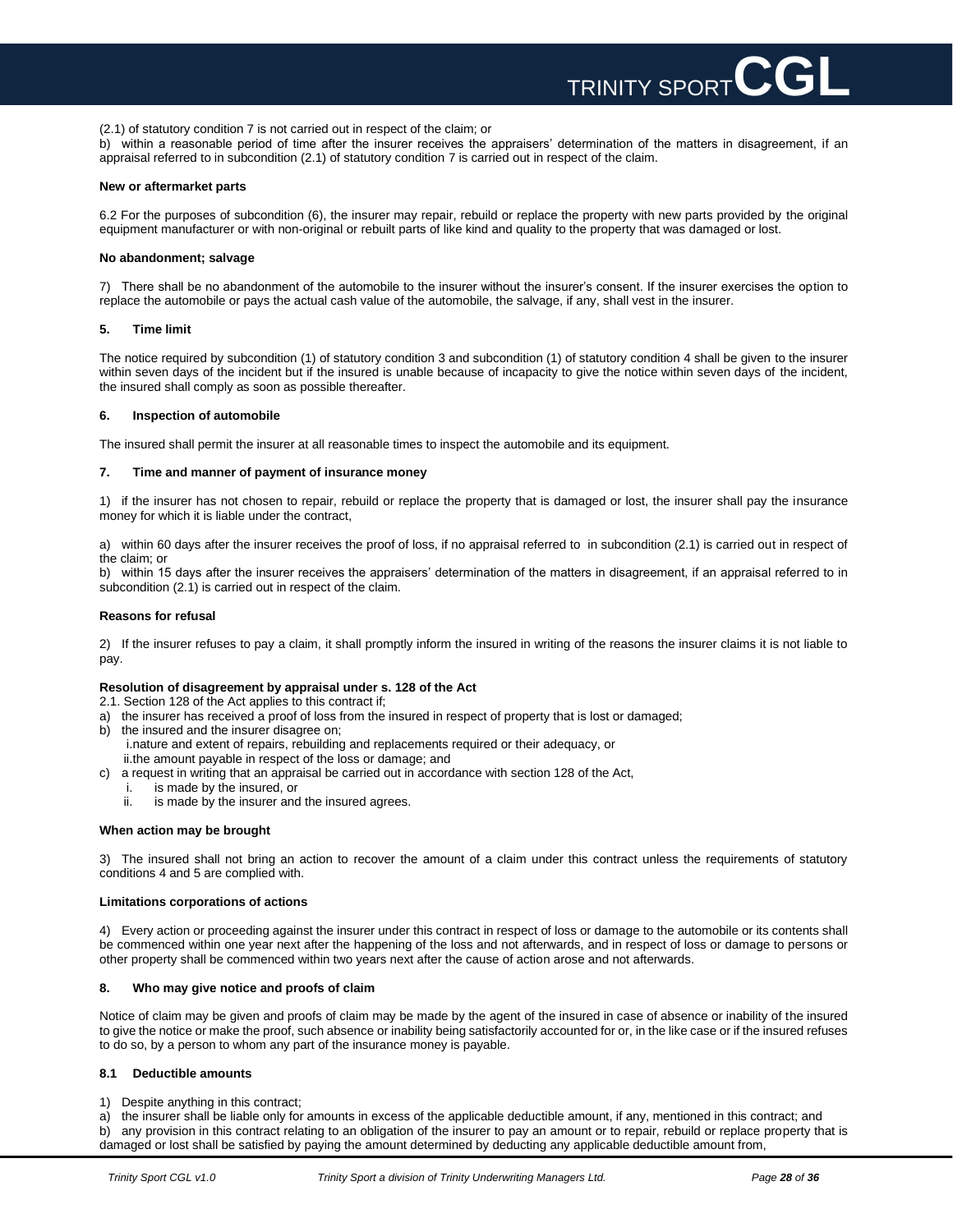

(2.1) of statutory condition 7 is not carried out in respect of the claim; or

b) within a reasonable period of time after the insurer receives the appraisers' determination of the matters in disagreement, if an appraisal referred to in subcondition (2.1) of statutory condition 7 is carried out in respect of the claim.

### **New or aftermarket parts**

6.2 For the purposes of subcondition (6), the insurer may repair, rebuild or replace the property with new parts provided by the original equipment manufacturer or with non-original or rebuilt parts of like kind and quality to the property that was damaged or lost.

### **No abandonment; salvage**

7) There shall be no abandonment of the automobile to the insurer without the insurer's consent. If the insurer exercises the option to replace the automobile or pays the actual cash value of the automobile, the salvage, if any, shall vest in the insurer.

### **5. Time limit**

The notice required by subcondition (1) of statutory condition 3 and subcondition (1) of statutory condition 4 shall be given to the insurer within seven days of the incident but if the insured is unable because of incapacity to give the notice within seven days of the incident, the insured shall comply as soon as possible thereafter.

### **6. Inspection of automobile**

The insured shall permit the insurer at all reasonable times to inspect the automobile and its equipment.

### **7. Time and manner of payment of insurance money**

1) if the insurer has not chosen to repair, rebuild or replace the property that is damaged or lost, the insurer shall pay the insurance money for which it is liable under the contract,

a) within 60 days after the insurer receives the proof of loss, if no appraisal referred to in subcondition (2.1) is carried out in respect of the claim; or

b) within 15 days after the insurer receives the appraisers' determination of the matters in disagreement, if an appraisal referred to in subcondition (2.1) is carried out in respect of the claim.

### **Reasons for refusal**

2) If the insurer refuses to pay a claim, it shall promptly inform the insured in writing of the reasons the insurer claims it is not liable to pay.

### **Resolution of disagreement by appraisal under s. 128 of the Act**

2.1. Section 128 of the Act applies to this contract if;

- a) the insurer has received a proof of loss from the insured in respect of property that is lost or damaged;
- b) the insured and the insurer disagree on;
- i.nature and extent of repairs, rebuilding and replacements required or their adequacy, or ii.the amount payable in respect of the loss or damage; and
- c) a request in writing that an appraisal be carried out in accordance with section 128 of the Act,
	- i. is made by the insured, or
		- ii. is made by the insurer and the insured agrees.

### **When action may be brought**

3) The insured shall not bring an action to recover the amount of a claim under this contract unless the requirements of statutory conditions 4 and 5 are complied with.

### **Limitations corporations of actions**

4) Every action or proceeding against the insurer under this contract in respect of loss or damage to the automobile or its contents shall be commenced within one year next after the happening of the loss and not afterwards, and in respect of loss or damage to persons or other property shall be commenced within two years next after the cause of action arose and not afterwards.

### **8. Who may give notice and proofs of claim**

Notice of claim may be given and proofs of claim may be made by the agent of the insured in case of absence or inability of the insured to give the notice or make the proof, such absence or inability being satisfactorily accounted for or, in the like case or if the insured refuses to do so, by a person to whom any part of the insurance money is payable.

### **8.1 Deductible amounts**

1) Despite anything in this contract;

a) the insurer shall be liable only for amounts in excess of the applicable deductible amount, if any, mentioned in this contract; and b) any provision in this contract relating to an obligation of the insurer to pay an amount or to repair, rebuild or replace property that is damaged or lost shall be satisfied by paying the amount determined by deducting any applicable deductible amount from,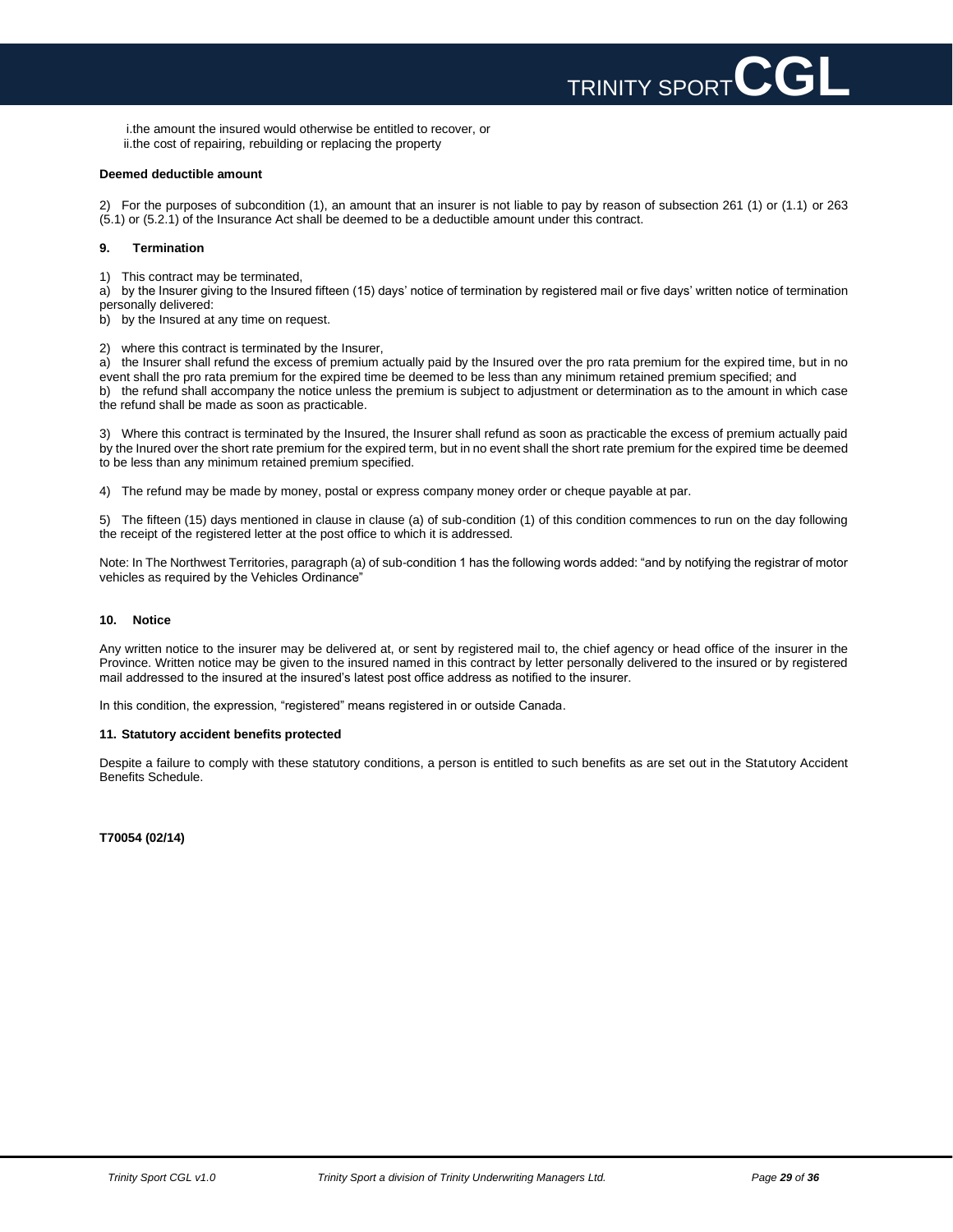

i.the amount the insured would otherwise be entitled to recover, or ii.the cost of repairing, rebuilding or replacing the property

### **Deemed deductible amount**

2) For the purposes of subcondition (1), an amount that an insurer is not liable to pay by reason of subsection 261 (1) or (1.1) or 263 (5.1) or (5.2.1) of the Insurance Act shall be deemed to be a deductible amount under this contract.

### **9. Termination**

1) This contract may be terminated,

a) by the Insurer giving to the Insured fifteen (15) days' notice of termination by registered mail or five days' written notice of termination personally delivered:

b) by the Insured at any time on request.

2) where this contract is terminated by the Insurer,

a) the Insurer shall refund the excess of premium actually paid by the Insured over the pro rata premium for the expired time, but in no event shall the pro rata premium for the expired time be deemed to be less than any minimum retained premium specified; and b) the refund shall accompany the notice unless the premium is subject to adjustment or determination as to the amount in which case the refund shall be made as soon as practicable.

3) Where this contract is terminated by the Insured, the Insurer shall refund as soon as practicable the excess of premium actually paid by the Inured over the short rate premium for the expired term, but in no event shall the short rate premium for the expired time be deemed to be less than any minimum retained premium specified.

4) The refund may be made by money, postal or express company money order or cheque payable at par.

5) The fifteen (15) days mentioned in clause in clause (a) of sub-condition (1) of this condition commences to run on the day following the receipt of the registered letter at the post office to which it is addressed.

Note: In The Northwest Territories, paragraph (a) of sub-condition 1 has the following words added: "and by notifying the registrar of motor vehicles as required by the Vehicles Ordinance"

### **10. Notice**

Any written notice to the insurer may be delivered at, or sent by registered mail to, the chief agency or head office of the insurer in the Province. Written notice may be given to the insured named in this contract by letter personally delivered to the insured or by registered mail addressed to the insured at the insured's latest post office address as notified to the insurer.

In this condition, the expression, "registered" means registered in or outside Canada.

### **11. Statutory accident benefits protected**

Despite a failure to comply with these statutory conditions, a person is entitled to such benefits as are set out in the Statutory Accident Benefits Schedule.

**T70054 (02/14)**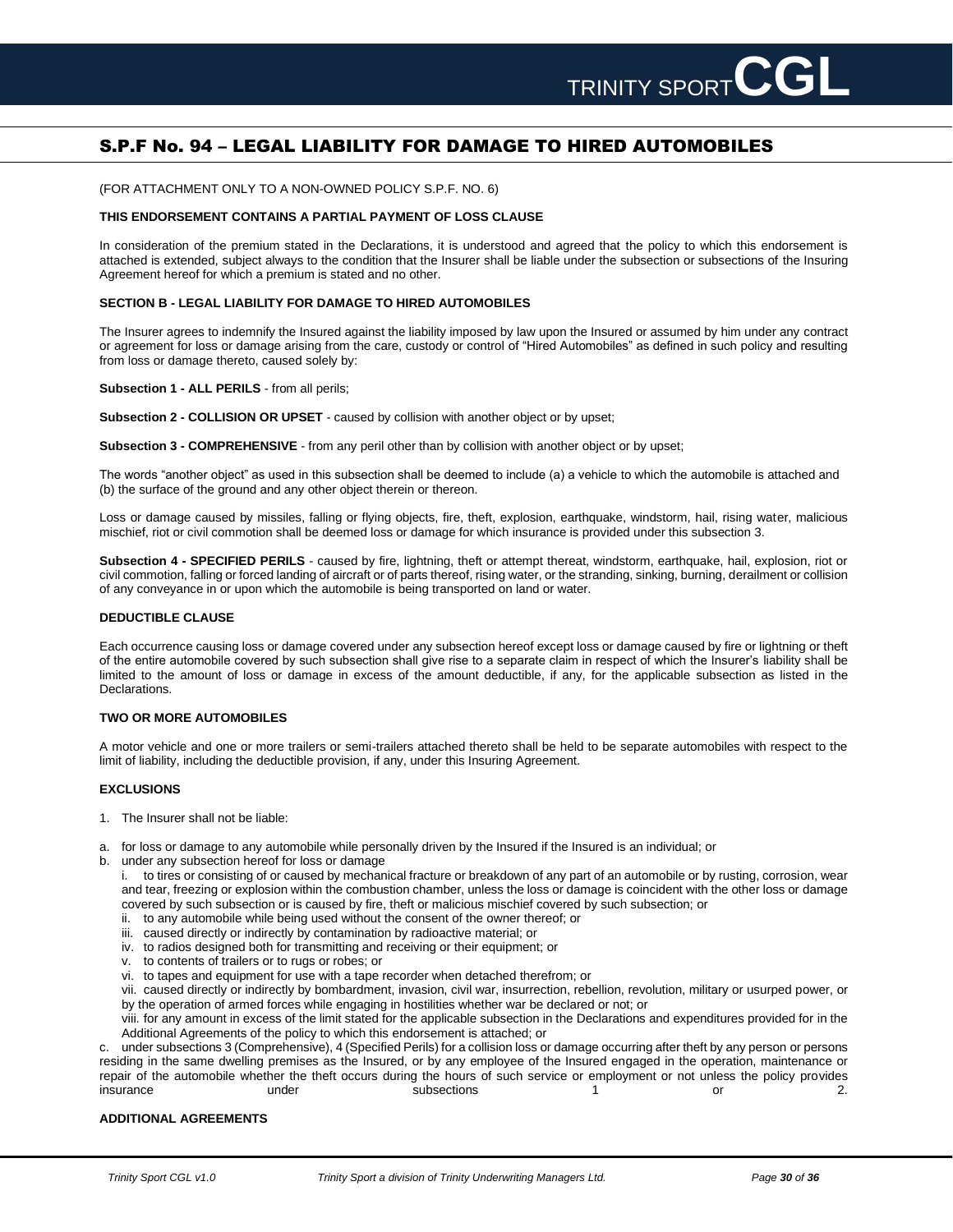# S.P.F No. 94 – LEGAL LIABILITY FOR DAMAGE TO HIRED AUTOMOBILES

(FOR ATTACHMENT ONLY TO A NON-OWNED POLICY S.P.F. NO. 6)

### **THIS ENDORSEMENT CONTAINS A PARTIAL PAYMENT OF LOSS CLAUSE**

In consideration of the premium stated in the Declarations, it is understood and agreed that the policy to which this endorsement is attached is extended, subject always to the condition that the Insurer shall be liable under the subsection or subsections of the Insuring Agreement hereof for which a premium is stated and no other.

### **SECTION B - LEGAL LIABILITY FOR DAMAGE TO HIRED AUTOMOBILES**

The Insurer agrees to indemnify the Insured against the liability imposed by law upon the Insured or assumed by him under any contract or agreement for loss or damage arising from the care, custody or control of "Hired Automobiles" as defined in such policy and resulting from loss or damage thereto, caused solely by:

**Subsection 1 - ALL PERILS** - from all perils;

**Subsection 2 - COLLISION OR UPSET** - caused by collision with another object or by upset;

**Subsection 3 - COMPREHENSIVE** - from any peril other than by collision with another object or by upset;

The words "another object" as used in this subsection shall be deemed to include (a) a vehicle to which the automobile is attached and (b) the surface of the ground and any other object therein or thereon.

Loss or damage caused by missiles, falling or flying objects, fire, theft, explosion, earthquake, windstorm, hail, rising water, malicious mischief, riot or civil commotion shall be deemed loss or damage for which insurance is provided under this subsection 3.

**Subsection 4 - SPECIFIED PERILS** - caused by fire, lightning, theft or attempt thereat, windstorm, earthquake, hail, explosion, riot or civil commotion, falling or forced landing of aircraft or of parts thereof, rising water, or the stranding, sinking, burning, derailment or collision of any conveyance in or upon which the automobile is being transported on land or water.

### **DEDUCTIBLE CLAUSE**

Each occurrence causing loss or damage covered under any subsection hereof except loss or damage caused by fire or lightning or theft of the entire automobile covered by such subsection shall give rise to a separate claim in respect of which the Insurer's liability shall be limited to the amount of loss or damage in excess of the amount deductible, if any, for the applicable subsection as listed in the Declarations.

### **TWO OR MORE AUTOMOBILES**

A motor vehicle and one or more trailers or semi-trailers attached thereto shall be held to be separate automobiles with respect to the limit of liability, including the deductible provision, if any, under this Insuring Agreement.

### **EXCLUSIONS**

- 1. The Insurer shall not be liable:
- a. for loss or damage to any automobile while personally driven by the Insured if the Insured is an individual; or
- b. under any subsection hereof for loss or damage
	- i. to tires or consisting of or caused by mechanical fracture or breakdown of any part of an automobile or by rusting, corrosion, wear and tear, freezing or explosion within the combustion chamber, unless the loss or damage is coincident with the other loss or damage covered by such subsection or is caused by fire, theft or malicious mischief covered by such subsection; or
	- ii. to any automobile while being used without the consent of the owner thereof; or
	- iii. caused directly or indirectly by contamination by radioactive material; or
	- iv. to radios designed both for transmitting and receiving or their equipment; or
	- v. to contents of trailers or to rugs or robes; or
	- vi. to tapes and equipment for use with a tape recorder when detached therefrom; or

vii. caused directly or indirectly by bombardment, invasion, civil war, insurrection, rebellion, revolution, military or usurped power, or by the operation of armed forces while engaging in hostilities whether war be declared or not; or

viii. for any amount in excess of the limit stated for the applicable subsection in the Declarations and expenditures provided for in the Additional Agreements of the policy to which this endorsement is attached; or

c. under subsections 3 (Comprehensive), 4 (Specified Perils) for a collision loss or damage occurring after theft by any person or persons residing in the same dwelling premises as the Insured, or by any employee of the Insured engaged in the operation, maintenance or repair of the automobile whether the theft occurs during the hours of such service or employment or not unless the policy provides insurance and the under the subsections of the control or the 2.

### **ADDITIONAL AGREEMENTS**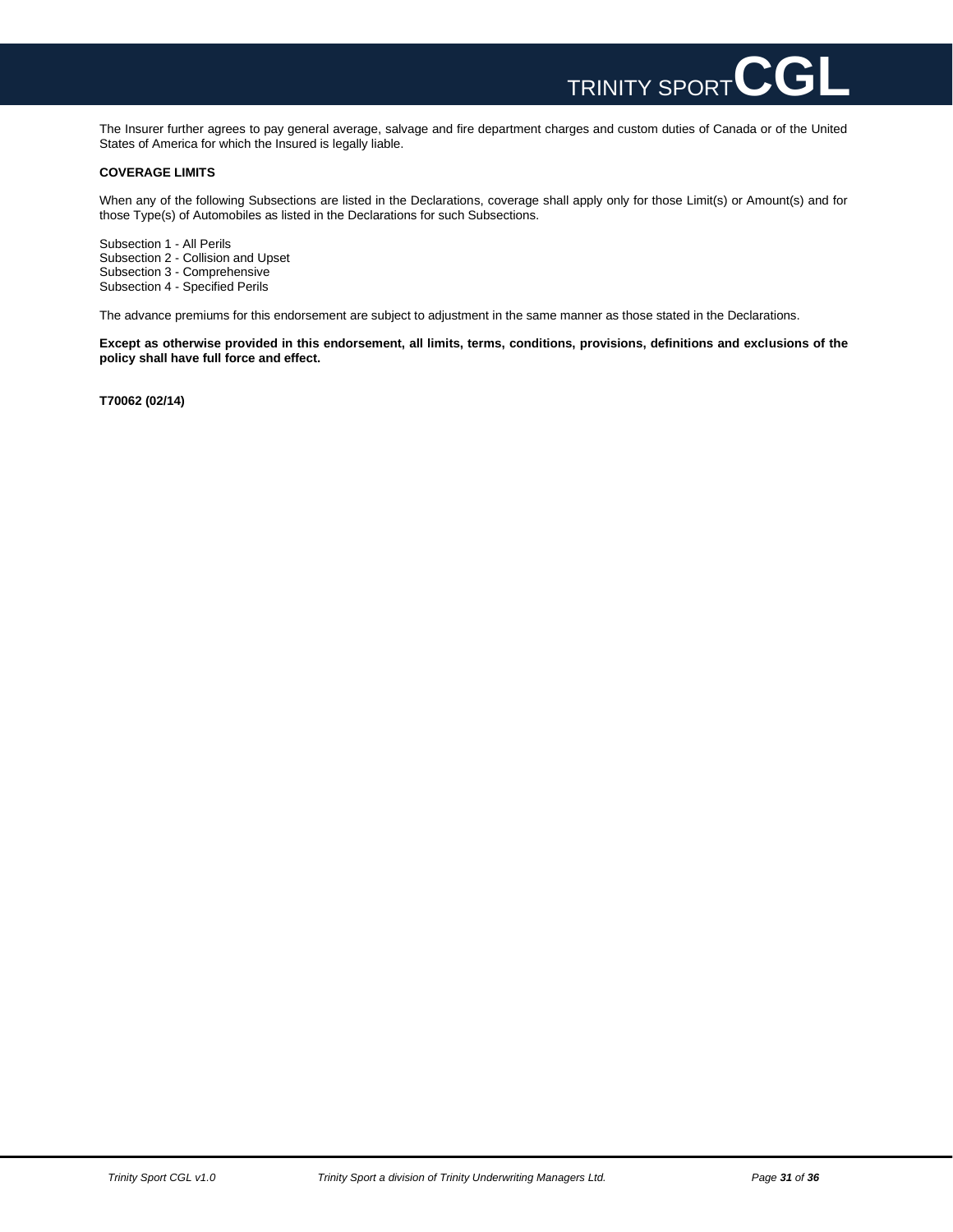

The Insurer further agrees to pay general average, salvage and fire department charges and custom duties of Canada or of the United States of America for which the Insured is legally liable.

### **COVERAGE LIMITS**

When any of the following Subsections are listed in the Declarations, coverage shall apply only for those Limit(s) or Amount(s) and for those Type(s) of Automobiles as listed in the Declarations for such Subsections.

Subsection 1 - All Perils Subsection 2 - Collision and Upset Subsection 3 - Comprehensive Subsection 4 - Specified Perils

The advance premiums for this endorsement are subject to adjustment in the same manner as those stated in the Declarations.

**Except as otherwise provided in this endorsement, all limits, terms, conditions, provisions, definitions and exclusions of the policy shall have full force and effect.**

**T70062 (02/14)**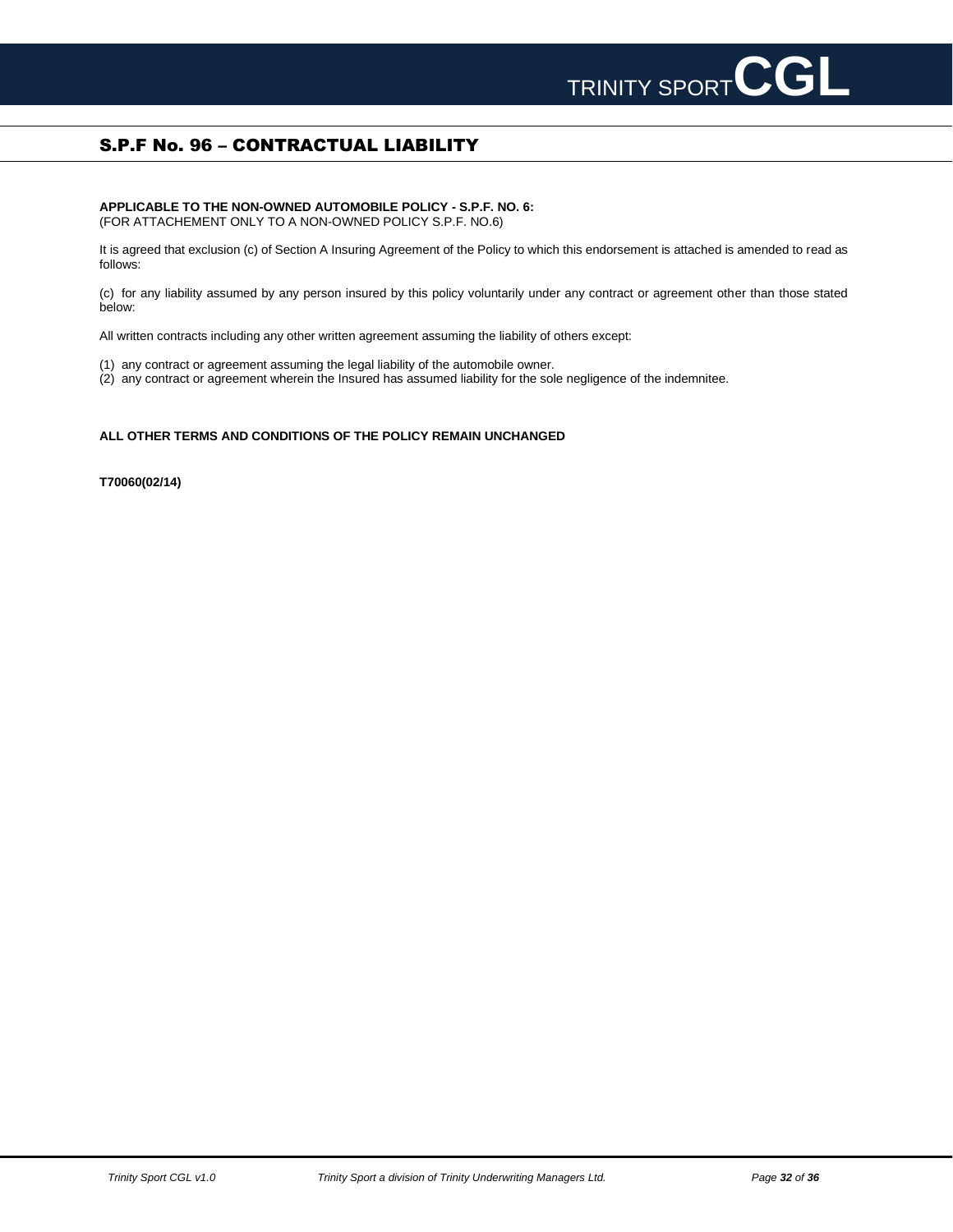# S.P.F No. 96 – CONTRACTUAL LIABILITY

### **APPLICABLE TO THE NON-OWNED AUTOMOBILE POLICY - S.P.F. NO. 6:** (FOR ATTACHEMENT ONLY TO A NON-OWNED POLICY S.P.F. NO.6)

It is agreed that exclusion (c) of Section A Insuring Agreement of the Policy to which this endorsement is attached is amended to read as follows:

(c) for any liability assumed by any person insured by this policy voluntarily under any contract or agreement other than those stated below:

All written contracts including any other written agreement assuming the liability of others except:

- (1) any contract or agreement assuming the legal liability of the automobile owner.
- (2) any contract or agreement wherein the Insured has assumed liability for the sole negligence of the indemnitee.

### **ALL OTHER TERMS AND CONDITIONS OF THE POLICY REMAIN UNCHANGED**

**T70060(02/14)**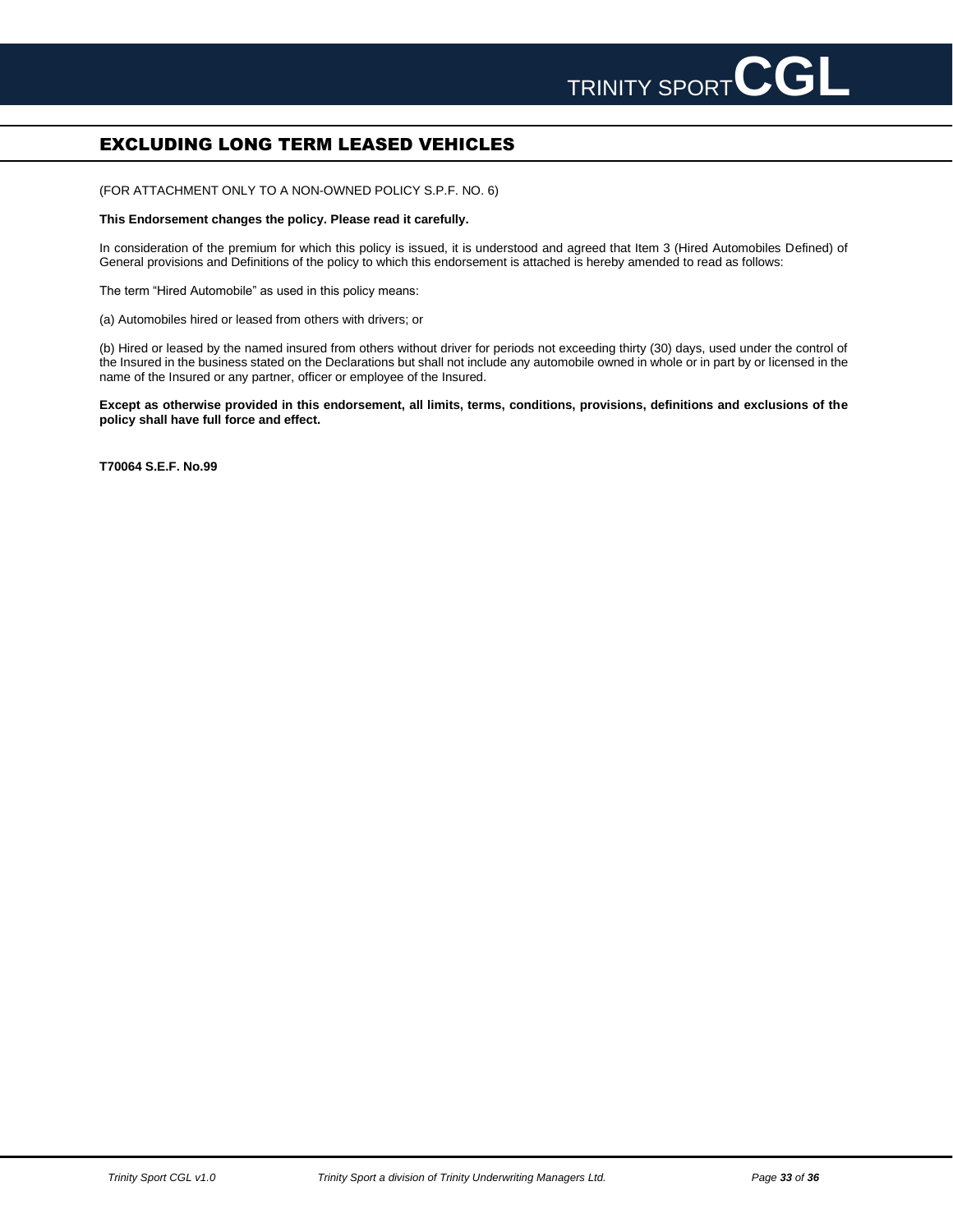# **EXCLUDING LONG TERM LEASED VEHICLES**

(FOR ATTACHMENT ONLY TO A NON-OWNED POLICY S.P.F. NO. 6)

### **This Endorsement changes the policy. Please read it carefully.**

In consideration of the premium for which this policy is issued, it is understood and agreed that Item 3 (Hired Automobiles Defined) of General provisions and Definitions of the policy to which this endorsement is attached is hereby amended to read as follows:

The term "Hired Automobile" as used in this policy means:

(a) Automobiles hired or leased from others with drivers; or

(b) Hired or leased by the named insured from others without driver for periods not exceeding thirty (30) days, used under the control of the Insured in the business stated on the Declarations but shall not include any automobile owned in whole or in part by or licensed in the name of the Insured or any partner, officer or employee of the Insured.

**Except as otherwise provided in this endorsement, all limits, terms, conditions, provisions, definitions and exclusions of the policy shall have full force and effect.**

**T70064 S.E.F. No.99**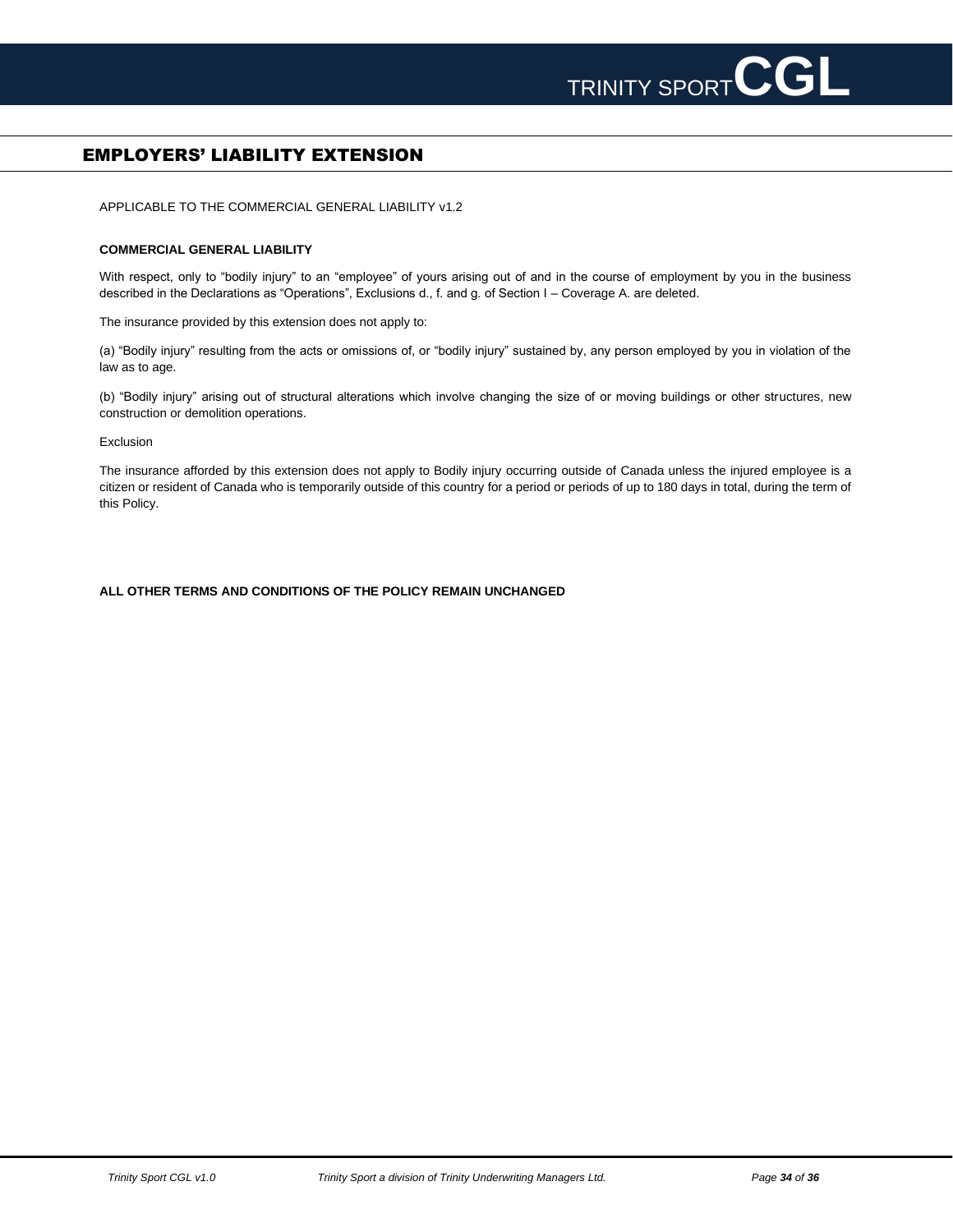

# EMPLOYERS' LIABILITY EXTENSION

APPLICABLE TO THE COMMERCIAL GENERAL LIABILITY v1.2

### **COMMERCIAL GENERAL LIABILITY**

With respect, only to "bodily injury" to an "employee" of yours arising out of and in the course of employment by you in the business described in the Declarations as "Operations", Exclusions d., f. and g. of Section I – Coverage A. are deleted.

The insurance provided by this extension does not apply to:

(a) "Bodily injury" resulting from the acts or omissions of, or "bodily injury" sustained by, any person employed by you in violation of the law as to age.

(b) "Bodily injury" arising out of structural alterations which involve changing the size of or moving buildings or other structures, new construction or demolition operations.

Exclusion

The insurance afforded by this extension does not apply to Bodily injury occurring outside of Canada unless the injured employee is a citizen or resident of Canada who is temporarily outside of this country for a period or periods of up to 180 days in total, during the term of this Policy.

### **ALL OTHER TERMS AND CONDITIONS OF THE POLICY REMAIN UNCHANGED**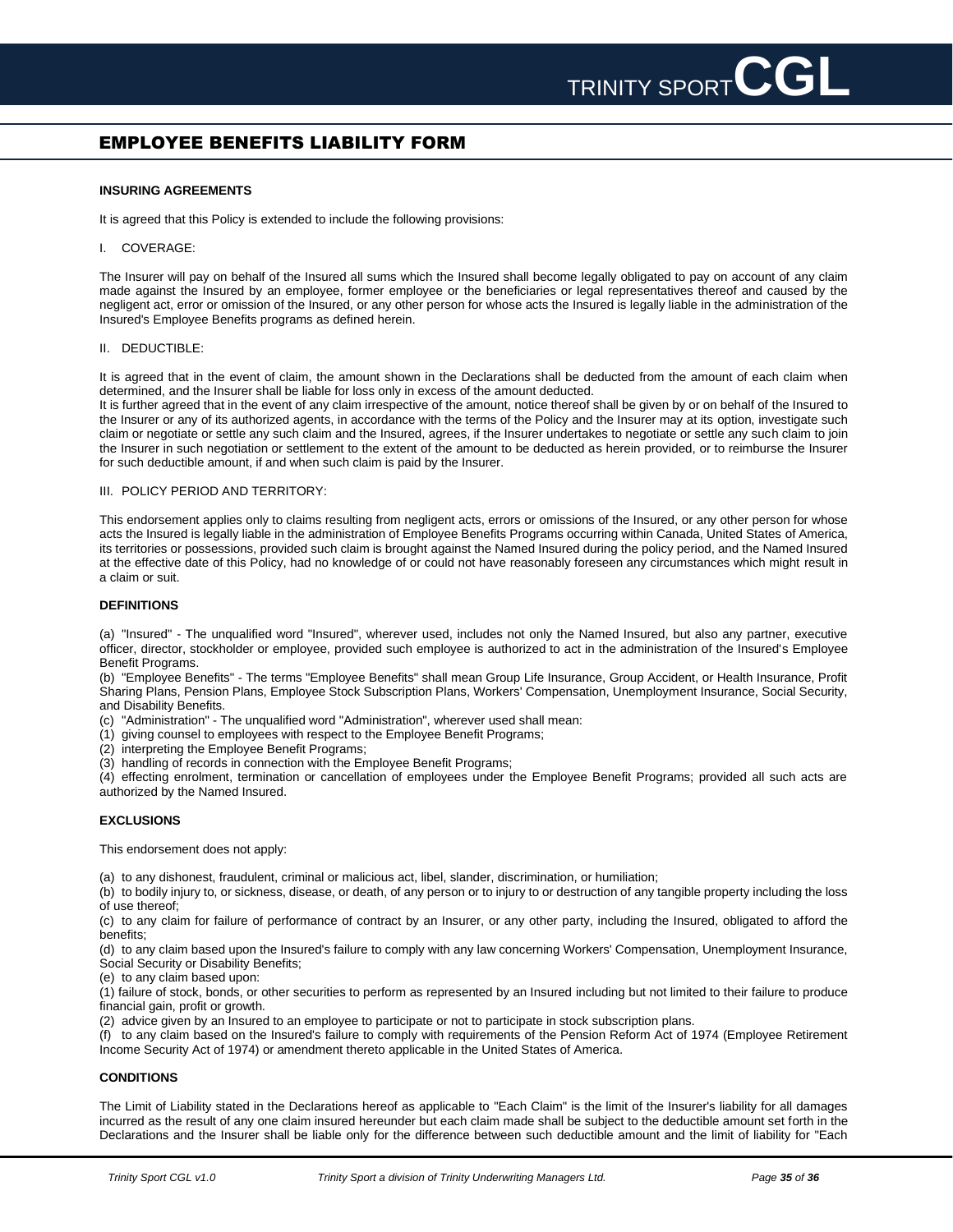# EMPLOYEE BENEFITS LIABILITY FORM

### **INSURING AGREEMENTS**

It is agreed that this Policy is extended to include the following provisions:

### I. COVERAGE:

The Insurer will pay on behalf of the Insured all sums which the Insured shall become legally obligated to pay on account of any claim made against the Insured by an employee, former employee or the beneficiaries or legal representatives thereof and caused by the negligent act, error or omission of the Insured, or any other person for whose acts the Insured is legally liable in the administration of the Insured's Employee Benefits programs as defined herein.

### II. DEDUCTIBLE:

It is agreed that in the event of claim, the amount shown in the Declarations shall be deducted from the amount of each claim when determined, and the Insurer shall be liable for loss only in excess of the amount deducted.

It is further agreed that in the event of any claim irrespective of the amount, notice thereof shall be given by or on behalf of the Insured to the Insurer or any of its authorized agents, in accordance with the terms of the Policy and the Insurer may at its option, investigate such claim or negotiate or settle any such claim and the Insured, agrees, if the Insurer undertakes to negotiate or settle any such claim to join the Insurer in such negotiation or settlement to the extent of the amount to be deducted as herein provided, or to reimburse the Insurer for such deductible amount, if and when such claim is paid by the Insurer.

### III. POLICY PERIOD AND TERRITORY:

This endorsement applies only to claims resulting from negligent acts, errors or omissions of the Insured, or any other person for whose acts the Insured is legally liable in the administration of Employee Benefits Programs occurring within Canada, United States of America, its territories or possessions, provided such claim is brought against the Named Insured during the policy period, and the Named Insured at the effective date of this Policy, had no knowledge of or could not have reasonably foreseen any circumstances which might result in a claim or suit.

### **DEFINITIONS**

(a) "Insured" - The unqualified word "Insured", wherever used, includes not only the Named Insured, but also any partner, executive officer, director, stockholder or employee, provided such employee is authorized to act in the administration of the Insured's Employee Benefit Programs.

(b) "Employee Benefits" - The terms "Employee Benefits" shall mean Group Life Insurance, Group Accident, or Health Insurance, Profit Sharing Plans, Pension Plans, Employee Stock Subscription Plans, Workers' Compensation, Unemployment Insurance, Social Security, and Disability Benefits.

(c) "Administration" - The unqualified word "Administration", wherever used shall mean:

(1) giving counsel to employees with respect to the Employee Benefit Programs;

(2) interpreting the Employee Benefit Programs;

(3) handling of records in connection with the Employee Benefit Programs;

(4) effecting enrolment, termination or cancellation of employees under the Employee Benefit Programs; provided all such acts are authorized by the Named Insured.

### **EXCLUSIONS**

This endorsement does not apply:

(a) to any dishonest, fraudulent, criminal or malicious act, libel, slander, discrimination, or humiliation;

(b) to bodily injury to, or sickness, disease, or death, of any person or to injury to or destruction of any tangible property including the loss of use thereof;

(c) to any claim for failure of performance of contract by an Insurer, or any other party, including the Insured, obligated to afford the benefits;

(d) to any claim based upon the Insured's failure to comply with any law concerning Workers' Compensation, Unemployment Insurance, Social Security or Disability Benefits;

(e) to any claim based upon:

(1) failure of stock, bonds, or other securities to perform as represented by an Insured including but not limited to their failure to produce financial gain, profit or growth.

(2) advice given by an Insured to an employee to participate or not to participate in stock subscription plans.

(f) to any claim based on the Insured's failure to comply with requirements of the Pension Reform Act of 1974 (Employee Retirement Income Security Act of 1974) or amendment thereto applicable in the United States of America.

### **CONDITIONS**

The Limit of Liability stated in the Declarations hereof as applicable to "Each Claim" is the limit of the Insurer's liability for all damages incurred as the result of any one claim insured hereunder but each claim made shall be subject to the deductible amount set forth in the Declarations and the Insurer shall be liable only for the difference between such deductible amount and the limit of liability for "Each